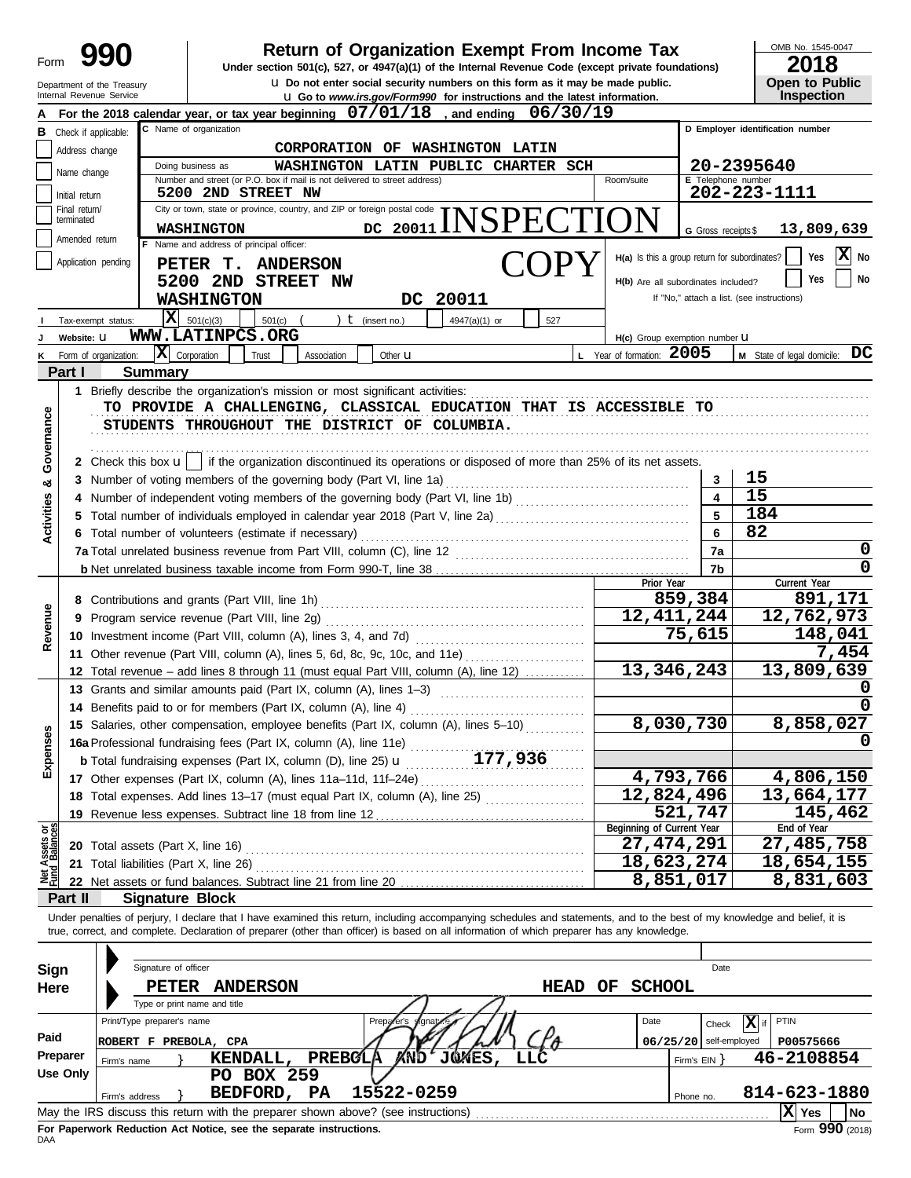| Form                       |                                                                                                                                                                                                                                                                          |                                               | <b>Return of Organization Exempt From Income Tax</b><br>Under section 501(c), 527, or 4947(a)(1) of the Internal Revenue Code (except private foundations)                                                                                                                                                               |                          | OMB No. 1545-0047<br>2018                  |  |  |  |  |  |  |  |
|----------------------------|--------------------------------------------------------------------------------------------------------------------------------------------------------------------------------------------------------------------------------------------------------------------------|-----------------------------------------------|--------------------------------------------------------------------------------------------------------------------------------------------------------------------------------------------------------------------------------------------------------------------------------------------------------------------------|--------------------------|--------------------------------------------|--|--|--|--|--|--|--|
|                            | <b>u</b> Do not enter social security numbers on this form as it may be made public.<br><b>Open to Public</b><br>Department of the Treasury<br>Internal Revenue Service<br>Inspection<br><b>u</b> Go to www.irs.gov/Form990 for instructions and the latest information. |                                               |                                                                                                                                                                                                                                                                                                                          |                          |                                            |  |  |  |  |  |  |  |
| А                          |                                                                                                                                                                                                                                                                          |                                               | For the 2018 calendar year, or tax year beginning $07/01/18$ , and ending $06/30/19$                                                                                                                                                                                                                                     |                          |                                            |  |  |  |  |  |  |  |
| в                          |                                                                                                                                                                                                                                                                          | Check if applicable:                          | C Name of organization                                                                                                                                                                                                                                                                                                   |                          | D Employer identification number           |  |  |  |  |  |  |  |
|                            | Address change                                                                                                                                                                                                                                                           |                                               | CORPORATION OF WASHINGTON LATIN                                                                                                                                                                                                                                                                                          |                          |                                            |  |  |  |  |  |  |  |
|                            | Name change                                                                                                                                                                                                                                                              |                                               | Doing business as<br>WASHINGTON LATIN PUBLIC CHARTER SCH<br>Number and street (or P.O. box if mail is not delivered to street address)<br>Room/suite                                                                                                                                                                     | E Telephone number       | 20-2395640                                 |  |  |  |  |  |  |  |
|                            | Initial return                                                                                                                                                                                                                                                           |                                               | 5200 2ND STREET NW                                                                                                                                                                                                                                                                                                       |                          | 202-223-1111                               |  |  |  |  |  |  |  |
|                            | Final return/<br>terminated                                                                                                                                                                                                                                              |                                               | City or town, state or province, country, and ZIP or foreign postal code                                                                                                                                                                                                                                                 |                          |                                            |  |  |  |  |  |  |  |
|                            | Amended return                                                                                                                                                                                                                                                           |                                               | DC 20011<br><b>WASHINGTON</b>                                                                                                                                                                                                                                                                                            | G Gross receipts \$      | 13,809,639                                 |  |  |  |  |  |  |  |
|                            |                                                                                                                                                                                                                                                                          |                                               | F Name and address of principal officer:<br>H(a) Is this a group return for subordinates?                                                                                                                                                                                                                                |                          | X<br>Yes<br>No                             |  |  |  |  |  |  |  |
|                            |                                                                                                                                                                                                                                                                          | Application pending                           | PETER T. ANDERSON                                                                                                                                                                                                                                                                                                        |                          | Yes<br>No                                  |  |  |  |  |  |  |  |
|                            |                                                                                                                                                                                                                                                                          |                                               | 5200 2ND STREET<br>NW<br>H(b) Are all subordinates included?<br>DC 20011<br><b>WASHINGTON</b>                                                                                                                                                                                                                            |                          | If "No," attach a list. (see instructions) |  |  |  |  |  |  |  |
|                            |                                                                                                                                                                                                                                                                          | $\overline{\mathbf{x}}$<br>Tax-exempt status: | 501(c)(3)<br>$t$ (insert no.)<br>501(c)<br>4947(a)(1) or<br>527                                                                                                                                                                                                                                                          |                          |                                            |  |  |  |  |  |  |  |
|                            | Website: U                                                                                                                                                                                                                                                               |                                               | <b>WWW.LATINPCS.ORG</b><br>H(c) Group exemption number LI                                                                                                                                                                                                                                                                |                          |                                            |  |  |  |  |  |  |  |
| κ                          |                                                                                                                                                                                                                                                                          | Form of organization:                         | $\mathbf{X}$ Corporation<br>L Year of formation: 2005<br>Other $\mathbf u$<br>Trust<br>Association                                                                                                                                                                                                                       |                          | DC<br>M State of legal domicile:           |  |  |  |  |  |  |  |
|                            | Part I                                                                                                                                                                                                                                                                   | <b>Summary</b>                                |                                                                                                                                                                                                                                                                                                                          |                          |                                            |  |  |  |  |  |  |  |
|                            |                                                                                                                                                                                                                                                                          |                                               |                                                                                                                                                                                                                                                                                                                          |                          |                                            |  |  |  |  |  |  |  |
|                            |                                                                                                                                                                                                                                                                          |                                               | TO PROVIDE A CHALLENGING, CLASSICAL EDUCATION THAT IS ACCESSIBLE TO                                                                                                                                                                                                                                                      |                          |                                            |  |  |  |  |  |  |  |
| Governance                 |                                                                                                                                                                                                                                                                          |                                               | STUDENTS THROUGHOUT THE DISTRICT OF COLUMBIA.                                                                                                                                                                                                                                                                            |                          |                                            |  |  |  |  |  |  |  |
|                            |                                                                                                                                                                                                                                                                          |                                               |                                                                                                                                                                                                                                                                                                                          |                          |                                            |  |  |  |  |  |  |  |
|                            |                                                                                                                                                                                                                                                                          |                                               | 2 Check this box $\mathbf{u}$   if the organization discontinued its operations or disposed of more than 25% of its net assets.                                                                                                                                                                                          |                          |                                            |  |  |  |  |  |  |  |
| ಯ                          |                                                                                                                                                                                                                                                                          |                                               | 3 Number of voting members of the governing body (Part VI, line 1a)                                                                                                                                                                                                                                                      | 3                        | 15                                         |  |  |  |  |  |  |  |
| Activities                 |                                                                                                                                                                                                                                                                          |                                               |                                                                                                                                                                                                                                                                                                                          | $\overline{\mathbf{4}}$  | 15<br>184                                  |  |  |  |  |  |  |  |
|                            |                                                                                                                                                                                                                                                                          |                                               | 5 Total number of individuals employed in calendar year 2018 (Part V, line 2a) [[[[[[[[[[[[[[[[[[[[[[[[[[[[[[[                                                                                                                                                                                                           | 5                        | 82                                         |  |  |  |  |  |  |  |
|                            |                                                                                                                                                                                                                                                                          |                                               | 6 Total number of volunteers (estimate if necessary)                                                                                                                                                                                                                                                                     | 6                        | 0                                          |  |  |  |  |  |  |  |
|                            |                                                                                                                                                                                                                                                                          |                                               |                                                                                                                                                                                                                                                                                                                          | 7a<br>7b                 |                                            |  |  |  |  |  |  |  |
|                            |                                                                                                                                                                                                                                                                          |                                               | Prior Year                                                                                                                                                                                                                                                                                                               |                          | Current Year                               |  |  |  |  |  |  |  |
|                            |                                                                                                                                                                                                                                                                          |                                               | 8 Contributions and grants (Part VIII, line 1h)                                                                                                                                                                                                                                                                          | 859,384                  | 891,171                                    |  |  |  |  |  |  |  |
|                            |                                                                                                                                                                                                                                                                          |                                               | 12, 411, 244<br>9 Program service revenue (Part VIII, line 2g)                                                                                                                                                                                                                                                           |                          | 12,762,973                                 |  |  |  |  |  |  |  |
| Revenue                    |                                                                                                                                                                                                                                                                          |                                               | 10 Investment income (Part VIII, column (A), lines 3, 4, and 7d)                                                                                                                                                                                                                                                         | 75,615                   | 148,041                                    |  |  |  |  |  |  |  |
|                            |                                                                                                                                                                                                                                                                          |                                               | 11 Other revenue (Part VIII, column (A), lines 5, 6d, 8c, 9c, 10c, and 11e)<br><u>.</u><br>1986 - Paul Barbara, papa pada ang panganang pang                                                                                                                                                                             |                          | 7,454                                      |  |  |  |  |  |  |  |
|                            |                                                                                                                                                                                                                                                                          |                                               | 13,346,243<br>12 Total revenue - add lines 8 through 11 (must equal Part VIII, column (A), line 12)                                                                                                                                                                                                                      |                          | 13,809,639                                 |  |  |  |  |  |  |  |
|                            |                                                                                                                                                                                                                                                                          |                                               | 13 Grants and similar amounts paid (Part IX, column (A), lines 1-3)                                                                                                                                                                                                                                                      |                          | 0                                          |  |  |  |  |  |  |  |
|                            |                                                                                                                                                                                                                                                                          |                                               | 14 Benefits paid to or for members (Part IX, column (A), line 4)                                                                                                                                                                                                                                                         |                          | $\bf{0}$                                   |  |  |  |  |  |  |  |
|                            |                                                                                                                                                                                                                                                                          |                                               | 15 Salaries, other compensation, employee benefits (Part IX, column (A), lines 5-10)                                                                                                                                                                                                                                     | 8,030,730                | 8,858,027                                  |  |  |  |  |  |  |  |
| Expenses                   |                                                                                                                                                                                                                                                                          |                                               | 16a Professional fundraising fees (Part IX, column (A), line 11e)<br>177,936                                                                                                                                                                                                                                             |                          |                                            |  |  |  |  |  |  |  |
|                            |                                                                                                                                                                                                                                                                          |                                               | <b>b</b> Total fundraising expenses (Part IX, column (D), line 25) <b>u</b><br>17 Other expenses (Part IX, column (A), lines 11a-11d, 11f-24e)                                                                                                                                                                           | 4,793,766                | 4,806,150                                  |  |  |  |  |  |  |  |
|                            |                                                                                                                                                                                                                                                                          |                                               | 12,824,496<br>18 Total expenses. Add lines 13-17 (must equal Part IX, column (A), line 25)                                                                                                                                                                                                                               |                          | 13,664,177                                 |  |  |  |  |  |  |  |
|                            |                                                                                                                                                                                                                                                                          |                                               | 19 Revenue less expenses. Subtract line 18 from line 12                                                                                                                                                                                                                                                                  | 521,747                  | 145,462                                    |  |  |  |  |  |  |  |
|                            |                                                                                                                                                                                                                                                                          |                                               | Beginning of Current Year                                                                                                                                                                                                                                                                                                |                          | End of Year                                |  |  |  |  |  |  |  |
| t Assets or<br>nd Balances |                                                                                                                                                                                                                                                                          |                                               | 27, 474, 291                                                                                                                                                                                                                                                                                                             |                          | 27,485,758                                 |  |  |  |  |  |  |  |
|                            |                                                                                                                                                                                                                                                                          |                                               | 18,623,274<br>21 Total liabilities (Part X, line 26)                                                                                                                                                                                                                                                                     |                          | 18,654,155                                 |  |  |  |  |  |  |  |
| 道<br>Func                  |                                                                                                                                                                                                                                                                          |                                               |                                                                                                                                                                                                                                                                                                                          | 8,851,017                | 8,831,603                                  |  |  |  |  |  |  |  |
|                            | Part II                                                                                                                                                                                                                                                                  |                                               | <b>Signature Block</b>                                                                                                                                                                                                                                                                                                   |                          |                                            |  |  |  |  |  |  |  |
|                            |                                                                                                                                                                                                                                                                          |                                               | Under penalties of perjury, I declare that I have examined this return, including accompanying schedules and statements, and to the best of my knowledge and belief, it is<br>true, correct, and complete. Declaration of preparer (other than officer) is based on all information of which preparer has any knowledge. |                          |                                            |  |  |  |  |  |  |  |
|                            |                                                                                                                                                                                                                                                                          |                                               |                                                                                                                                                                                                                                                                                                                          |                          |                                            |  |  |  |  |  |  |  |
| Sign                       |                                                                                                                                                                                                                                                                          | Signature of officer                          |                                                                                                                                                                                                                                                                                                                          | Date                     |                                            |  |  |  |  |  |  |  |
| Here                       |                                                                                                                                                                                                                                                                          |                                               | HEAD<br><b>SCHOOL</b><br><b>PETER</b><br><b>ANDERSON</b><br>OF                                                                                                                                                                                                                                                           |                          |                                            |  |  |  |  |  |  |  |
|                            |                                                                                                                                                                                                                                                                          |                                               | Type or print name and title                                                                                                                                                                                                                                                                                             |                          |                                            |  |  |  |  |  |  |  |
|                            |                                                                                                                                                                                                                                                                          | Print/Type preparer's name                    | Preparer's<br>Date<br>¶gnat                                                                                                                                                                                                                                                                                              | Check                    | $\mathbf{X}$ if<br>PTIN                    |  |  |  |  |  |  |  |
| Paid                       | Preparer                                                                                                                                                                                                                                                                 |                                               | ROBERT F PREBOLA, CPA                                                                                                                                                                                                                                                                                                    | $06/25/20$ self-employed | P00575666                                  |  |  |  |  |  |  |  |
|                            | <b>Use Only</b>                                                                                                                                                                                                                                                          | Firm's name                                   | PREBOLA<br>LLC<br>KENDALL,<br><b>JOAES</b><br>AND                                                                                                                                                                                                                                                                        | Firm's $EIN$ }           | 46-2108854                                 |  |  |  |  |  |  |  |
|                            |                                                                                                                                                                                                                                                                          |                                               | <b>PO BOX 259</b><br>15522-0259<br>BEDFORD,<br>PA                                                                                                                                                                                                                                                                        |                          | 814-623-1880                               |  |  |  |  |  |  |  |
|                            | Firm's address<br>Phone no.<br>May the IRS discuss this return with the preparer shown above? (see instructions)<br>$ X $ Yes<br>No                                                                                                                                      |                                               |                                                                                                                                                                                                                                                                                                                          |                          |                                            |  |  |  |  |  |  |  |

| Sign     | Signature of officer                                                                             |                             | Date                                     |  |  |  |  |  |  |  |
|----------|--------------------------------------------------------------------------------------------------|-----------------------------|------------------------------------------|--|--|--|--|--|--|--|
| Here     | <b>ANDERSON</b><br><b>PETER</b>                                                                  | <b>SCHOOL</b><br>HEAD<br>OF |                                          |  |  |  |  |  |  |  |
|          | Type or print name and title                                                                     |                             |                                          |  |  |  |  |  |  |  |
|          | Prepater's signation<br>Print/Type preparer's name                                               | Date                        | $ \mathbf{X} $ if $ $<br>I PTIN<br>Check |  |  |  |  |  |  |  |
| Paid     | PREBOLA, CPA<br> ROBERT F                                                                        |                             | $06/25/20$ self-employed<br>P00575666    |  |  |  |  |  |  |  |
| Preparer | 7 ND<br>PREBOLA<br>JQXES,<br>KENDALL,<br>Firm's name                                             | LLC                         | 46-2108854<br>Firm's $EIN$               |  |  |  |  |  |  |  |
| Use Only | <b>BOX 259</b><br>PO.                                                                            |                             |                                          |  |  |  |  |  |  |  |
|          | 15522-0259<br>PA<br>BEDFORD,<br>Firm's address                                                   |                             | 814-623-1880<br>Phone no.                |  |  |  |  |  |  |  |
|          | No<br>May the IRS discuss this return with the preparer shown above? (see instructions)<br>l Yes |                             |                                          |  |  |  |  |  |  |  |
|          | $F_{\text{O}}$ 990 (2018)<br>For Paperwork Reduction Act Notice, see the separate instructions.  |                             |                                          |  |  |  |  |  |  |  |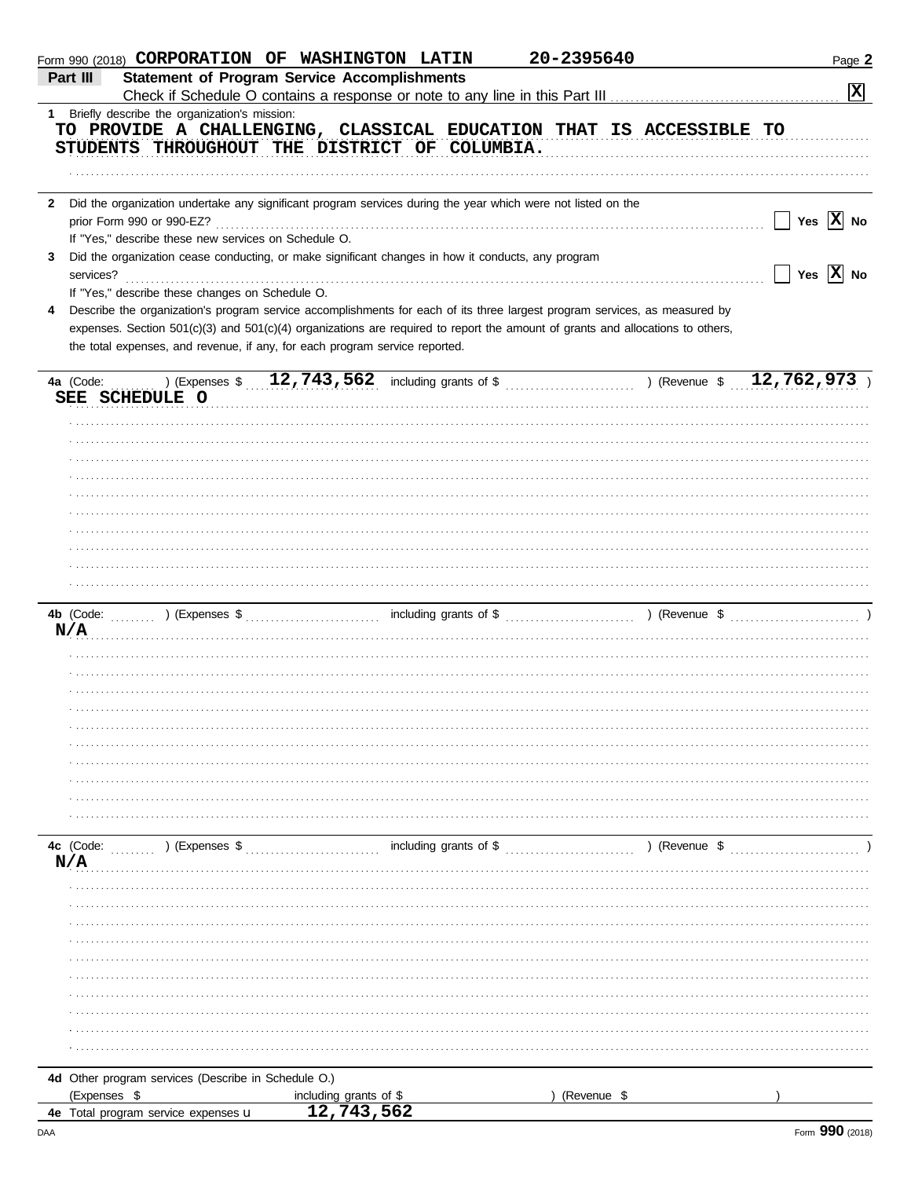|              | 20-2395640<br>Form 990 (2018) CORPORATION OF WASHINGTON LATIN                                                                                                                                                                                                | Page 2                |
|--------------|--------------------------------------------------------------------------------------------------------------------------------------------------------------------------------------------------------------------------------------------------------------|-----------------------|
|              | <b>Statement of Program Service Accomplishments</b><br>Part III                                                                                                                                                                                              |                       |
|              | Check if Schedule O contains a response or note to any line in this Part III [11] [11] [11] [11] [11] [11] [1                                                                                                                                                | $\boxed{\mathbf{x}}$  |
| 1.           | Briefly describe the organization's mission:<br>TO PROVIDE A CHALLENGING, CLASSICAL EDUCATION THAT IS ACCESSIBLE TO                                                                                                                                          |                       |
|              | STUDENTS THROUGHOUT THE DISTRICT OF COLUMBIA.                                                                                                                                                                                                                |                       |
|              |                                                                                                                                                                                                                                                              |                       |
|              |                                                                                                                                                                                                                                                              |                       |
| $\mathbf{2}$ | Did the organization undertake any significant program services during the year which were not listed on the                                                                                                                                                 |                       |
|              |                                                                                                                                                                                                                                                              | Yes $\overline{X}$ No |
|              | If "Yes," describe these new services on Schedule O.                                                                                                                                                                                                         |                       |
| 3            | Did the organization cease conducting, or make significant changes in how it conducts, any program                                                                                                                                                           |                       |
|              | $\Box$ Yes $\boxed{\text{X}}$ No<br>services?                                                                                                                                                                                                                |                       |
|              | If "Yes," describe these changes on Schedule O.                                                                                                                                                                                                              |                       |
| 4            | Describe the organization's program service accomplishments for each of its three largest program services, as measured by<br>expenses. Section 501(c)(3) and 501(c)(4) organizations are required to report the amount of grants and allocations to others, |                       |
|              | the total expenses, and revenue, if any, for each program service reported.                                                                                                                                                                                  |                       |
|              |                                                                                                                                                                                                                                                              |                       |
|              | 4a (Code:                                                                                                                                                                                                                                                    |                       |
|              | SEE SCHEDULE O                                                                                                                                                                                                                                               |                       |
|              |                                                                                                                                                                                                                                                              |                       |
|              |                                                                                                                                                                                                                                                              |                       |
|              |                                                                                                                                                                                                                                                              |                       |
|              |                                                                                                                                                                                                                                                              |                       |
|              |                                                                                                                                                                                                                                                              |                       |
|              |                                                                                                                                                                                                                                                              |                       |
|              |                                                                                                                                                                                                                                                              |                       |
|              |                                                                                                                                                                                                                                                              |                       |
|              |                                                                                                                                                                                                                                                              |                       |
|              |                                                                                                                                                                                                                                                              |                       |
|              |                                                                                                                                                                                                                                                              |                       |
|              | N/A                                                                                                                                                                                                                                                          |                       |
|              |                                                                                                                                                                                                                                                              |                       |
|              |                                                                                                                                                                                                                                                              |                       |
|              |                                                                                                                                                                                                                                                              |                       |
|              |                                                                                                                                                                                                                                                              |                       |
|              |                                                                                                                                                                                                                                                              |                       |
|              |                                                                                                                                                                                                                                                              |                       |
|              |                                                                                                                                                                                                                                                              |                       |
|              |                                                                                                                                                                                                                                                              |                       |
|              |                                                                                                                                                                                                                                                              |                       |
|              |                                                                                                                                                                                                                                                              |                       |
|              | 4c (Code:<br>including grants of \$<br>) (Revenue \$<br>) (Expenses \$                                                                                                                                                                                       |                       |
|              | N/A                                                                                                                                                                                                                                                          |                       |
|              |                                                                                                                                                                                                                                                              |                       |
|              |                                                                                                                                                                                                                                                              |                       |
|              |                                                                                                                                                                                                                                                              |                       |
|              |                                                                                                                                                                                                                                                              |                       |
|              |                                                                                                                                                                                                                                                              |                       |
|              |                                                                                                                                                                                                                                                              |                       |
|              |                                                                                                                                                                                                                                                              |                       |
|              |                                                                                                                                                                                                                                                              |                       |
|              |                                                                                                                                                                                                                                                              |                       |
|              |                                                                                                                                                                                                                                                              |                       |
|              | 4d Other program services (Describe in Schedule O.)<br>(Expenses \$<br>(Revenue \$<br>including grants of \$                                                                                                                                                 |                       |
|              | 12,743,562<br>4e Total program service expenses u                                                                                                                                                                                                            |                       |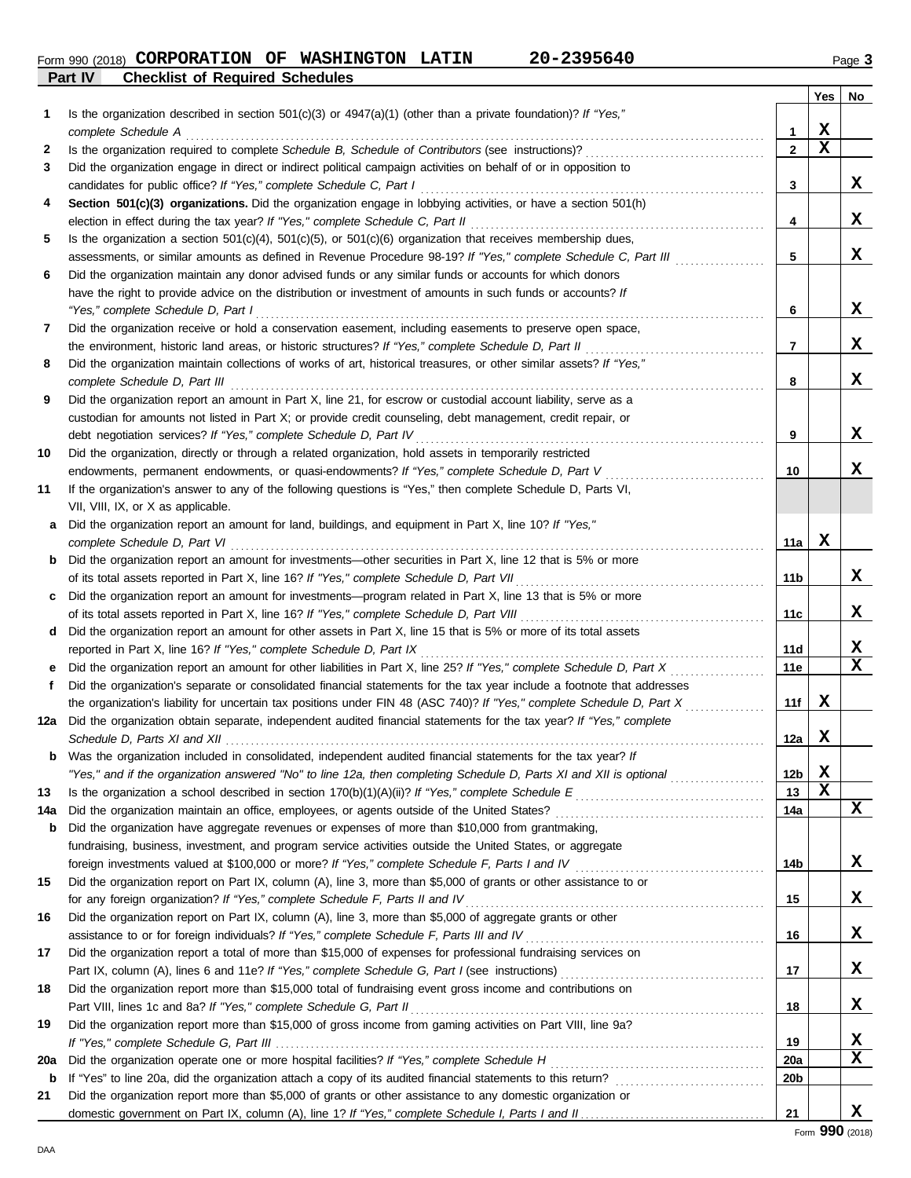**Part IV Checklist of Required Schedules Form 990 (2018) CORPORATION OF WASHINGTON LATIN 20-2395640** Page 3

|     |                                                                                                                                                                                                          |                 | Yes         | No          |
|-----|----------------------------------------------------------------------------------------------------------------------------------------------------------------------------------------------------------|-----------------|-------------|-------------|
| 1.  | Is the organization described in section $501(c)(3)$ or $4947(a)(1)$ (other than a private foundation)? If "Yes,"                                                                                        |                 |             |             |
|     | complete Schedule A                                                                                                                                                                                      | 1               | х           |             |
| 2   |                                                                                                                                                                                                          | $\mathbf{2}$    | $\mathbf x$ |             |
| 3   | Did the organization engage in direct or indirect political campaign activities on behalf of or in opposition to                                                                                         |                 |             | x           |
| 4   | candidates for public office? If "Yes," complete Schedule C, Part I<br>Section 501(c)(3) organizations. Did the organization engage in lobbying activities, or have a section 501(h)                     | 3               |             |             |
|     | election in effect during the tax year? If "Yes," complete Schedule C, Part II                                                                                                                           | 4               |             | X           |
| 5   | Is the organization a section $501(c)(4)$ , $501(c)(5)$ , or $501(c)(6)$ organization that receives membership dues,                                                                                     |                 |             |             |
|     | assessments, or similar amounts as defined in Revenue Procedure 98-19? If "Yes," complete Schedule C, Part III                                                                                           | 5               |             | x           |
| 6   | Did the organization maintain any donor advised funds or any similar funds or accounts for which donors                                                                                                  |                 |             |             |
|     | have the right to provide advice on the distribution or investment of amounts in such funds or accounts? If                                                                                              |                 |             |             |
|     | "Yes," complete Schedule D, Part I                                                                                                                                                                       | 6               |             | X           |
| 7   | Did the organization receive or hold a conservation easement, including easements to preserve open space,                                                                                                |                 |             |             |
|     | the environment, historic land areas, or historic structures? If "Yes," complete Schedule D, Part II                                                                                                     | 7               |             | x           |
| 8   | Did the organization maintain collections of works of art, historical treasures, or other similar assets? If "Yes,"                                                                                      |                 |             |             |
|     | complete Schedule D, Part III                                                                                                                                                                            | 8               |             | x           |
| 9   | Did the organization report an amount in Part X, line 21, for escrow or custodial account liability, serve as a                                                                                          |                 |             |             |
|     | custodian for amounts not listed in Part X; or provide credit counseling, debt management, credit repair, or                                                                                             |                 |             |             |
|     | debt negotiation services? If "Yes," complete Schedule D, Part IV                                                                                                                                        | 9               |             | x           |
| 10  | Did the organization, directly or through a related organization, hold assets in temporarily restricted                                                                                                  |                 |             |             |
|     | endowments, permanent endowments, or quasi-endowments? If "Yes," complete Schedule D, Part V                                                                                                             | 10              |             | x           |
| 11  | If the organization's answer to any of the following questions is "Yes," then complete Schedule D, Parts VI,                                                                                             |                 |             |             |
|     | VII, VIII, IX, or X as applicable.                                                                                                                                                                       |                 |             |             |
| а   | Did the organization report an amount for land, buildings, and equipment in Part X, line 10? If "Yes,"                                                                                                   |                 | х           |             |
|     | complete Schedule D, Part VI                                                                                                                                                                             | 11a             |             |             |
| b   | Did the organization report an amount for investments—other securities in Part X, line 12 that is 5% or more<br>of its total assets reported in Part X, line 16? If "Yes," complete Schedule D, Part VII | 11b             |             | x           |
|     | Did the organization report an amount for investments—program related in Part X, line 13 that is 5% or more                                                                                              |                 |             |             |
|     | of its total assets reported in Part X, line 16? If "Yes," complete Schedule D, Part VIII                                                                                                                | 11c             |             | X           |
| d   | Did the organization report an amount for other assets in Part X, line 15 that is 5% or more of its total assets                                                                                         |                 |             |             |
|     | reported in Part X, line 16? If "Yes," complete Schedule D, Part IX                                                                                                                                      | 11d             |             | X           |
| е   | Did the organization report an amount for other liabilities in Part X, line 25? If "Yes," complete Schedule D, Part X                                                                                    | 11e             |             | $\mathbf x$ |
| f   | Did the organization's separate or consolidated financial statements for the tax year include a footnote that addresses                                                                                  |                 |             |             |
|     | the organization's liability for uncertain tax positions under FIN 48 (ASC 740)? If "Yes," complete Schedule D, Part X                                                                                   | 11f             | х           |             |
| 12a | Did the organization obtain separate, independent audited financial statements for the tax year? If "Yes," complete                                                                                      |                 |             |             |
|     | Schedule D, Parts XI and XII [11] [11] Schedule D, Parts XI and XII                                                                                                                                      | 12a             | X           |             |
|     | Was the organization included in consolidated, independent audited financial statements for the tax year? If                                                                                             |                 |             |             |
|     | "Yes," and if the organization answered "No" to line 12a, then completing Schedule D, Parts XI and XII is optional                                                                                       | 12 <sub>b</sub> | х           |             |
| 13  |                                                                                                                                                                                                          | 13              | X           |             |
| 14a | Did the organization maintain an office, employees, or agents outside of the United States?                                                                                                              | 14a             |             | x           |
| b   | Did the organization have aggregate revenues or expenses of more than \$10,000 from grantmaking,                                                                                                         |                 |             |             |
|     | fundraising, business, investment, and program service activities outside the United States, or aggregate                                                                                                |                 |             |             |
|     | foreign investments valued at \$100,000 or more? If "Yes," complete Schedule F, Parts I and IV                                                                                                           | 14b             |             | X           |
| 15  | Did the organization report on Part IX, column (A), line 3, more than \$5,000 of grants or other assistance to or                                                                                        | 15              |             | x           |
| 16  | for any foreign organization? If "Yes," complete Schedule F, Parts II and IV<br>Did the organization report on Part IX, column (A), line 3, more than \$5,000 of aggregate grants or other               |                 |             |             |
|     | assistance to or for foreign individuals? If "Yes," complete Schedule F, Parts III and IV                                                                                                                | 16              |             | x           |
| 17  | Did the organization report a total of more than \$15,000 of expenses for professional fundraising services on                                                                                           |                 |             |             |
|     |                                                                                                                                                                                                          | 17              |             | x           |
| 18  | Did the organization report more than \$15,000 total of fundraising event gross income and contributions on                                                                                              |                 |             |             |
|     | Part VIII, lines 1c and 8a? If "Yes," complete Schedule G, Part II                                                                                                                                       | 18              |             | x           |
| 19  | Did the organization report more than \$15,000 of gross income from gaming activities on Part VIII, line 9a?                                                                                             |                 |             |             |
|     |                                                                                                                                                                                                          | 19              |             | X           |
| 20a | Did the organization operate one or more hospital facilities? If "Yes," complete Schedule H                                                                                                              | 20a             |             | X           |
| b   | If "Yes" to line 20a, did the organization attach a copy of its audited financial statements to this return?                                                                                             | 20 <sub>b</sub> |             |             |
| 21  | Did the organization report more than \$5,000 of grants or other assistance to any domestic organization or                                                                                              |                 |             |             |
|     |                                                                                                                                                                                                          | 21              |             | X           |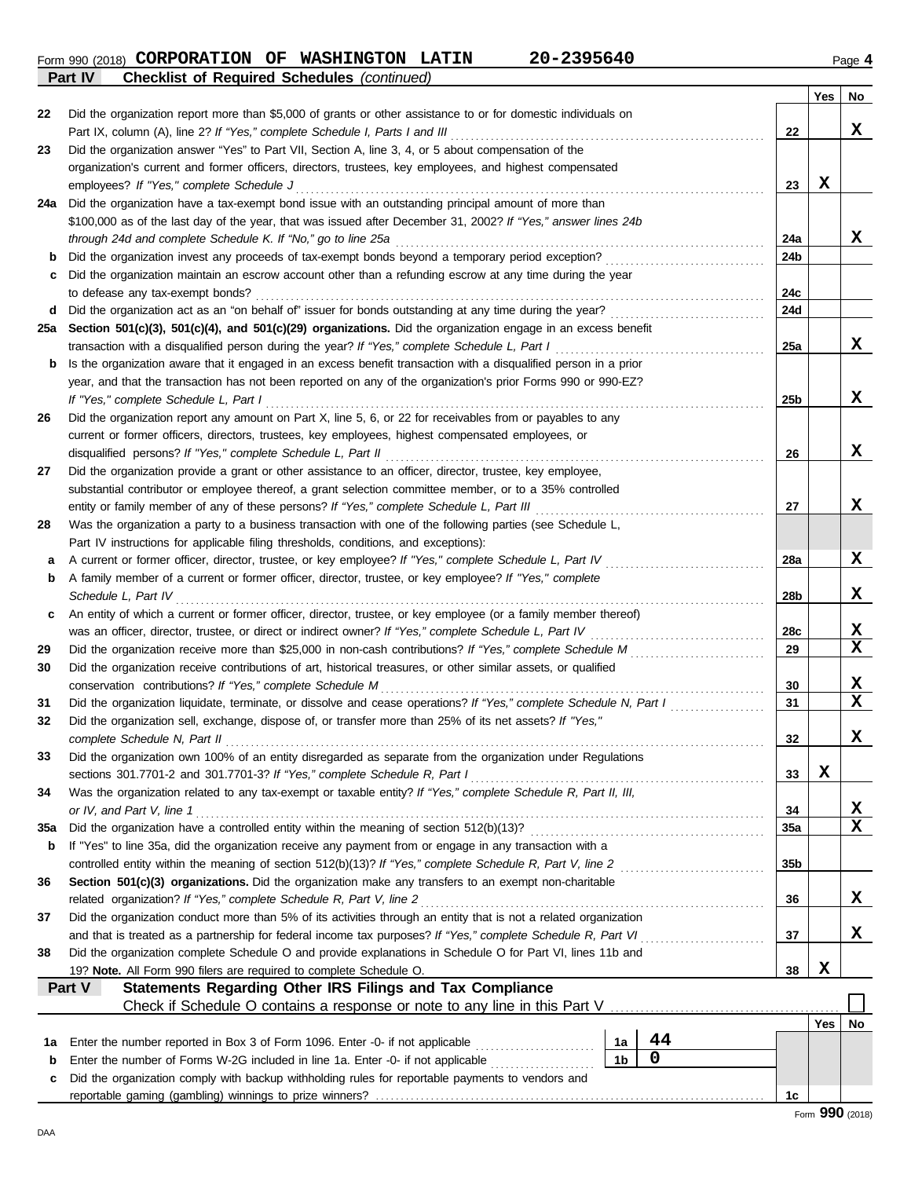**Form 990 (2018) CORPORATION OF WASHINGTON LATIN 20-2395640** Page 4 **Part IV Checklist of Required Schedules** *(continued)*

|        |                                                                                                                                                                                                                   |     | Yes         | No              |  |  |  |  |
|--------|-------------------------------------------------------------------------------------------------------------------------------------------------------------------------------------------------------------------|-----|-------------|-----------------|--|--|--|--|
| 22     | Did the organization report more than \$5,000 of grants or other assistance to or for domestic individuals on                                                                                                     |     |             |                 |  |  |  |  |
|        |                                                                                                                                                                                                                   | 22  |             | X               |  |  |  |  |
| 23     | Did the organization answer "Yes" to Part VII, Section A, line 3, 4, or 5 about compensation of the                                                                                                               |     |             |                 |  |  |  |  |
|        | organization's current and former officers, directors, trustees, key employees, and highest compensated                                                                                                           |     |             |                 |  |  |  |  |
|        | employees? If "Yes," complete Schedule J                                                                                                                                                                          | 23  | X           |                 |  |  |  |  |
| 24a    | Did the organization have a tax-exempt bond issue with an outstanding principal amount of more than                                                                                                               |     |             |                 |  |  |  |  |
|        | \$100,000 as of the last day of the year, that was issued after December 31, 2002? If "Yes," answer lines 24b                                                                                                     |     |             |                 |  |  |  |  |
|        | through 24d and complete Schedule K. If "No," go to line 25a                                                                                                                                                      | 24a |             | X               |  |  |  |  |
| b      | Did the organization invest any proceeds of tax-exempt bonds beyond a temporary period exception?                                                                                                                 | 24b |             |                 |  |  |  |  |
| c      | Did the organization maintain an escrow account other than a refunding escrow at any time during the year                                                                                                         |     |             |                 |  |  |  |  |
|        | to defease any tax-exempt bonds?                                                                                                                                                                                  | 24c |             |                 |  |  |  |  |
| d      | Did the organization act as an "on behalf of" issuer for bonds outstanding at any time during the year?                                                                                                           | 24d |             |                 |  |  |  |  |
| 25a    | Section 501(c)(3), 501(c)(4), and 501(c)(29) organizations. Did the organization engage in an excess benefit                                                                                                      |     |             |                 |  |  |  |  |
|        | transaction with a disqualified person during the year? If "Yes," complete Schedule L, Part I                                                                                                                     | 25a |             | x               |  |  |  |  |
| b      | Is the organization aware that it engaged in an excess benefit transaction with a disqualified person in a prior                                                                                                  |     |             |                 |  |  |  |  |
|        | year, and that the transaction has not been reported on any of the organization's prior Forms 990 or 990-EZ?                                                                                                      |     |             |                 |  |  |  |  |
|        | If "Yes," complete Schedule L, Part I                                                                                                                                                                             | 25b |             | X               |  |  |  |  |
| 26     | Did the organization report any amount on Part X, line 5, 6, or 22 for receivables from or payables to any                                                                                                        |     |             |                 |  |  |  |  |
|        | current or former officers, directors, trustees, key employees, highest compensated employees, or                                                                                                                 |     |             |                 |  |  |  |  |
|        | disqualified persons? If "Yes," complete Schedule L, Part II                                                                                                                                                      | 26  |             | X               |  |  |  |  |
| 27     | Did the organization provide a grant or other assistance to an officer, director, trustee, key employee,                                                                                                          |     |             |                 |  |  |  |  |
|        | substantial contributor or employee thereof, a grant selection committee member, or to a 35% controlled                                                                                                           |     |             | x               |  |  |  |  |
|        | entity or family member of any of these persons? If "Yes," complete Schedule L, Part III                                                                                                                          | 27  |             |                 |  |  |  |  |
| 28     | Was the organization a party to a business transaction with one of the following parties (see Schedule L,                                                                                                         |     |             |                 |  |  |  |  |
|        | Part IV instructions for applicable filing thresholds, conditions, and exceptions):                                                                                                                               | 28a |             | X               |  |  |  |  |
| a<br>b | A current or former officer, director, trustee, or key employee? If "Yes," complete Schedule L, Part IV<br>A family member of a current or former officer, director, trustee, or key employee? If "Yes," complete |     |             |                 |  |  |  |  |
|        | Schedule L, Part IV                                                                                                                                                                                               | 28b |             | X               |  |  |  |  |
| c      | An entity of which a current or former officer, director, trustee, or key employee (or a family member thereof)                                                                                                   |     |             |                 |  |  |  |  |
|        | was an officer, director, trustee, or direct or indirect owner? If "Yes," complete Schedule L, Part IV                                                                                                            | 28c |             | X               |  |  |  |  |
| 29     | Did the organization receive more than \$25,000 in non-cash contributions? If "Yes," complete Schedule M                                                                                                          | 29  |             | X               |  |  |  |  |
| 30     | Did the organization receive contributions of art, historical treasures, or other similar assets, or qualified                                                                                                    |     |             |                 |  |  |  |  |
|        | conservation contributions? If "Yes," complete Schedule M                                                                                                                                                         | 30  |             | х               |  |  |  |  |
| 31     | Did the organization liquidate, terminate, or dissolve and cease operations? If "Yes," complete Schedule N, Part I                                                                                                | 31  |             | $\mathbf x$     |  |  |  |  |
| 32     | Did the organization sell, exchange, dispose of, or transfer more than 25% of its net assets? If "Yes,"                                                                                                           |     |             |                 |  |  |  |  |
|        |                                                                                                                                                                                                                   | 32  |             | X               |  |  |  |  |
| 33     | Did the organization own 100% of an entity disregarded as separate from the organization under Regulations                                                                                                        |     |             |                 |  |  |  |  |
|        | sections 301.7701-2 and 301.7701-3? If "Yes," complete Schedule R, Part I                                                                                                                                         | 33  | X           |                 |  |  |  |  |
| 34     | Was the organization related to any tax-exempt or taxable entity? If "Yes," complete Schedule R, Part II, III,                                                                                                    |     |             |                 |  |  |  |  |
|        | or IV, and Part V, line 1                                                                                                                                                                                         | 34  |             | X               |  |  |  |  |
| 35a    |                                                                                                                                                                                                                   | 35a |             | $\mathbf x$     |  |  |  |  |
| b      | If "Yes" to line 35a, did the organization receive any payment from or engage in any transaction with a                                                                                                           |     |             |                 |  |  |  |  |
|        |                                                                                                                                                                                                                   | 35b |             |                 |  |  |  |  |
| 36     | Section 501(c)(3) organizations. Did the organization make any transfers to an exempt non-charitable                                                                                                              |     |             |                 |  |  |  |  |
|        | related organization? If "Yes," complete Schedule R, Part V, line 2                                                                                                                                               | 36  |             | X               |  |  |  |  |
| 37     | Did the organization conduct more than 5% of its activities through an entity that is not a related organization                                                                                                  |     |             | X               |  |  |  |  |
|        |                                                                                                                                                                                                                   |     |             |                 |  |  |  |  |
| 38     | Did the organization complete Schedule O and provide explanations in Schedule O for Part VI, lines 11b and                                                                                                        |     |             |                 |  |  |  |  |
|        | 19? Note. All Form 990 filers are required to complete Schedule O.                                                                                                                                                | 38  | $\mathbf x$ |                 |  |  |  |  |
|        | Statements Regarding Other IRS Filings and Tax Compliance<br>Part V                                                                                                                                               |     |             |                 |  |  |  |  |
|        | Check if Schedule O contains a response or note to any line in this Part V [11] Check if Schedule O contains a response or note to any line in this Part V                                                        |     |             |                 |  |  |  |  |
|        |                                                                                                                                                                                                                   |     | Yes         | No              |  |  |  |  |
| 1a     | 44<br>Enter the number reported in Box 3 of Form 1096. Enter -0- if not applicable [[[[[[[[[[[[[[[[[[[[[[[[[[[[[[[[<br>1a                                                                                         |     |             |                 |  |  |  |  |
| b      | 0<br>1 <sub>b</sub><br>Enter the number of Forms W-2G included in line 1a. Enter -0- if not applicable [1] [1] [1] [1] [1] [1] Enter -0- if not applicable                                                        |     |             |                 |  |  |  |  |
| c      | Did the organization comply with backup withholding rules for reportable payments to vendors and                                                                                                                  |     |             |                 |  |  |  |  |
|        |                                                                                                                                                                                                                   | 1c  |             |                 |  |  |  |  |
|        |                                                                                                                                                                                                                   |     |             | Form 990 (2018) |  |  |  |  |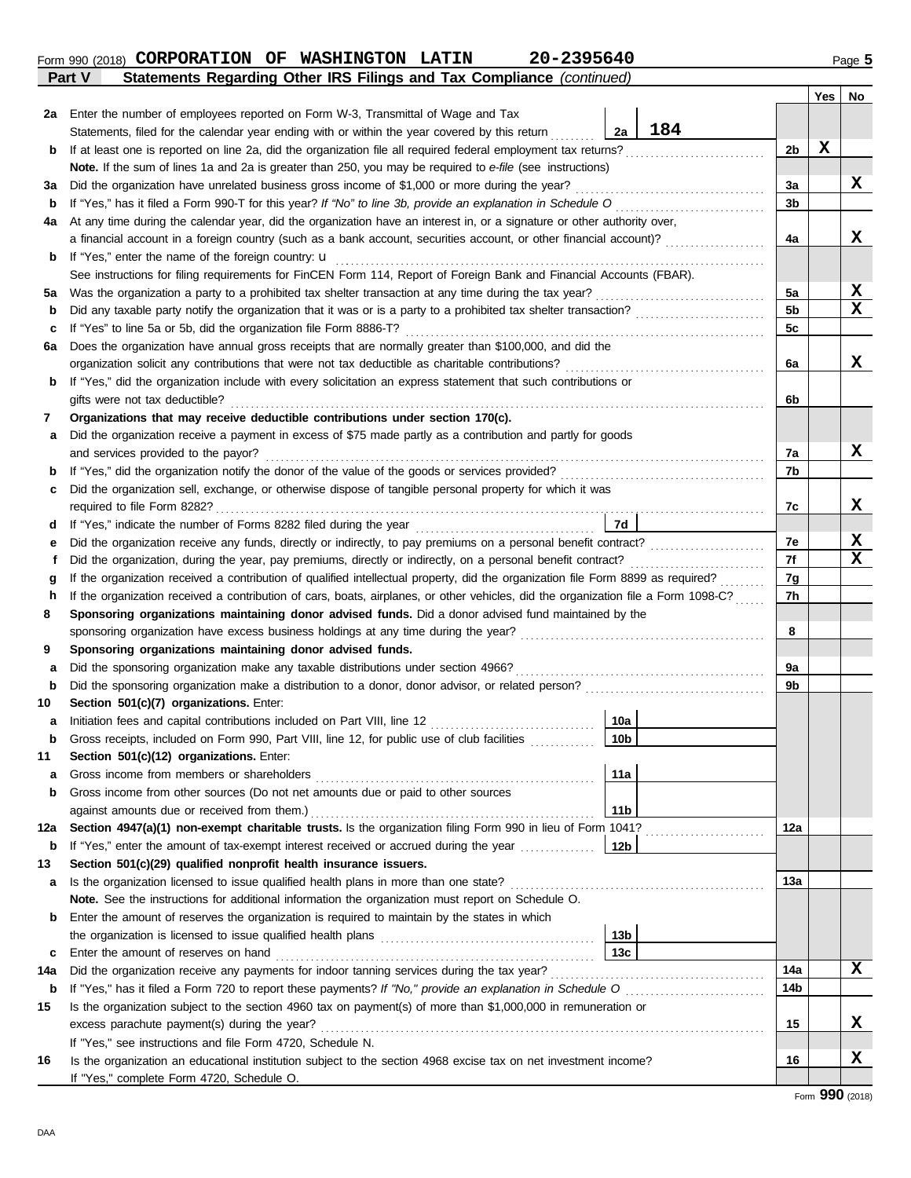DAA

|        |                                                                                                                                                                                |                 |     |                | Yes | No              |  |  |  |  |
|--------|--------------------------------------------------------------------------------------------------------------------------------------------------------------------------------|-----------------|-----|----------------|-----|-----------------|--|--|--|--|
| 2a     | Enter the number of employees reported on Form W-3, Transmittal of Wage and Tax                                                                                                |                 |     |                |     |                 |  |  |  |  |
|        | Statements, filed for the calendar year ending with or within the year covered by this return                                                                                  | 2a              | 184 |                |     |                 |  |  |  |  |
| b      | If at least one is reported on line 2a, did the organization file all required federal employment tax returns?                                                                 |                 |     | 2b             | х   |                 |  |  |  |  |
|        | Note. If the sum of lines 1a and 2a is greater than 250, you may be required to e-file (see instructions)                                                                      |                 |     |                |     |                 |  |  |  |  |
| за     | Did the organization have unrelated business gross income of \$1,000 or more during the year?                                                                                  |                 |     | 3a             |     | X               |  |  |  |  |
| b      |                                                                                                                                                                                |                 |     | 3b             |     |                 |  |  |  |  |
| 4a     | At any time during the calendar year, did the organization have an interest in, or a signature or other authority over,                                                        |                 |     |                |     |                 |  |  |  |  |
|        | a financial account in a foreign country (such as a bank account, securities account, or other financial account)?                                                             |                 |     | 4a             |     | X               |  |  |  |  |
|        | If "Yes," enter the name of the foreign country: u<br>b<br>See instructions for filing requirements for FinCEN Form 114, Report of Foreign Bank and Financial Accounts (FBAR). |                 |     |                |     |                 |  |  |  |  |
| 5a     | Was the organization a party to a prohibited tax shelter transaction at any time during the tax year?                                                                          |                 |     | 5a             |     | х               |  |  |  |  |
| b      |                                                                                                                                                                                |                 |     | 5 <sub>b</sub> |     | X               |  |  |  |  |
| c      | If "Yes" to line 5a or 5b, did the organization file Form 8886-T?                                                                                                              |                 |     | 5c             |     |                 |  |  |  |  |
| 6а     | Does the organization have annual gross receipts that are normally greater than \$100,000, and did the                                                                         |                 |     |                |     |                 |  |  |  |  |
|        | organization solicit any contributions that were not tax deductible as charitable contributions?                                                                               |                 |     | 6a             |     | X               |  |  |  |  |
| b      | If "Yes," did the organization include with every solicitation an express statement that such contributions or                                                                 |                 |     |                |     |                 |  |  |  |  |
|        | gifts were not tax deductible?                                                                                                                                                 |                 |     | 6b             |     |                 |  |  |  |  |
| 7      | Organizations that may receive deductible contributions under section 170(c).                                                                                                  |                 |     |                |     |                 |  |  |  |  |
| а      | Did the organization receive a payment in excess of \$75 made partly as a contribution and partly for goods                                                                    |                 |     |                |     |                 |  |  |  |  |
|        | and services provided to the payor?                                                                                                                                            |                 |     | 7a             |     | X               |  |  |  |  |
| b      |                                                                                                                                                                                |                 |     | 7b             |     |                 |  |  |  |  |
| c      | Did the organization sell, exchange, or otherwise dispose of tangible personal property for which it was                                                                       |                 |     |                |     |                 |  |  |  |  |
|        |                                                                                                                                                                                |                 |     | 7c             |     | x               |  |  |  |  |
| d      |                                                                                                                                                                                | 7d              |     |                |     |                 |  |  |  |  |
| е      |                                                                                                                                                                                |                 |     | 7e             |     | X<br>X          |  |  |  |  |
| f      | Did the organization, during the year, pay premiums, directly or indirectly, on a personal benefit contract?                                                                   |                 |     |                |     |                 |  |  |  |  |
| g      | If the organization received a contribution of qualified intellectual property, did the organization file Form 8899 as required?                                               |                 |     |                |     |                 |  |  |  |  |
| h      | If the organization received a contribution of cars, boats, airplanes, or other vehicles, did the organization file a Form 1098-C?                                             |                 |     | 7h             |     |                 |  |  |  |  |
| 8      | Sponsoring organizations maintaining donor advised funds. Did a donor advised fund maintained by the                                                                           |                 |     |                |     |                 |  |  |  |  |
|        | sponsoring organization have excess business holdings at any time during the year?                                                                                             |                 |     | 8              |     |                 |  |  |  |  |
| 9      | Sponsoring organizations maintaining donor advised funds.                                                                                                                      |                 |     |                |     |                 |  |  |  |  |
| а      | Did the sponsoring organization make any taxable distributions under section 4966?                                                                                             |                 |     | 9a             |     |                 |  |  |  |  |
| b      |                                                                                                                                                                                |                 |     | 9b             |     |                 |  |  |  |  |
| 10     | Section 501(c)(7) organizations. Enter:                                                                                                                                        |                 |     |                |     |                 |  |  |  |  |
| а      | Initiation fees and capital contributions included on Part VIII, line 12                                                                                                       | 10a             |     |                |     |                 |  |  |  |  |
| b      | Gross receipts, included on Form 990, Part VIII, line 12, for public use of club facilities                                                                                    | 10 <sub>b</sub> |     |                |     |                 |  |  |  |  |
| 11     | Section 501(c)(12) organizations. Enter:                                                                                                                                       | 11a             |     |                |     |                 |  |  |  |  |
| a<br>b | Gross income from other sources (Do not net amounts due or paid to other sources                                                                                               |                 |     |                |     |                 |  |  |  |  |
|        | against amounts due or received from them.)                                                                                                                                    | 11 <sub>b</sub> |     |                |     |                 |  |  |  |  |
| 12a    | Section 4947(a)(1) non-exempt charitable trusts. Is the organization filing Form 990 in lieu of Form 1041?                                                                     |                 |     | 12a            |     |                 |  |  |  |  |
| b      |                                                                                                                                                                                |                 |     |                |     |                 |  |  |  |  |
| 13     | Section 501(c)(29) qualified nonprofit health insurance issuers.                                                                                                               |                 |     |                |     |                 |  |  |  |  |
| a      |                                                                                                                                                                                |                 |     | 13а            |     |                 |  |  |  |  |
|        | Note. See the instructions for additional information the organization must report on Schedule O.                                                                              |                 |     |                |     |                 |  |  |  |  |
| b      | Enter the amount of reserves the organization is required to maintain by the states in which                                                                                   |                 |     |                |     |                 |  |  |  |  |
|        |                                                                                                                                                                                | 13 <sub>b</sub> |     |                |     |                 |  |  |  |  |
| c      |                                                                                                                                                                                | 13 <sub>c</sub> |     |                |     |                 |  |  |  |  |
| 14a    | Did the organization receive any payments for indoor tanning services during the tax year?                                                                                     |                 |     | 14a            |     | x               |  |  |  |  |
| b      |                                                                                                                                                                                |                 |     | 14b            |     |                 |  |  |  |  |
| 15     | Is the organization subject to the section 4960 tax on payment(s) of more than \$1,000,000 in remuneration or                                                                  |                 |     |                |     |                 |  |  |  |  |
|        |                                                                                                                                                                                |                 |     | 15             |     | x               |  |  |  |  |
|        | If "Yes," see instructions and file Form 4720, Schedule N.                                                                                                                     |                 |     |                |     |                 |  |  |  |  |
| 16     | Is the organization an educational institution subject to the section 4968 excise tax on net investment income?                                                                |                 |     | 16             |     | X               |  |  |  |  |
|        | If "Yes," complete Form 4720, Schedule O.                                                                                                                                      |                 |     |                |     |                 |  |  |  |  |
|        |                                                                                                                                                                                |                 |     |                |     | Form 990 (2018) |  |  |  |  |

# **Part V Statements Regarding Other IRS Filings and Tax Compliance** *(continued)* **Form 990 (2018) CORPORATION OF WASHINGTON LATIN 20-2395640** Page 5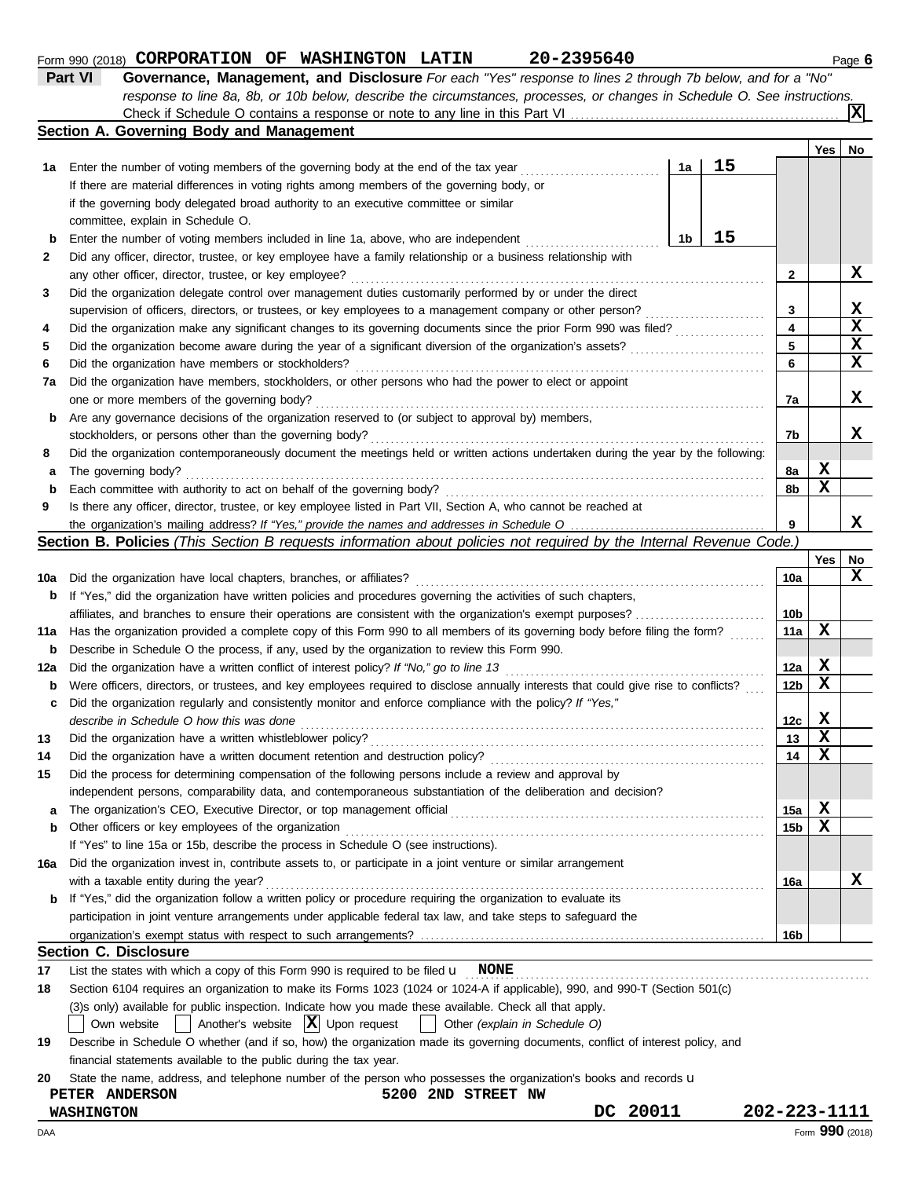# **Form 990 (2018) CORPORATION OF WASHINGTON LATIN 20-2395640** Page 6

| Part VI | Governance, Management, and Disclosure For each "Yes" response to lines 2 through 7b below, and for a "No"                |
|---------|---------------------------------------------------------------------------------------------------------------------------|
|         | response to line 8a, 8b, or 10b below, describe the circumstances, processes, or changes in Schedule O. See instructions. |
|         | $\boxed{\text{X}}$<br>Check if Schedule O contains a response or note to any line in this Part VI                         |

|     | Section A. Governing Body and Management                                                                                            |                         |             |             |
|-----|-------------------------------------------------------------------------------------------------------------------------------------|-------------------------|-------------|-------------|
|     |                                                                                                                                     |                         | Yes         | No          |
|     | 15<br>1a<br>1a Enter the number of voting members of the governing body at the end of the tax year                                  |                         |             |             |
|     | If there are material differences in voting rights among members of the governing body, or                                          |                         |             |             |
|     | if the governing body delegated broad authority to an executive committee or similar                                                |                         |             |             |
|     | committee, explain in Schedule O.                                                                                                   |                         |             |             |
| b   | 15<br>1b<br>Enter the number of voting members included in line 1a, above, who are independent                                      |                         |             |             |
| 2   | Did any officer, director, trustee, or key employee have a family relationship or a business relationship with                      |                         |             |             |
|     | any other officer, director, trustee, or key employee?                                                                              | $\mathbf{2}$            |             | x           |
| 3   | Did the organization delegate control over management duties customarily performed by or under the direct                           |                         |             |             |
|     | supervision of officers, directors, or trustees, or key employees to a management company or other person?                          | 3                       |             | х           |
| 4   | Did the organization make any significant changes to its governing documents since the prior Form 990 was filed?                    | $\overline{\mathbf{4}}$ |             | $\mathbf x$ |
| 5   |                                                                                                                                     | 5                       |             | $\mathbf x$ |
| 6   | Did the organization have members or stockholders?                                                                                  | 6                       |             | X           |
| 7a  | Did the organization have members, stockholders, or other persons who had the power to elect or appoint                             |                         |             |             |
|     | one or more members of the governing body?                                                                                          | 7a                      |             | x           |
| b   | Are any governance decisions of the organization reserved to (or subject to approval by) members,                                   |                         |             |             |
|     | stockholders, or persons other than the governing body?                                                                             | 7b                      |             | x           |
| 8   | Did the organization contemporaneously document the meetings held or written actions undertaken during the year by the following:   |                         |             |             |
| а   | The governing body?                                                                                                                 | 8а                      | X           |             |
| b   | Each committee with authority to act on behalf of the governing body?                                                               | 8b                      | $\mathbf x$ |             |
| 9   | Is there any officer, director, trustee, or key employee listed in Part VII, Section A, who cannot be reached at                    |                         |             |             |
|     |                                                                                                                                     | 9                       |             | X           |
|     | Section B. Policies (This Section B requests information about policies not required by the Internal Revenue Code.)                 |                         |             |             |
|     |                                                                                                                                     |                         | Yes         | No          |
|     | 10a Did the organization have local chapters, branches, or affiliates?                                                              | 10a                     |             | X           |
| b   | If "Yes," did the organization have written policies and procedures governing the activities of such chapters,                      |                         |             |             |
|     | affiliates, and branches to ensure their operations are consistent with the organization's exempt purposes?                         | 10 <sub>b</sub>         |             |             |
|     | 11a Has the organization provided a complete copy of this Form 990 to all members of its governing body before filing the form?     | 11a                     | X           |             |
| b   | Describe in Schedule O the process, if any, used by the organization to review this Form 990.                                       |                         |             |             |
| 12a | Did the organization have a written conflict of interest policy? If "No," go to line 13                                             | 12a                     | X           |             |
| b   | Were officers, directors, or trustees, and key employees required to disclose annually interests that could give rise to conflicts? | 12 <sub>b</sub>         | $\mathbf x$ |             |
| c   | Did the organization regularly and consistently monitor and enforce compliance with the policy? If "Yes,"                           |                         |             |             |
|     | describe in Schedule O how this was done                                                                                            | 12c                     | X           |             |
| 13  | Did the organization have a written whistleblower policy?                                                                           | 13                      | $\mathbf x$ |             |
| 14  |                                                                                                                                     | 14                      | $\mathbf x$ |             |
| 15  | Did the process for determining compensation of the following persons include a review and approval by                              |                         |             |             |
|     | independent persons, comparability data, and contemporaneous substantiation of the deliberation and decision?                       |                         |             |             |
| а   | The organization's CEO, Executive Director, or top management official                                                              | 15a                     | X           |             |
| b   | Other officers or key employees of the organization                                                                                 | 15b                     | X           |             |
|     | If "Yes" to line 15a or 15b, describe the process in Schedule O (see instructions).                                                 |                         |             |             |
| 16a | Did the organization invest in, contribute assets to, or participate in a joint venture or similar arrangement                      |                         |             |             |
|     | with a taxable entity during the year?                                                                                              | 16a                     |             | X           |
| b   | If "Yes," did the organization follow a written policy or procedure requiring the organization to evaluate its                      |                         |             |             |
|     | participation in joint venture arrangements under applicable federal tax law, and take steps to safeguard the                       |                         |             |             |
|     |                                                                                                                                     | 16b                     |             |             |
|     | <b>Section C. Disclosure</b>                                                                                                        |                         |             |             |
| 17  | List the states with which a copy of this Form 990 is required to be filed $\mathbf{u}$ NONE                                        |                         |             |             |
| 18  | Section 6104 requires an organization to make its Forms 1023 (1024 or 1024-A if applicable), 990, and 990-T (Section 501(c)         |                         |             |             |
|     | (3)s only) available for public inspection. Indicate how you made these available. Check all that apply.                            |                         |             |             |
|     | Another's website $ \mathbf{X} $ Upon request<br>Own website<br>Other (explain in Schedule O)                                       |                         |             |             |
| 19  | Describe in Schedule O whether (and if so, how) the organization made its governing documents, conflict of interest policy, and     |                         |             |             |
|     | financial statements available to the public during the tax year.                                                                   |                         |             |             |

| 20 State the name, address, and telephone number of the person who possesses the organization's books and records <b>u</b> |  |  |  |  |
|----------------------------------------------------------------------------------------------------------------------------|--|--|--|--|

# **PETER ANDERSON 6200 2ND STREET NW**<br>WASHINGTON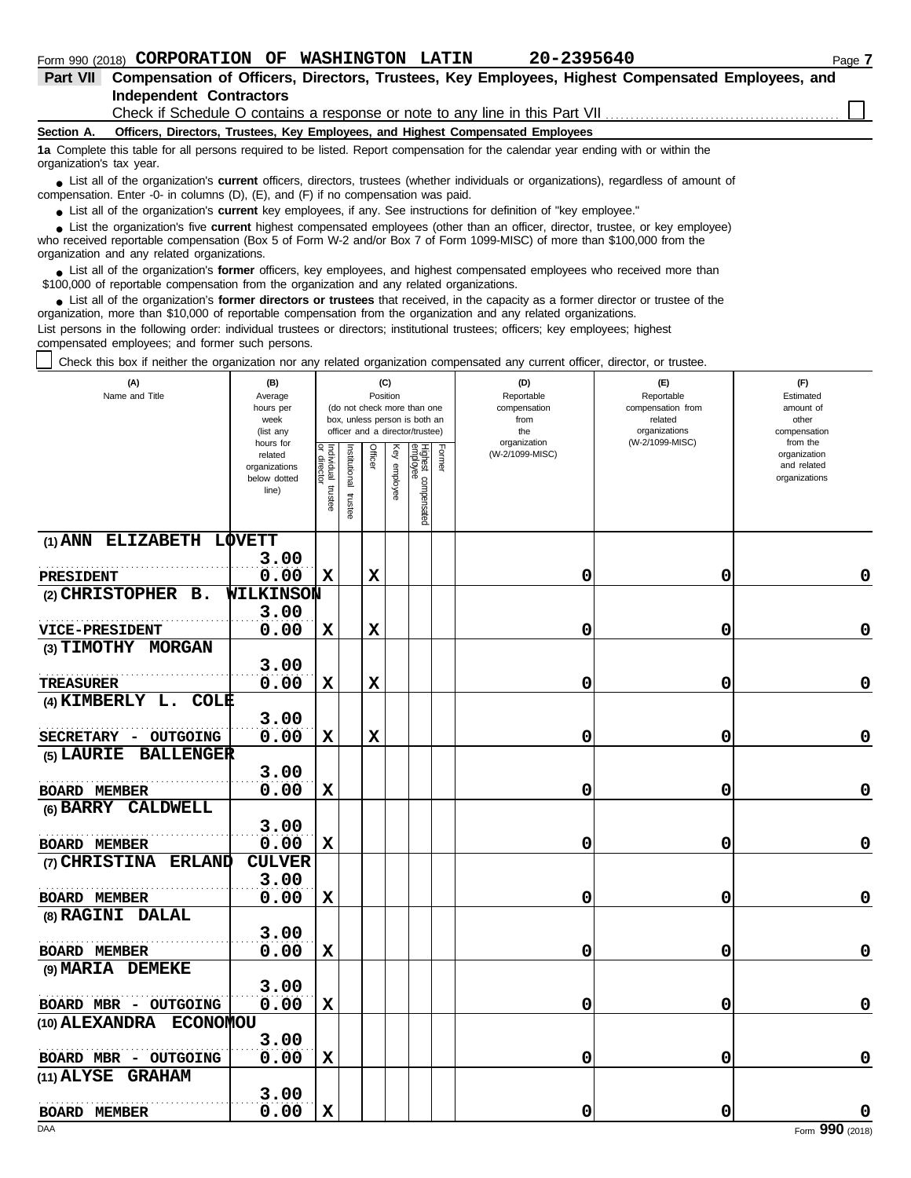|            | Part VII Compensation of Officers, Directors, Trustees, Key Employees, Highest Compensated Employees, and |
|------------|-----------------------------------------------------------------------------------------------------------|
|            | Independent Contractors                                                                                   |
|            |                                                                                                           |
| Section A. | Officers, Directors, Trustees, Key Employees, and Highest Compensated Employees                           |

**1a** Complete this table for all persons required to be listed. Report compensation for the calendar year ending with or within the organization's tax year.

■ List all of the organization's **current** officers, directors, trustees (whether individuals or organizations), regardless of amount of the companies of amount of compensation. Enter -0- in columns (D), (E), and (F) if no compensation was paid.

● List all of the organization's **current** key employees, if any. See instructions for definition of "key employee."

■ List the organization's five **current** highest compensated employees (other than an officer, director, trustee, or key employee)<br> **•** Preceived reportable compensation (Box 5 of Form W.2 and/or Box 7 of Form 1000 MISC)

who received reportable compensation (Box 5 of Form W-2 and/or Box 7 of Form 1099-MISC) of more than \$100,000 from the organization and any related organizations.

■ List all of the organization's **former** officers, key employees, and highest compensated employees who received more than<br> **•** 00,000 of reportable compensation from the ergonization and any related ergonizations \$100,000 of reportable compensation from the organization and any related organizations.

■ List all of the organization's **former directors or trustees** that received, in the capacity as a former director or trustee of the<br>paization, more than \$10,000 of reportable compensation from the organization and any r organization, more than \$10,000 of reportable compensation from the organization and any related organizations. List persons in the following order: individual trustees or directors; institutional trustees; officers; key employees; highest

compensated employees; and former such persons.

Check this box if neither the organization nor any related organization compensated any current officer, director, or trustee.

| (A)<br>(B)<br>Name and Title<br>Average<br>hours per<br>week<br>(list any<br>hours for |                                                   |                                      |                         | (C)<br>Position |              | (do not check more than one<br>box, unless person is both an<br>officer and a director/trustee) |        | (D)<br>Reportable<br>compensation<br>from<br>the | (E)<br>Reportable<br>compensation from<br>related<br>organizations<br>(W-2/1099-MISC) | (F)<br>Estimated<br>amount of<br>other<br>compensation<br>from the |
|----------------------------------------------------------------------------------------|---------------------------------------------------|--------------------------------------|-------------------------|-----------------|--------------|-------------------------------------------------------------------------------------------------|--------|--------------------------------------------------|---------------------------------------------------------------------------------------|--------------------------------------------------------------------|
|                                                                                        | related<br>organizations<br>below dotted<br>line) | Individual<br>or director<br>trustee | nstitutional<br>trustee | Officer         | Key employee | Highest compensated<br>employee                                                                 | Former | organization<br>(W-2/1099-MISC)                  |                                                                                       | organization<br>and related<br>organizations                       |
| (1) ANN ELIZABETH LOVETT                                                               |                                                   |                                      |                         |                 |              |                                                                                                 |        |                                                  |                                                                                       |                                                                    |
| <b>PRESIDENT</b>                                                                       | 3.00<br>0.00                                      | $\mathbf x$                          |                         | X               |              |                                                                                                 |        | 0                                                | 0                                                                                     | 0                                                                  |
| (2) CHRISTOPHER B.                                                                     | <b>WILKINSON</b>                                  |                                      |                         |                 |              |                                                                                                 |        |                                                  |                                                                                       |                                                                    |
|                                                                                        | 3.00                                              |                                      |                         |                 |              |                                                                                                 |        |                                                  |                                                                                       |                                                                    |
| <b>VICE-PRESIDENT</b>                                                                  | 0.00                                              | X                                    |                         | X               |              |                                                                                                 |        | 0                                                | 0                                                                                     | 0                                                                  |
| (3) TIMOTHY MORGAN                                                                     |                                                   |                                      |                         |                 |              |                                                                                                 |        |                                                  |                                                                                       |                                                                    |
|                                                                                        | 3.00                                              |                                      |                         |                 |              |                                                                                                 |        |                                                  |                                                                                       |                                                                    |
| <b>TREASURER</b>                                                                       | 0.00                                              | $\mathbf x$                          |                         | $\mathbf x$     |              |                                                                                                 |        | 0                                                | 0                                                                                     | 0                                                                  |
| (4) KIMBERLY L. COLE                                                                   |                                                   |                                      |                         |                 |              |                                                                                                 |        |                                                  |                                                                                       |                                                                    |
|                                                                                        | 3.00                                              |                                      |                         |                 |              |                                                                                                 |        |                                                  |                                                                                       |                                                                    |
| SECRETARY - OUTGOING<br>$(5)$ LAURIE<br><b>BALLENGER</b>                               | 0.00                                              | $\mathbf x$                          |                         | X               |              |                                                                                                 |        | 0                                                | 0                                                                                     | 0                                                                  |
|                                                                                        | 3.00                                              |                                      |                         |                 |              |                                                                                                 |        |                                                  |                                                                                       |                                                                    |
| <b>BOARD MEMBER</b>                                                                    | 0.00                                              | x                                    |                         |                 |              |                                                                                                 |        | 0                                                | 0                                                                                     | 0                                                                  |
| (6) BARRY CALDWELL                                                                     |                                                   |                                      |                         |                 |              |                                                                                                 |        |                                                  |                                                                                       |                                                                    |
|                                                                                        | 3.00                                              |                                      |                         |                 |              |                                                                                                 |        |                                                  |                                                                                       |                                                                    |
| <b>BOARD MEMBER</b>                                                                    | 0.00                                              | $\mathbf x$                          |                         |                 |              |                                                                                                 |        | 0                                                | 0                                                                                     | 0                                                                  |
| (7) CHRISTINA ERLAND                                                                   | <b>CULVER</b>                                     |                                      |                         |                 |              |                                                                                                 |        |                                                  |                                                                                       |                                                                    |
|                                                                                        | 3.00                                              |                                      |                         |                 |              |                                                                                                 |        |                                                  |                                                                                       |                                                                    |
| <b>BOARD MEMBER</b>                                                                    | 0.00                                              | $\mathbf x$                          |                         |                 |              |                                                                                                 |        | 0                                                | 0                                                                                     | 0                                                                  |
| (8) RAGINI DALAL                                                                       |                                                   |                                      |                         |                 |              |                                                                                                 |        |                                                  |                                                                                       |                                                                    |
|                                                                                        | 3.00<br>0.00                                      | $\mathbf x$                          |                         |                 |              |                                                                                                 |        | 0                                                | 0                                                                                     | 0                                                                  |
| <b>BOARD MEMBER</b><br>(9) MARIA DEMEKE                                                |                                                   |                                      |                         |                 |              |                                                                                                 |        |                                                  |                                                                                       |                                                                    |
|                                                                                        | 3.00                                              |                                      |                         |                 |              |                                                                                                 |        |                                                  |                                                                                       |                                                                    |
| BOARD MBR - OUTGOING                                                                   | 0.00                                              | $\mathbf x$                          |                         |                 |              |                                                                                                 |        | 0                                                | 0                                                                                     | 0                                                                  |
| (10) ALEXANDRA<br><b>ECONOMOU</b>                                                      |                                                   |                                      |                         |                 |              |                                                                                                 |        |                                                  |                                                                                       |                                                                    |
|                                                                                        | 3.00                                              |                                      |                         |                 |              |                                                                                                 |        |                                                  |                                                                                       |                                                                    |
| BOARD MBR - OUTGOING                                                                   | 0.00                                              | X                                    |                         |                 |              |                                                                                                 |        | 0                                                | 0                                                                                     | 0                                                                  |
| (11) ALYSE GRAHAM                                                                      |                                                   |                                      |                         |                 |              |                                                                                                 |        |                                                  |                                                                                       |                                                                    |
|                                                                                        | 3.00                                              |                                      |                         |                 |              |                                                                                                 |        |                                                  |                                                                                       |                                                                    |
| <b>BOARD MEMBER</b><br>DAA                                                             | 0.00                                              | $\mathbf x$                          |                         |                 |              |                                                                                                 |        | 0                                                | 0                                                                                     | O<br>Form 990 (2018)                                               |
|                                                                                        |                                                   |                                      |                         |                 |              |                                                                                                 |        |                                                  |                                                                                       |                                                                    |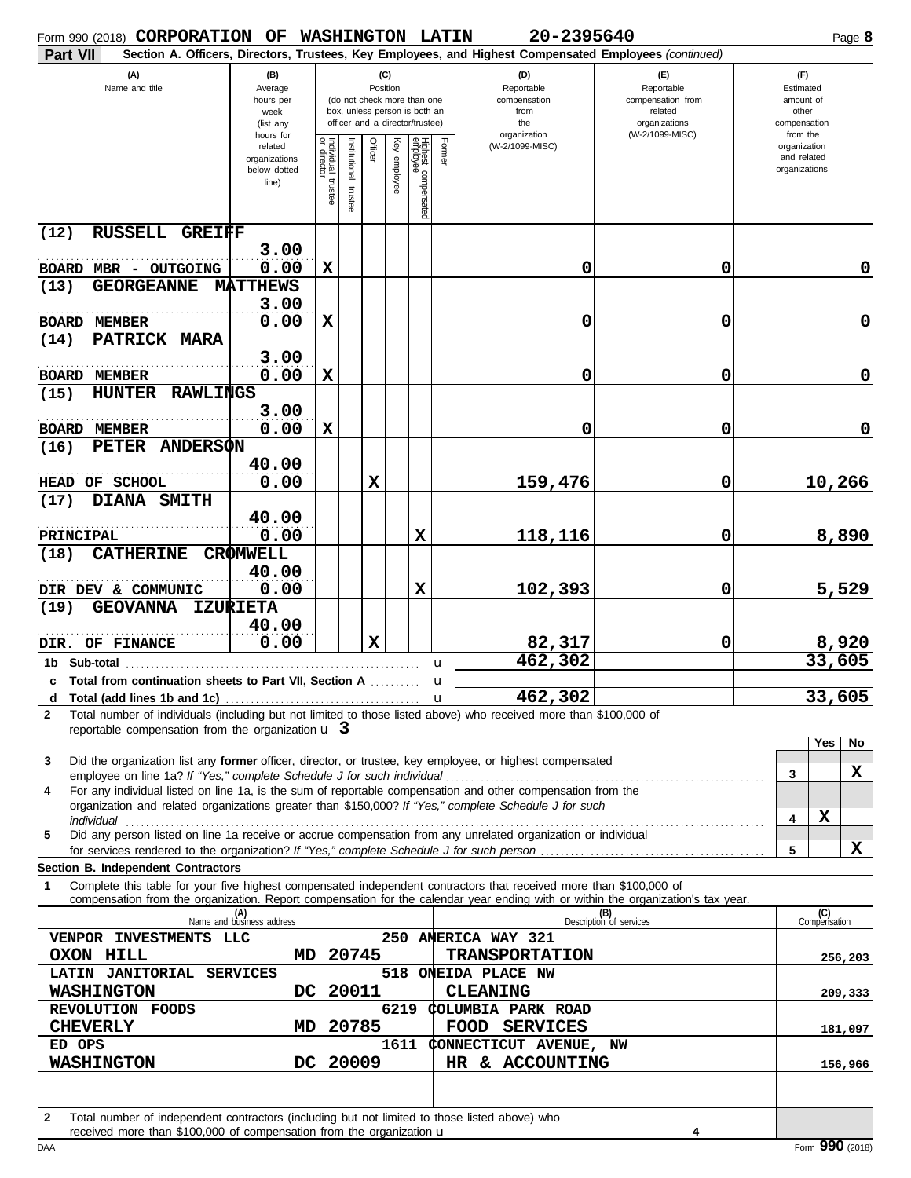|                             | Form 990 (2018) CORPORATION OF                                                                                                                                        |                                                                |                                      |                         |             |                 | <b>WASHINGTON LATIN</b>                                                                         |        | 20-2395640                                                                                                                                                                                                                                             |                                                                    |                                                          | Page 8      |
|-----------------------------|-----------------------------------------------------------------------------------------------------------------------------------------------------------------------|----------------------------------------------------------------|--------------------------------------|-------------------------|-------------|-----------------|-------------------------------------------------------------------------------------------------|--------|--------------------------------------------------------------------------------------------------------------------------------------------------------------------------------------------------------------------------------------------------------|--------------------------------------------------------------------|----------------------------------------------------------|-------------|
| Part VII                    |                                                                                                                                                                       |                                                                |                                      |                         |             |                 |                                                                                                 |        | Section A. Officers, Directors, Trustees, Key Employees, and Highest Compensated Employees (continued)                                                                                                                                                 |                                                                    |                                                          |             |
|                             | (A)<br>Name and title                                                                                                                                                 | (B)<br>Average<br>hours per<br>week<br>(list any               |                                      |                         | Position    | (C)             | (do not check more than one<br>box, unless person is both an<br>officer and a director/trustee) |        | (D)<br>Reportable<br>compensation<br>from<br>the                                                                                                                                                                                                       | (F)<br>Reportable<br>compensation from<br>related<br>organizations | (F)<br>Estimated<br>amount of<br>other<br>compensation   |             |
|                             |                                                                                                                                                                       | hours for<br>related<br>organizations<br>below dotted<br>line) | Individual<br>or director<br>trustee | nstitutional<br>trustee | Officer     | Ķêλ<br>employee | Highest compensated<br>employee                                                                 | Former | organization<br>(W-2/1099-MISC)                                                                                                                                                                                                                        | (W-2/1099-MISC)                                                    | from the<br>organization<br>and related<br>organizations |             |
| (12)                        | <b>RUSSELL</b><br><b>GREIFF</b>                                                                                                                                       |                                                                |                                      |                         |             |                 |                                                                                                 |        |                                                                                                                                                                                                                                                        |                                                                    |                                                          |             |
|                             | BOARD MBR - OUTGOING                                                                                                                                                  | 3.00<br>0.00                                                   | $\mathbf x$                          |                         |             |                 |                                                                                                 |        | 0                                                                                                                                                                                                                                                      | 0                                                                  |                                                          | $\mathbf 0$ |
| (13)                        | <b>GEORGEANNE</b>                                                                                                                                                     | <b>MATTHEWS</b>                                                |                                      |                         |             |                 |                                                                                                 |        |                                                                                                                                                                                                                                                        |                                                                    |                                                          |             |
|                             |                                                                                                                                                                       | 3.00                                                           |                                      |                         |             |                 |                                                                                                 |        |                                                                                                                                                                                                                                                        |                                                                    |                                                          |             |
| <b>BOARD MEMBER</b>         |                                                                                                                                                                       | 0.00                                                           | $\mathbf x$                          |                         |             |                 |                                                                                                 |        | 0                                                                                                                                                                                                                                                      | 0                                                                  |                                                          | $\mathbf 0$ |
| (14)                        | PATRICK MARA                                                                                                                                                          | 3.00                                                           |                                      |                         |             |                 |                                                                                                 |        |                                                                                                                                                                                                                                                        |                                                                    |                                                          |             |
| <b>BOARD MEMBER</b><br>(15) | RAWLINGS<br><b>HUNTER</b>                                                                                                                                             | 0.00                                                           | $\mathbf x$                          |                         |             |                 |                                                                                                 |        | 0                                                                                                                                                                                                                                                      | 0                                                                  |                                                          | $\mathbf 0$ |
|                             |                                                                                                                                                                       | 3.00                                                           |                                      |                         |             |                 |                                                                                                 |        |                                                                                                                                                                                                                                                        |                                                                    |                                                          |             |
| <b>BOARD MEMBER</b>         |                                                                                                                                                                       | 0.00                                                           | $\mathbf x$                          |                         |             |                 |                                                                                                 |        | 0                                                                                                                                                                                                                                                      | 0                                                                  |                                                          | $\mathbf 0$ |
| (16)                        | <b>ANDERSON</b><br><b>PETER</b>                                                                                                                                       |                                                                |                                      |                         |             |                 |                                                                                                 |        |                                                                                                                                                                                                                                                        |                                                                    |                                                          |             |
| HEAD OF SCHOOL              |                                                                                                                                                                       | 40.00<br>0.00                                                  |                                      |                         | $\mathbf x$ |                 |                                                                                                 |        | 159,476                                                                                                                                                                                                                                                | 0                                                                  |                                                          | 10,266      |
| (17)                        | <b>DIANA SMITH</b>                                                                                                                                                    |                                                                |                                      |                         |             |                 |                                                                                                 |        |                                                                                                                                                                                                                                                        |                                                                    |                                                          |             |
| <b>PRINCIPAL</b>            |                                                                                                                                                                       | 40.00<br>0.00                                                  |                                      |                         |             |                 | $\mathbf x$                                                                                     |        | 118,116                                                                                                                                                                                                                                                | 0                                                                  |                                                          | 8,890       |
| (18)                        | <b>CATHERINE</b>                                                                                                                                                      | <b>CROMWELL</b>                                                |                                      |                         |             |                 |                                                                                                 |        |                                                                                                                                                                                                                                                        |                                                                    |                                                          |             |
|                             |                                                                                                                                                                       | 40.00                                                          |                                      |                         |             |                 |                                                                                                 |        |                                                                                                                                                                                                                                                        |                                                                    |                                                          |             |
| (19)                        | DIR DEV & COMMUNIC<br><b>GEOVANNA</b>                                                                                                                                 | 0.00<br><b>IZURIETA</b>                                        |                                      |                         |             |                 | $\mathbf x$                                                                                     |        | 102,393                                                                                                                                                                                                                                                | 0                                                                  |                                                          | 5,529       |
|                             |                                                                                                                                                                       | 40.00                                                          |                                      |                         |             |                 |                                                                                                 |        |                                                                                                                                                                                                                                                        |                                                                    |                                                          |             |
| DIR. OF FINANCE             |                                                                                                                                                                       | 0.00                                                           |                                      |                         | $\mathbf x$ |                 |                                                                                                 |        | 82,317                                                                                                                                                                                                                                                 | 0                                                                  |                                                          | 8,920       |
| 1b Sub-total                |                                                                                                                                                                       |                                                                |                                      |                         |             |                 |                                                                                                 | u      | 462,302                                                                                                                                                                                                                                                |                                                                    |                                                          | 33,605      |
|                             | c Total from continuation sheets to Part VII, Section A                                                                                                               |                                                                |                                      |                         |             |                 |                                                                                                 | u      | 462,302                                                                                                                                                                                                                                                |                                                                    |                                                          | 33,605      |
| 2                           |                                                                                                                                                                       |                                                                |                                      |                         |             |                 |                                                                                                 |        | Total number of individuals (including but not limited to those listed above) who received more than \$100,000 of                                                                                                                                      |                                                                    |                                                          |             |
|                             | reportable compensation from the organization $\mathbf{u}$ 3                                                                                                          |                                                                |                                      |                         |             |                 |                                                                                                 |        |                                                                                                                                                                                                                                                        |                                                                    |                                                          |             |
| 3                           |                                                                                                                                                                       |                                                                |                                      |                         |             |                 |                                                                                                 |        | Did the organization list any former officer, director, or trustee, key employee, or highest compensated                                                                                                                                               |                                                                    | Yes                                                      | No          |
|                             |                                                                                                                                                                       |                                                                |                                      |                         |             |                 |                                                                                                 |        |                                                                                                                                                                                                                                                        |                                                                    | 3                                                        | X           |
| 4                           |                                                                                                                                                                       |                                                                |                                      |                         |             |                 |                                                                                                 |        | For any individual listed on line 1a, is the sum of reportable compensation and other compensation from the<br>organization and related organizations greater than \$150,000? If "Yes," complete Schedule J for such                                   |                                                                    | $\mathbf x$<br>4                                         |             |
| 5                           |                                                                                                                                                                       |                                                                |                                      |                         |             |                 |                                                                                                 |        | Did any person listed on line 1a receive or accrue compensation from any unrelated organization or individual                                                                                                                                          |                                                                    |                                                          |             |
|                             | for services rendered to the organization? If "Yes," complete Schedule J for such person                                                                              |                                                                |                                      |                         |             |                 |                                                                                                 |        |                                                                                                                                                                                                                                                        |                                                                    | 5                                                        | X           |
| $\mathbf 1$                 | Section B. Independent Contractors                                                                                                                                    |                                                                |                                      |                         |             |                 |                                                                                                 |        | Complete this table for your five highest compensated independent contractors that received more than \$100,000 of<br>compensation from the organization. Report compensation for the calendar year ending with or within the organization's tax year. |                                                                    |                                                          |             |
|                             |                                                                                                                                                                       | (A)<br>Name and business address                               |                                      |                         |             |                 |                                                                                                 |        |                                                                                                                                                                                                                                                        | (B)<br>Description of services                                     | (C)<br>Compensation                                      |             |
|                             | VENPOR INVESTMENTS LLC                                                                                                                                                |                                                                |                                      |                         |             |                 |                                                                                                 |        | 250 AMERICA WAY 321                                                                                                                                                                                                                                    |                                                                    |                                                          |             |
| OXON HILL                   |                                                                                                                                                                       | MD                                                             |                                      | 20745                   |             |                 |                                                                                                 |        | <b>TRANSPORTATION</b>                                                                                                                                                                                                                                  |                                                                    |                                                          | 256,203     |
| <b>WASHINGTON</b>           | LATIN JANITORIAL SERVICES                                                                                                                                             | DC.                                                            |                                      | 20011                   |             |                 |                                                                                                 |        | 518 ONEIDA PLACE NW<br><b>CLEANING</b>                                                                                                                                                                                                                 |                                                                    |                                                          |             |
|                             | REVOLUTION FOODS                                                                                                                                                      |                                                                |                                      |                         |             |                 |                                                                                                 |        | 6219 COLUMBIA PARK ROAD                                                                                                                                                                                                                                |                                                                    |                                                          | 209,333     |
| <b>CHEVERLY</b>             |                                                                                                                                                                       | MD.                                                            |                                      | 20785                   |             |                 |                                                                                                 |        | FOOD SERVICES                                                                                                                                                                                                                                          |                                                                    |                                                          | 181,097     |
| ED OPS                      |                                                                                                                                                                       |                                                                |                                      |                         |             |                 |                                                                                                 |        | 1611 CONNECTICUT AVENUE, NW                                                                                                                                                                                                                            |                                                                    |                                                          |             |
| <b>WASHINGTON</b>           |                                                                                                                                                                       | DC.                                                            |                                      | 20009                   |             |                 |                                                                                                 |        | HR & ACCOUNTING                                                                                                                                                                                                                                        |                                                                    |                                                          | 156,966     |
|                             |                                                                                                                                                                       |                                                                |                                      |                         |             |                 |                                                                                                 |        |                                                                                                                                                                                                                                                        |                                                                    |                                                          |             |
| $\mathbf{2}$                | Total number of independent contractors (including but not limited to those listed above) who<br>received more than \$100,000 of compensation from the organization u |                                                                |                                      |                         |             |                 |                                                                                                 |        |                                                                                                                                                                                                                                                        |                                                                    |                                                          |             |

|  | communication of made privative communication privative minimizer to model model award primate |  |
|--|------------------------------------------------------------------------------------------------|--|
|  | received more than \$100,000 of compensation from the organization <b>u</b>                    |  |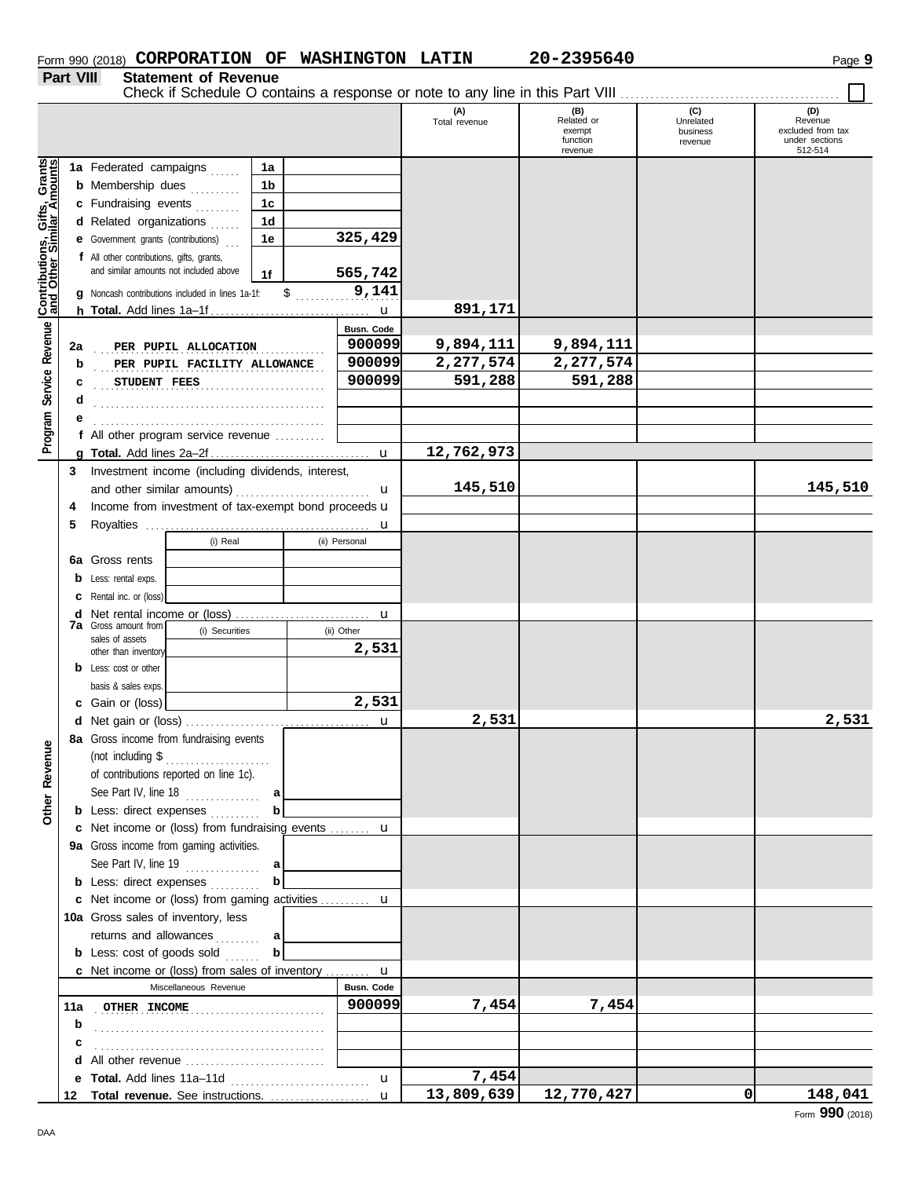|                  | Form 990 (2018) CORPORATION OF WASHINGTON LATIN |  | 20-2395640 | Page $9$ |
|------------------|-------------------------------------------------|--|------------|----------|
| <b>Part VIII</b> | <b>Statement of Revenue</b>                     |  |            |          |

# **Statement of Revenue**

Check if Schedule O contains a response or note to any line in this Part VIII . . . . . . . . . . . . . . . . . . . . . . . . . . . . . . . . . . . . . . . . . . . .

|                              |    |                                                                  |                |                   | (A)<br>Total revenue | (B)<br>Related or<br>exempt | (C)<br>Unrelated<br>business | (D)<br>Revenue<br>excluded from tax |
|------------------------------|----|------------------------------------------------------------------|----------------|-------------------|----------------------|-----------------------------|------------------------------|-------------------------------------|
|                              |    |                                                                  |                |                   |                      | function<br>revenue         | revenue                      | under sections<br>512-514           |
|                              |    | 1a Federated campaigns                                           | 1a             |                   |                      |                             |                              |                                     |
|                              |    | <b>b</b> Membership dues <i></i> .                               | 1b             |                   |                      |                             |                              |                                     |
| Contributions, Gifts, Grants |    | c Fundraising events                                             | 1c             |                   |                      |                             |                              |                                     |
|                              |    | d Related organizations                                          | 1 <sub>d</sub> |                   |                      |                             |                              |                                     |
|                              |    | <b>e</b> Government grants (contributions)                       | 1e             | 325,429           |                      |                             |                              |                                     |
|                              |    | f All other contributions, gifts, grants,                        |                |                   |                      |                             |                              |                                     |
|                              |    | and similar amounts not included above                           | 1f             | 565,742           |                      |                             |                              |                                     |
|                              |    | g Noncash contributions included in lines 1a-1f:                 | $\mathsf{\$}$  | 9,141             |                      |                             |                              |                                     |
|                              |    |                                                                  |                |                   | 891,171              |                             |                              |                                     |
|                              |    |                                                                  |                | <b>Busn. Code</b> |                      |                             |                              |                                     |
|                              | 2a | PER PUPIL ALLOCATION                                             |                | 900099            | 9,894,111            | 9,894,111                   |                              |                                     |
|                              | b  | PER PUPIL FACILITY ALLOWANCE                                     |                | 900099            | 2,277,574            | 2,277,574                   |                              |                                     |
| Program Service Revenue      | c  | STUDENT FEES                                                     |                | 900099            | 591,288              | 591,288                     |                              |                                     |
|                              | d  |                                                                  |                |                   |                      |                             |                              |                                     |
|                              |    |                                                                  |                |                   |                      |                             |                              |                                     |
|                              |    | f All other program service revenue                              |                |                   |                      |                             |                              |                                     |
|                              |    |                                                                  |                | $\mathbf u$       | 12,762,973           |                             |                              |                                     |
|                              | 3  | Investment income (including dividends, interest,                |                |                   |                      |                             |                              |                                     |
|                              |    | and other similar amounts)                                       |                | u                 | 145,510              |                             |                              | 145,510                             |
|                              | 4  | Income from investment of tax-exempt bond proceeds u             |                |                   |                      |                             |                              |                                     |
|                              | 5  |                                                                  |                | u                 |                      |                             |                              |                                     |
|                              |    | (i) Real                                                         |                | (ii) Personal     |                      |                             |                              |                                     |
|                              |    | 6a Gross rents                                                   |                |                   |                      |                             |                              |                                     |
|                              | b  | Less: rental exps.                                               |                |                   |                      |                             |                              |                                     |
|                              |    | Rental inc. or (loss)                                            |                |                   |                      |                             |                              |                                     |
|                              |    |                                                                  |                | u                 |                      |                             |                              |                                     |
|                              |    | <b>7a</b> Gross amount from<br>(i) Securities<br>sales of assets |                | (ii) Other        |                      |                             |                              |                                     |
|                              |    | other than inventory                                             |                | 2,531             |                      |                             |                              |                                     |
|                              |    | <b>b</b> Less: cost or other                                     |                |                   |                      |                             |                              |                                     |
|                              |    | basis & sales exps.                                              |                |                   |                      |                             |                              |                                     |
|                              |    | c Gain or (loss)                                                 |                | 2,531             |                      |                             |                              |                                     |
|                              |    |                                                                  |                |                   | 2,531                |                             |                              | 2,531                               |
|                              |    | 8a Gross income from fundraising events                          |                |                   |                      |                             |                              |                                     |
| enue                         |    |                                                                  |                |                   |                      |                             |                              |                                     |
|                              |    | of contributions reported on line 1c).                           |                |                   |                      |                             |                              |                                     |
|                              |    | See Part IV, line $18$                                           | a              |                   |                      |                             |                              |                                     |
| Other Rev                    |    | <b>b</b> Less: direct expenses                                   | b              |                   |                      |                             |                              |                                     |
|                              |    | c Net income or (loss) from fundraising events  u                |                |                   |                      |                             |                              |                                     |
|                              |    | 9a Gross income from gaming activities.                          |                |                   |                      |                             |                              |                                     |
|                              |    | See Part IV, line 19 $\ldots$                                    | a              |                   |                      |                             |                              |                                     |
|                              |    | <b>b</b> Less: direct expenses                                   | b              |                   |                      |                             |                              |                                     |
|                              |    | c Net income or (loss) from gaming activities  u                 |                |                   |                      |                             |                              |                                     |
|                              |    | 10a Gross sales of inventory, less                               |                |                   |                      |                             |                              |                                     |
|                              |    | returns and allowances                                           | a              |                   |                      |                             |                              |                                     |
|                              |    | <b>b</b> Less: cost of goods sold                                | b              |                   |                      |                             |                              |                                     |
|                              |    | <b>c</b> Net income or (loss) from sales of inventory            |                | u                 |                      |                             |                              |                                     |
|                              |    | Miscellaneous Revenue                                            |                | <b>Busn. Code</b> |                      |                             |                              |                                     |
|                              |    | 11a OTHER INCOME                                                 |                | 900099            | 7,454                | 7,454                       |                              |                                     |
|                              | b  |                                                                  |                |                   |                      |                             |                              |                                     |
|                              | c  |                                                                  |                |                   |                      |                             |                              |                                     |
|                              |    | d All other revenue                                              |                |                   |                      |                             |                              |                                     |
|                              |    |                                                                  |                | $\mathbf{u}$      | 7,454                |                             |                              |                                     |
|                              |    | 12 Total revenue. See instructions.                              |                | u                 | 13,809,639           | 12,770,427                  | 0                            | 148,041                             |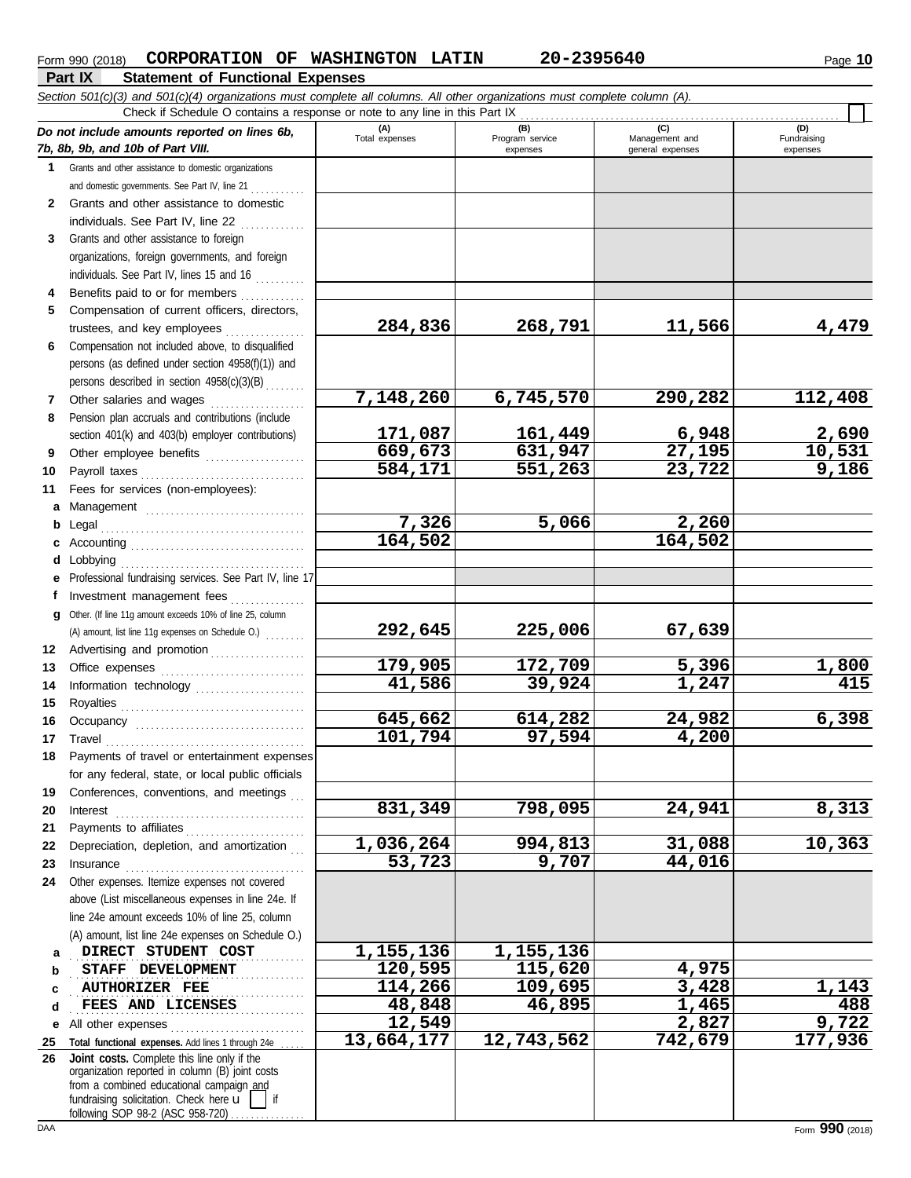**Part IX Statement of Functional Expenses Form 990 (2018) CORPORATION OF WASHINGTON LATIN 20-2395640** Page 10 *Section 501(c)(3) and 501(c)(4) organizations must complete all columns. All other organizations must complete column (A). Do not include amounts reported on lines 6b, 7b, 8b, 9b, and 10b of Part VIII.* **1 2 3** Grants and other assistance to foreign **4 5 6 7 8 9 10 11 a** Management ................................. **b** Legal . . . . . . . . . . . . . . . . . . . . . . . . . . . . . . . . . . . . . . . . . **c** Accounting . . . . . . . . . . . . . . . . . . . . . . . . . . . . . . . . . . . **d** Lobbying . . . . . . . . . . . . . . . . . . . . . . . . . . . . . . . . . . . . . **e** Professional fundraising services. See Part IV, line 17 **f g** Other. (If line 11g amount exceeds 10% of line 25, column **12** Advertising and promotion . . . . . . . . . . . . . . . . . . **13 14 15 16 17 18** Grants and other assistance to domestic organizations and domestic governments. See Part IV, line 21 . . . . . . . . . . . Grants and other assistance to domestic individuals. See Part IV, line 22 organizations, foreign governments, and foreign individuals. See Part IV, lines 15 and 16 Benefits paid to or for members . . . . . . . . . . . . Compensation of current officers, directors, trustees, and key employees . . . . . . . . . . . . . . . . Compensation not included above, to disqualified persons (as defined under section 4958(f)(1)) and persons described in section 4958(c)(3)(B) . . . . . . . . Other salaries and wages ................... Pension plan accruals and contributions (include section 401(k) and 403(b) employer contributions) Other employee benefits .................... Payroll taxes . . . . . . . . . . . . . . . . . . . . . . . . . . . . . . . . . Fees for services (non-employees): Investment management fees ................ Office expenses ................................ Information technology ...................... Royalties . . . . . . . . . . . . . . . . . . . . . . . . . . . . . . . . . . . . . Occupancy . . . . . . . . . . . . . . . . . . . . . . . . . . . . . . . . . . Travel . . . . . . . . . . . . . . . . . . . . . . . . . . . . . . . . . . . . . . . . Payments of travel or entertainment expenses for any federal, state, or local public officials **(A) (B) (C) (D)** Total expenses Program service Management and expenses and general expenses (D)<br>Fundraising expenses Check if Schedule O contains a response or note to any line in this Part IX (A) amount, list line 11g expenses on Schedule O.) . . . . . . . . **284,836 268,791 11,566 4,479 7,148,260 6,745,570 290,282 112,408 171,087 161,449 6,948 2,690 669,673 631,947 27,195 10,531 584,171 551,263 23,722 9,186 7,326 5,066 2,260 164,502 164,502 292,645 225,006 67,639 179,905 172,709 5,396 1,800 41,586 39,924 1,247 415 645,662 614,282 24,982 6,398 101,794 97,594 4,200**

. . . . . . . . . . . . . . . . . . . . . . . . . . . . . . . . . . . . . . . . . . . . . . . **STAFF DEVELOPMENT 120,595 115,620 4,975**

**831,349 798,095 24,941 8,313**

**1,036,264 994,813 31,088 10,363**

**53,723 9,707 44,016**

**13,664,177 12,743,562 742,679 177,936**

**19 20** Conferences, conventions, and meetings Interest . . . . . . . . . . . . . . . . . . . . . . . . . . . . . . . . . . . . . .

**21 22** Depreciation, depletion, and amortization . . . **23 24** Payments to affiliates . . . . . . . . . . . . . . . . . . . . . . . . Insurance . . . . . . . . . . . . . . . . . . . . . . . . . . . . . . . . . . . . Other expenses. Itemize expenses not covered

**a** above (List miscellaneous expenses in line 24e. If line 24e amount exceeds 10% of line 25, column (A) amount, list line 24e expenses on Schedule O.) **DIRECT STUDENT COST 1,155,136 1,155,136** 

**b**

**c d e** All other expenses . . . . . . . . . . . . . . . . . . . . . . . . . . . **25 Total functional expenses.** Add lines 1 through 24e . . . . . **26** fundraising solicitation. Check here  $\mathbf{u}$  | if organization reported in column (B) joint costs from a combined educational campaign and following SOP 98-2 (ASC 958-720) . . . . . . . . . . . . . . . . . . . . . . . . . . . . . . . . . . . . . . . . . . . . . . . **AUTHORIZER FEE 114,266 109,695 3,428 1,143** . . . . . . . . . . . . . . . . . . . . . . . . . . . . . . . . . . . . . . . . . . . . . . . **FEES AND LICENSES 48,848 46,895 1,465 488 Joint costs.** Complete this line only if the **12,549 2,827 9,722**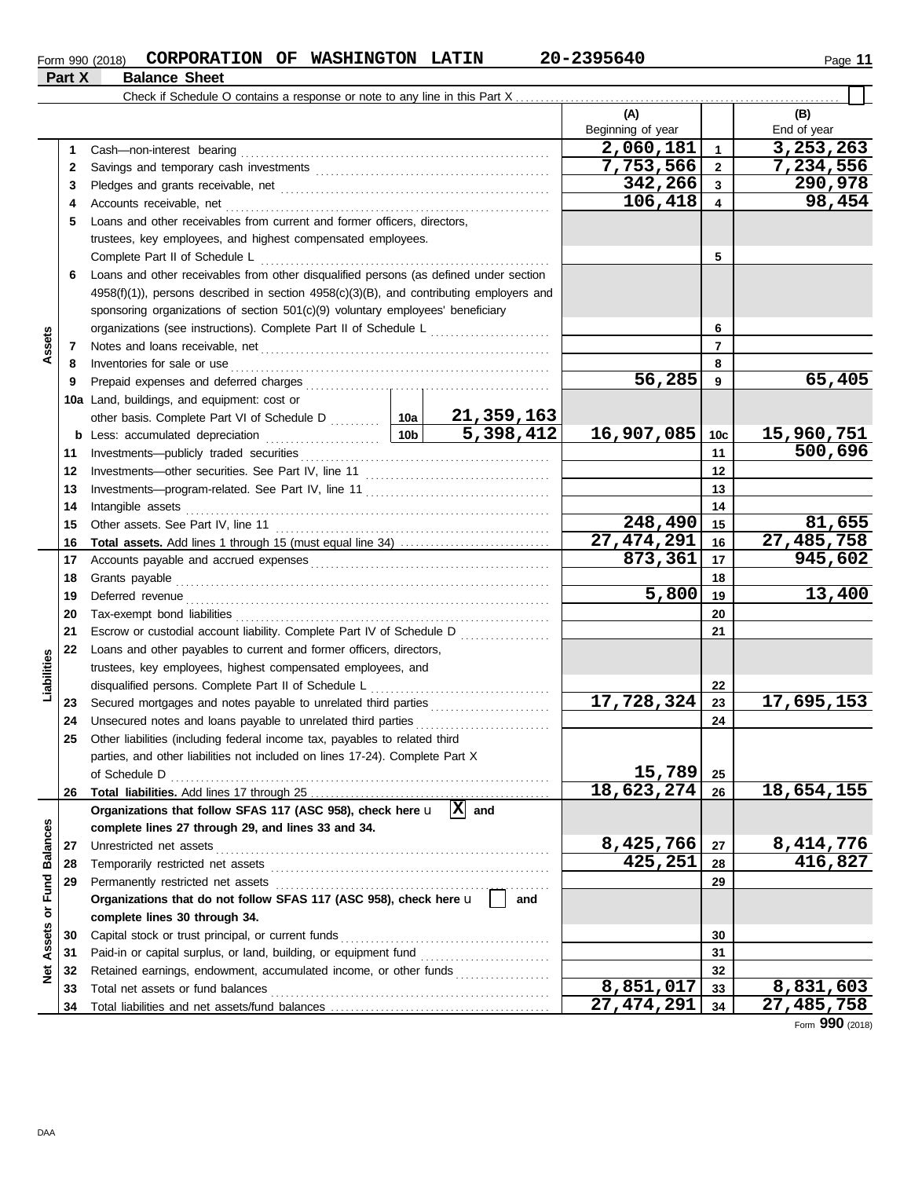## Form 990 (2018) **CORPORATION OF WASHINGTON LATIN 20-2395640 Page 11 Part X Balance Sheet**

|                 |          |                                                                                                                                                                                                                                     |  |            | (A)               |                 | (B)                     |
|-----------------|----------|-------------------------------------------------------------------------------------------------------------------------------------------------------------------------------------------------------------------------------------|--|------------|-------------------|-----------------|-------------------------|
|                 |          |                                                                                                                                                                                                                                     |  |            | Beginning of year |                 | End of year             |
|                 | 1        | Cash-non-interest bearing                                                                                                                                                                                                           |  |            | 2,060,181         | $\mathbf{1}$    | 3,253,263               |
|                 | 2        |                                                                                                                                                                                                                                     |  |            | 7,753,566         | $\mathbf{2}$    | 7,234,556               |
|                 | 3        |                                                                                                                                                                                                                                     |  |            | 342,266           | $\mathbf{3}$    | 290,978                 |
|                 | 4        | Accounts receivable, net                                                                                                                                                                                                            |  |            | 106,418           | 4               | 98,454                  |
|                 | 5        | Loans and other receivables from current and former officers, directors,                                                                                                                                                            |  |            |                   |                 |                         |
|                 |          | trustees, key employees, and highest compensated employees.                                                                                                                                                                         |  |            |                   |                 |                         |
|                 |          | Complete Part II of Schedule L                                                                                                                                                                                                      |  |            |                   | 5               |                         |
|                 | 6        | Loans and other receivables from other disqualified persons (as defined under section                                                                                                                                               |  |            |                   |                 |                         |
|                 |          | $4958(f)(1)$ ), persons described in section $4958(c)(3)(B)$ , and contributing employers and                                                                                                                                       |  |            |                   |                 |                         |
|                 |          | sponsoring organizations of section 501(c)(9) voluntary employees' beneficiary                                                                                                                                                      |  |            |                   |                 |                         |
|                 |          | organizations (see instructions). Complete Part II of Schedule L                                                                                                                                                                    |  |            |                   | 6               |                         |
| Assets          | 7        | Notes and loans receivable, net manufactured and contact and loans receivable, net manufactured and contact and contact and contact and contact and contact and contact and contact and contact and contact and contact and co      |  |            |                   | 7               |                         |
|                 | 8        | Inventories for sale or use <i>communication</i> and the state or use of the contract of the state or use of the state or the state or the state or the state or the state or the state of the state or the state or the state or t |  |            | 8                 |                 |                         |
|                 | 9        |                                                                                                                                                                                                                                     |  |            | 56,285            | 9               | 65,405                  |
|                 |          | 10a Land, buildings, and equipment: cost or                                                                                                                                                                                         |  |            |                   |                 |                         |
|                 |          |                                                                                                                                                                                                                                     |  | 21,359,163 |                   |                 |                         |
|                 |          |                                                                                                                                                                                                                                     |  | 5,398,412  | 16,907,085        | 10 <sub>c</sub> | 15,960,751              |
|                 | 11       |                                                                                                                                                                                                                                     |  |            |                   | 11              | 500,696                 |
|                 | 12       |                                                                                                                                                                                                                                     |  |            | 12                |                 |                         |
|                 | 13       |                                                                                                                                                                                                                                     |  |            | 13                |                 |                         |
|                 | 14       | Intangible assets                                                                                                                                                                                                                   |  |            | 14                |                 |                         |
|                 | 15       |                                                                                                                                                                                                                                     |  | 248,490    | 15                | 81,655          |                         |
|                 | 16       | Total assets. Add lines 1 through 15 (must equal line 34)                                                                                                                                                                           |  |            | 27, 474, 291      | 16              | 27,485,758              |
|                 | 17       |                                                                                                                                                                                                                                     |  | 873,361    | 17                | 945,602         |                         |
|                 | 18       | Grants payable                                                                                                                                                                                                                      |  | 18         |                   |                 |                         |
|                 | 19       |                                                                                                                                                                                                                                     |  |            | 5,800             | 19              | 13,400                  |
|                 | 20       |                                                                                                                                                                                                                                     |  |            | 20                |                 |                         |
|                 | 21       | Escrow or custodial account liability. Complete Part IV of Schedule D                                                                                                                                                               |  |            | 21                |                 |                         |
|                 | 22       | Loans and other payables to current and former officers, directors,                                                                                                                                                                 |  |            |                   |                 |                         |
| Liabilities     |          | trustees, key employees, highest compensated employees, and                                                                                                                                                                         |  |            |                   |                 |                         |
|                 |          | disqualified persons. Complete Part II of Schedule L                                                                                                                                                                                |  |            |                   | 22              |                         |
|                 | 23       | Secured mortgages and notes payable to unrelated third parties [111] Secured mortgages and notes payable to unrelated third parties                                                                                                 |  |            | 17,728,324        | 23              | $\overline{17,695,153}$ |
|                 | 24       | Unsecured notes and loans payable to unrelated third parties                                                                                                                                                                        |  |            |                   | 24              |                         |
|                 | 25       | Other liabilities (including federal income tax, payables to related third                                                                                                                                                          |  |            |                   |                 |                         |
|                 |          | parties, and other liabilities not included on lines 17-24). Complete Part X                                                                                                                                                        |  |            |                   |                 |                         |
|                 |          | of Schedule D                                                                                                                                                                                                                       |  |            | 15,789            | 25              |                         |
|                 | 26       |                                                                                                                                                                                                                                     |  |            | 18,623,274        | 26              | 18,654,155              |
|                 |          | Organizations that follow SFAS 117 (ASC 958), check here $\mathbf{u}$   $\overline{\mathbf{X}}$ and                                                                                                                                 |  |            |                   |                 |                         |
| <b>Balances</b> |          | complete lines 27 through 29, and lines 33 and 34.                                                                                                                                                                                  |  |            |                   |                 |                         |
|                 | 27       | Unrestricted net assets                                                                                                                                                                                                             |  |            | 8,425,766         | 27              | 8, 414, 776             |
|                 | 28       |                                                                                                                                                                                                                                     |  |            | 425,251           | 28              | 416,827                 |
| or Fund         | 29       | Permanently restricted net assets                                                                                                                                                                                                   |  |            |                   | 29              |                         |
|                 |          | Organizations that do not follow SFAS 117 (ASC 958), check here u                                                                                                                                                                   |  | and        |                   |                 |                         |
|                 |          | complete lines 30 through 34.                                                                                                                                                                                                       |  |            |                   |                 |                         |
| Assets          | 30       | Capital stock or trust principal, or current funds                                                                                                                                                                                  |  |            |                   | 30              |                         |
|                 | 31       | Retained earnings, endowment, accumulated income, or other funds                                                                                                                                                                    |  |            |                   | 31<br>32        |                         |
| $\frac{1}{2}$   | 32<br>33 | Total net assets or fund balances                                                                                                                                                                                                   |  |            | 8,851,017         | 33              | 8,831,603               |
|                 | 34       |                                                                                                                                                                                                                                     |  |            | 27, 474, 291      | 34              | 27,485,758              |
|                 |          |                                                                                                                                                                                                                                     |  |            |                   |                 |                         |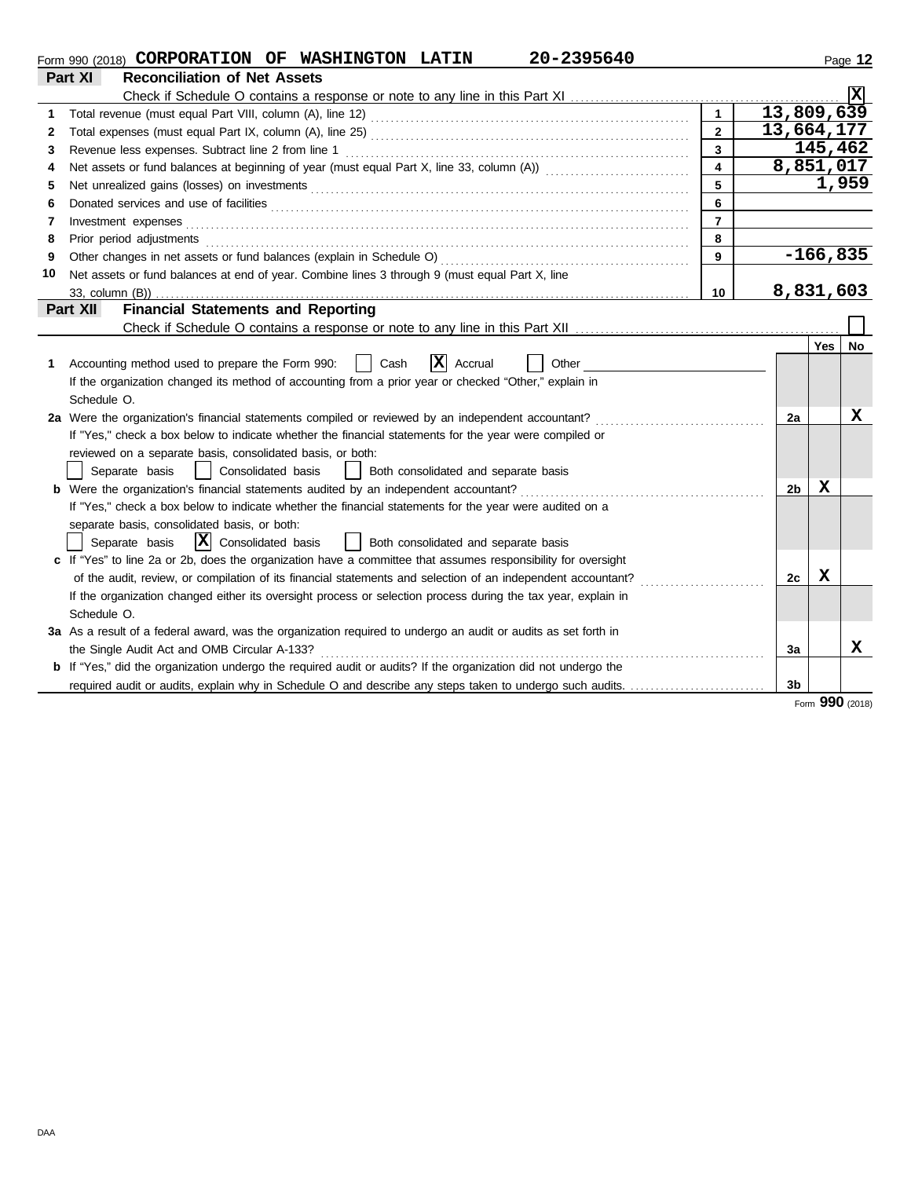|    | 20-2395640<br>Form 990 (2018) CORPORATION OF WASHINGTON LATIN                                                                                                                                                                  |                         |                |             | Page 12 |
|----|--------------------------------------------------------------------------------------------------------------------------------------------------------------------------------------------------------------------------------|-------------------------|----------------|-------------|---------|
|    | Part XI<br><b>Reconciliation of Net Assets</b>                                                                                                                                                                                 |                         |                |             |         |
|    | Check if Schedule O contains a response or note to any line in this Part XI                                                                                                                                                    |                         |                |             |         |
| 1  |                                                                                                                                                                                                                                | $\mathbf{1}$            | 13,809,639     |             |         |
| 2  |                                                                                                                                                                                                                                | $\overline{2}$          | 13,664,177     |             |         |
| 3  |                                                                                                                                                                                                                                | $\overline{3}$          |                | 145,462     |         |
| 4  | Net assets or fund balances at beginning of year (must equal Part X, line 33, column (A)) [[[[[[[[[[[[[[[[[[[                                                                                                                  | $\overline{\mathbf{4}}$ |                | 8,851,017   |         |
| 5  | Net unrealized gains (losses) on investments [11] match and the contract of the state of the state of the state of the state of the state of the state of the state of the state of the state of the state of the state of the | 5                       |                |             | 1,959   |
| 6  |                                                                                                                                                                                                                                | 6                       |                |             |         |
| 7  | Investment expenses <b>contract and the expenses</b>                                                                                                                                                                           | $\overline{7}$          |                |             |         |
| 8  | Prior period adjustments                                                                                                                                                                                                       | 8                       |                |             |         |
| 9  |                                                                                                                                                                                                                                | 9                       |                | $-166,835$  |         |
| 10 | Net assets or fund balances at end of year. Combine lines 3 through 9 (must equal Part X, line                                                                                                                                 |                         |                |             |         |
|    | 33, column (B))                                                                                                                                                                                                                | 10                      |                | 8,831,603   |         |
|    | <b>Financial Statements and Reporting</b><br>Part XII                                                                                                                                                                          |                         |                |             |         |
|    |                                                                                                                                                                                                                                |                         |                |             |         |
|    |                                                                                                                                                                                                                                |                         |                | Yes         | No      |
| 1  | $ \mathbf{X} $ Accrual<br>Cash<br>Accounting method used to prepare the Form 990:<br>Other                                                                                                                                     |                         |                |             |         |
|    | If the organization changed its method of accounting from a prior year or checked "Other," explain in                                                                                                                          |                         |                |             |         |
|    | Schedule O.                                                                                                                                                                                                                    |                         |                |             |         |
|    | 2a Were the organization's financial statements compiled or reviewed by an independent accountant?<br><u> 1986 - Johann Stoff, deutscher Stoff, der Stoff, deutscher Stoff, der Stoff, der Stoff, der Stoff, der Stoff, </u>   |                         | 2a             |             | X       |
|    | If "Yes," check a box below to indicate whether the financial statements for the year were compiled or                                                                                                                         |                         |                |             |         |
|    | reviewed on a separate basis, consolidated basis, or both:                                                                                                                                                                     |                         |                |             |         |
|    | Separate basis<br>Consolidated basis<br>Both consolidated and separate basis                                                                                                                                                   |                         |                |             |         |
|    | <b>b</b> Were the organization's financial statements audited by an independent accountant?                                                                                                                                    |                         | 2 <sub>b</sub> | x           |         |
|    | If "Yes," check a box below to indicate whether the financial statements for the year were audited on a                                                                                                                        |                         |                |             |         |
|    | separate basis, consolidated basis, or both:                                                                                                                                                                                   |                         |                |             |         |
|    | $ \mathbf{X} $ Consolidated basis<br>  Both consolidated and separate basis<br>Separate basis                                                                                                                                  |                         |                |             |         |
|    | c If "Yes" to line 2a or 2b, does the organization have a committee that assumes responsibility for oversight                                                                                                                  |                         |                |             |         |
|    | of the audit, review, or compilation of its financial statements and selection of an independent accountant?                                                                                                                   |                         | 2c             | $\mathbf x$ |         |
|    | If the organization changed either its oversight process or selection process during the tax year, explain in                                                                                                                  |                         |                |             |         |
|    | Schedule O.                                                                                                                                                                                                                    |                         |                |             |         |
|    | 3a As a result of a federal award, was the organization required to undergo an audit or audits as set forth in                                                                                                                 |                         |                |             |         |
|    | the Single Audit Act and OMB Circular A-133?                                                                                                                                                                                   |                         | За             |             | x       |
|    | <b>b</b> If "Yes," did the organization undergo the required audit or audits? If the organization did not undergo the                                                                                                          |                         |                |             |         |
|    | required audit or audits, explain why in Schedule O and describe any steps taken to undergo such audits.                                                                                                                       |                         | 3 <sub>b</sub> |             |         |
|    |                                                                                                                                                                                                                                |                         |                |             |         |

Form **990** (2018)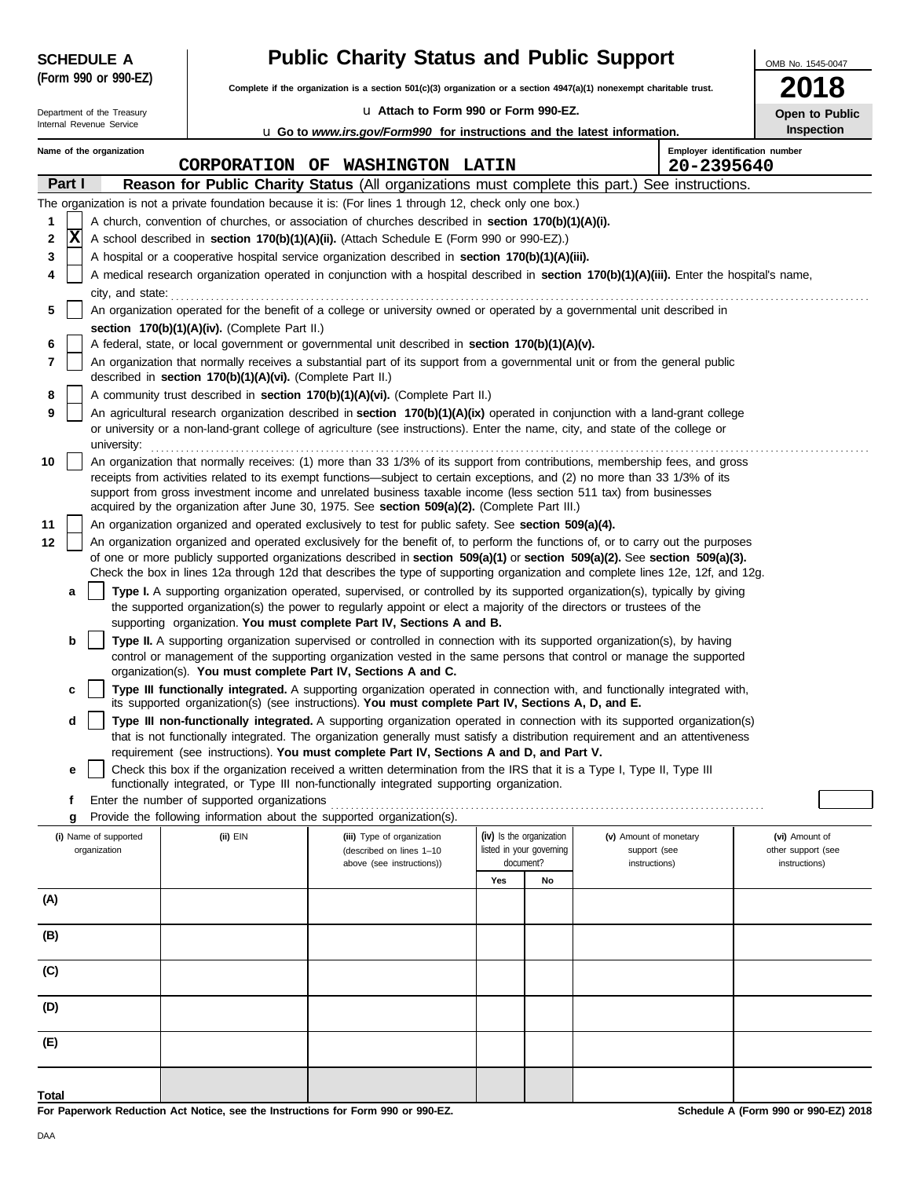| <b>Public Charity Status and Public Support</b><br><b>SCHEDULE A</b> |                                                                                                                                                                                                                                                                                                                                                                                                |                                                                                                                                                                                                                                                                        |                                                      |                                        | OMB No. 1545-0047                    |  |  |  |
|----------------------------------------------------------------------|------------------------------------------------------------------------------------------------------------------------------------------------------------------------------------------------------------------------------------------------------------------------------------------------------------------------------------------------------------------------------------------------|------------------------------------------------------------------------------------------------------------------------------------------------------------------------------------------------------------------------------------------------------------------------|------------------------------------------------------|----------------------------------------|--------------------------------------|--|--|--|
| (Form 990 or 990-EZ)                                                 |                                                                                                                                                                                                                                                                                                                                                                                                | Complete if the organization is a section 501(c)(3) organization or a section 4947(a)(1) nonexempt charitable trust.                                                                                                                                                   |                                                      |                                        | 18                                   |  |  |  |
| Department of the Treasury                                           |                                                                                                                                                                                                                                                                                                                                                                                                | La Attach to Form 990 or Form 990-EZ.                                                                                                                                                                                                                                  |                                                      |                                        | Open to Public                       |  |  |  |
| Internal Revenue Service                                             |                                                                                                                                                                                                                                                                                                                                                                                                | <b>u</b> Go to www.irs.gov/Form990 for instructions and the latest information.                                                                                                                                                                                        |                                                      |                                        | Inspection                           |  |  |  |
| Name of the organization                                             |                                                                                                                                                                                                                                                                                                                                                                                                | CORPORATION OF WASHINGTON LATIN                                                                                                                                                                                                                                        |                                                      | 20-2395640                             | Employer identification number       |  |  |  |
| Part I                                                               |                                                                                                                                                                                                                                                                                                                                                                                                | Reason for Public Charity Status (All organizations must complete this part.) See instructions.                                                                                                                                                                        |                                                      |                                        |                                      |  |  |  |
|                                                                      |                                                                                                                                                                                                                                                                                                                                                                                                | The organization is not a private foundation because it is: (For lines 1 through 12, check only one box.)                                                                                                                                                              |                                                      |                                        |                                      |  |  |  |
| 1                                                                    |                                                                                                                                                                                                                                                                                                                                                                                                | A church, convention of churches, or association of churches described in section 170(b)(1)(A)(i).                                                                                                                                                                     |                                                      |                                        |                                      |  |  |  |
| $\overline{\textbf{x}}$<br>2                                         |                                                                                                                                                                                                                                                                                                                                                                                                | A school described in section 170(b)(1)(A)(ii). (Attach Schedule E (Form 990 or 990-EZ).)                                                                                                                                                                              |                                                      |                                        |                                      |  |  |  |
| 3                                                                    |                                                                                                                                                                                                                                                                                                                                                                                                | A hospital or a cooperative hospital service organization described in section 170(b)(1)(A)(iii).                                                                                                                                                                      |                                                      |                                        |                                      |  |  |  |
| 4                                                                    |                                                                                                                                                                                                                                                                                                                                                                                                | A medical research organization operated in conjunction with a hospital described in section 170(b)(1)(A)(iii). Enter the hospital's name,                                                                                                                             |                                                      |                                        |                                      |  |  |  |
| city, and state:                                                     |                                                                                                                                                                                                                                                                                                                                                                                                |                                                                                                                                                                                                                                                                        |                                                      |                                        |                                      |  |  |  |
| 5                                                                    | An organization operated for the benefit of a college or university owned or operated by a governmental unit described in                                                                                                                                                                                                                                                                      |                                                                                                                                                                                                                                                                        |                                                      |                                        |                                      |  |  |  |
|                                                                      | section 170(b)(1)(A)(iv). (Complete Part II.)                                                                                                                                                                                                                                                                                                                                                  |                                                                                                                                                                                                                                                                        |                                                      |                                        |                                      |  |  |  |
| 6                                                                    |                                                                                                                                                                                                                                                                                                                                                                                                | A federal, state, or local government or governmental unit described in section 170(b)(1)(A)(v).                                                                                                                                                                       |                                                      |                                        |                                      |  |  |  |
| 7                                                                    | described in section 170(b)(1)(A)(vi). (Complete Part II.)                                                                                                                                                                                                                                                                                                                                     | An organization that normally receives a substantial part of its support from a governmental unit or from the general public                                                                                                                                           |                                                      |                                        |                                      |  |  |  |
| 8                                                                    |                                                                                                                                                                                                                                                                                                                                                                                                | A community trust described in section 170(b)(1)(A)(vi). (Complete Part II.)                                                                                                                                                                                           |                                                      |                                        |                                      |  |  |  |
| 9                                                                    |                                                                                                                                                                                                                                                                                                                                                                                                | An agricultural research organization described in <b>section 170(b)(1)(A)(ix)</b> operated in conjunction with a land-grant college<br>or university or a non-land-grant college of agriculture (see instructions). Enter the name, city, and state of the college or |                                                      |                                        |                                      |  |  |  |
| 10                                                                   | university:<br>An organization that normally receives: (1) more than 33 1/3% of its support from contributions, membership fees, and gross<br>receipts from activities related to its exempt functions-subject to certain exceptions, and (2) no more than 33 1/3% of its<br>support from gross investment income and unrelated business taxable income (less section 511 tax) from businesses |                                                                                                                                                                                                                                                                        |                                                      |                                        |                                      |  |  |  |
|                                                                      |                                                                                                                                                                                                                                                                                                                                                                                                | acquired by the organization after June 30, 1975. See section 509(a)(2). (Complete Part III.)                                                                                                                                                                          |                                                      |                                        |                                      |  |  |  |
| 11                                                                   |                                                                                                                                                                                                                                                                                                                                                                                                | An organization organized and operated exclusively to test for public safety. See section 509(a)(4).                                                                                                                                                                   |                                                      |                                        |                                      |  |  |  |
| 12                                                                   |                                                                                                                                                                                                                                                                                                                                                                                                | An organization organized and operated exclusively for the benefit of, to perform the functions of, or to carry out the purposes<br>of one or more publicly supported organizations described in section 509(a)(1) or section 509(a)(2). See section 509(a)(3).        |                                                      |                                        |                                      |  |  |  |
|                                                                      |                                                                                                                                                                                                                                                                                                                                                                                                | Check the box in lines 12a through 12d that describes the type of supporting organization and complete lines 12e, 12f, and 12g.                                                                                                                                        |                                                      |                                        |                                      |  |  |  |
| a                                                                    |                                                                                                                                                                                                                                                                                                                                                                                                | Type I. A supporting organization operated, supervised, or controlled by its supported organization(s), typically by giving                                                                                                                                            |                                                      |                                        |                                      |  |  |  |
|                                                                      |                                                                                                                                                                                                                                                                                                                                                                                                | the supported organization(s) the power to regularly appoint or elect a majority of the directors or trustees of the                                                                                                                                                   |                                                      |                                        |                                      |  |  |  |
| b                                                                    |                                                                                                                                                                                                                                                                                                                                                                                                | supporting organization. You must complete Part IV, Sections A and B.<br>Type II. A supporting organization supervised or controlled in connection with its supported organization(s), by having                                                                       |                                                      |                                        |                                      |  |  |  |
|                                                                      |                                                                                                                                                                                                                                                                                                                                                                                                | control or management of the supporting organization vested in the same persons that control or manage the supported                                                                                                                                                   |                                                      |                                        |                                      |  |  |  |
|                                                                      |                                                                                                                                                                                                                                                                                                                                                                                                | organization(s). You must complete Part IV, Sections A and C.                                                                                                                                                                                                          |                                                      |                                        |                                      |  |  |  |
| c                                                                    |                                                                                                                                                                                                                                                                                                                                                                                                | Type III functionally integrated. A supporting organization operated in connection with, and functionally integrated with,<br>its supported organization(s) (see instructions). You must complete Part IV, Sections A, D, and E.                                       |                                                      |                                        |                                      |  |  |  |
| d                                                                    |                                                                                                                                                                                                                                                                                                                                                                                                | Type III non-functionally integrated. A supporting organization operated in connection with its supported organization(s)                                                                                                                                              |                                                      |                                        |                                      |  |  |  |
|                                                                      |                                                                                                                                                                                                                                                                                                                                                                                                | that is not functionally integrated. The organization generally must satisfy a distribution requirement and an attentiveness                                                                                                                                           |                                                      |                                        |                                      |  |  |  |
| е                                                                    |                                                                                                                                                                                                                                                                                                                                                                                                | requirement (see instructions). You must complete Part IV, Sections A and D, and Part V.<br>Check this box if the organization received a written determination from the IRS that it is a Type I, Type II, Type III                                                    |                                                      |                                        |                                      |  |  |  |
|                                                                      |                                                                                                                                                                                                                                                                                                                                                                                                | functionally integrated, or Type III non-functionally integrated supporting organization.                                                                                                                                                                              |                                                      |                                        |                                      |  |  |  |
| f                                                                    | Enter the number of supported organizations                                                                                                                                                                                                                                                                                                                                                    |                                                                                                                                                                                                                                                                        |                                                      |                                        |                                      |  |  |  |
| g                                                                    |                                                                                                                                                                                                                                                                                                                                                                                                | Provide the following information about the supported organization(s).                                                                                                                                                                                                 |                                                      |                                        |                                      |  |  |  |
| (i) Name of supported<br>organization                                | (ii) EIN                                                                                                                                                                                                                                                                                                                                                                                       | (iii) Type of organization<br>(described on lines 1-10                                                                                                                                                                                                                 | (iv) Is the organization<br>listed in your governing | (v) Amount of monetary<br>support (see | (vi) Amount of<br>other support (see |  |  |  |
|                                                                      |                                                                                                                                                                                                                                                                                                                                                                                                | above (see instructions))                                                                                                                                                                                                                                              | document?                                            | instructions)                          | instructions)                        |  |  |  |
|                                                                      |                                                                                                                                                                                                                                                                                                                                                                                                |                                                                                                                                                                                                                                                                        | Yes<br>No                                            |                                        |                                      |  |  |  |
| (A)                                                                  |                                                                                                                                                                                                                                                                                                                                                                                                |                                                                                                                                                                                                                                                                        |                                                      |                                        |                                      |  |  |  |
| (B)                                                                  |                                                                                                                                                                                                                                                                                                                                                                                                |                                                                                                                                                                                                                                                                        |                                                      |                                        |                                      |  |  |  |
| (C)                                                                  |                                                                                                                                                                                                                                                                                                                                                                                                |                                                                                                                                                                                                                                                                        |                                                      |                                        |                                      |  |  |  |
| (D)                                                                  |                                                                                                                                                                                                                                                                                                                                                                                                |                                                                                                                                                                                                                                                                        |                                                      |                                        |                                      |  |  |  |
| (E)                                                                  |                                                                                                                                                                                                                                                                                                                                                                                                |                                                                                                                                                                                                                                                                        |                                                      |                                        |                                      |  |  |  |
|                                                                      |                                                                                                                                                                                                                                                                                                                                                                                                |                                                                                                                                                                                                                                                                        |                                                      |                                        |                                      |  |  |  |
| Total                                                                |                                                                                                                                                                                                                                                                                                                                                                                                |                                                                                                                                                                                                                                                                        |                                                      |                                        | 0 <sup>0</sup><br>000E2004           |  |  |  |

**For Paperwork Reduction Act Notice, see the Instructions for Form 990 or 990-EZ.**

**Schedule A (Form 990 or 990-EZ) 2018**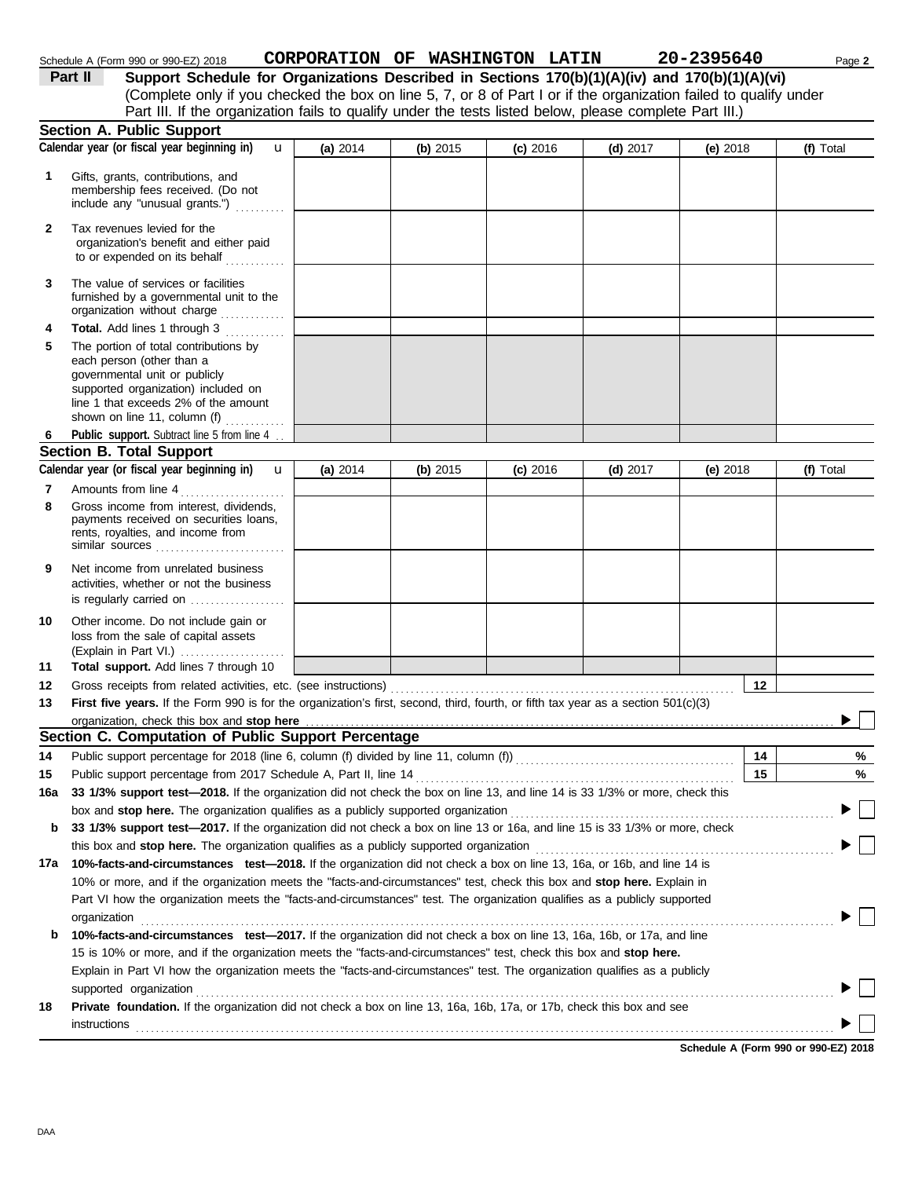|     | Part III. If the organization fails to qualify under the tests listed below, please complete Part III.)                                                                                                                     |          |            |            |            |            |           |
|-----|-----------------------------------------------------------------------------------------------------------------------------------------------------------------------------------------------------------------------------|----------|------------|------------|------------|------------|-----------|
|     | Section A. Public Support                                                                                                                                                                                                   |          |            |            |            |            |           |
|     | Calendar year (or fiscal year beginning in)<br>$\mathbf{u}$                                                                                                                                                                 | (a) 2014 | (b) $2015$ | $(c)$ 2016 | (d) $2017$ | (e) $2018$ | (f) Total |
| 1   | Gifts, grants, contributions, and<br>membership fees received. (Do not<br>include any "unusual grants.")                                                                                                                    |          |            |            |            |            |           |
| 2   | Tax revenues levied for the<br>organization's benefit and either paid<br>to or expended on its behalf                                                                                                                       |          |            |            |            |            |           |
| 3   | The value of services or facilities<br>furnished by a governmental unit to the<br>organization without charge                                                                                                               |          |            |            |            |            |           |
| 4   | Total. Add lines 1 through 3                                                                                                                                                                                                |          |            |            |            |            |           |
| 5   | The portion of total contributions by<br>each person (other than a<br>governmental unit or publicly<br>supported organization) included on<br>line 1 that exceeds 2% of the amount<br>shown on line 11, column (f) $\ldots$ |          |            |            |            |            |           |
|     | Public support. Subtract line 5 from line 4                                                                                                                                                                                 |          |            |            |            |            |           |
|     | <b>Section B. Total Support</b>                                                                                                                                                                                             |          |            |            |            |            |           |
|     | Calendar year (or fiscal year beginning in) <b>u</b>                                                                                                                                                                        | (a) 2014 | (b) $2015$ | (c) 2016   | (d) $2017$ | (e) $2018$ | (f) Total |
| 7   |                                                                                                                                                                                                                             |          |            |            |            |            |           |
| 8   | Gross income from interest, dividends,<br>payments received on securities loans,<br>rents, royalties, and income from<br>similar sources                                                                                    |          |            |            |            |            |           |
| 9   | Net income from unrelated business<br>activities, whether or not the business<br>is regularly carried on                                                                                                                    |          |            |            |            |            |           |
| 10  | Other income. Do not include gain or<br>loss from the sale of capital assets<br>(Explain in Part VI.)                                                                                                                       |          |            |            |            |            |           |
| 11  | <b>Total support.</b> Add lines 7 through 10                                                                                                                                                                                |          |            |            |            |            |           |
| 12  |                                                                                                                                                                                                                             |          |            |            |            | 12         |           |
| 13  | First five years. If the Form 990 is for the organization's first, second, third, fourth, or fifth tax year as a section 501(c)(3)                                                                                          |          |            |            |            |            |           |
|     | organization, check this box and stop here                                                                                                                                                                                  |          |            |            |            |            |           |
|     | Section C. Computation of Public Support Percentage                                                                                                                                                                         |          |            |            |            |            |           |
| 14  | Public support percentage for 2018 (line 6, column (f) divided by line 11, column (f)) [[[[[[[[[[[[[[[[[[[[[[                                                                                                               |          |            |            |            | 14         | %         |
| 15  |                                                                                                                                                                                                                             |          |            |            |            | 15         | %         |
| 16a | 33 1/3% support test-2018. If the organization did not check the box on line 13, and line 14 is 33 1/3% or more, check this                                                                                                 |          |            |            |            |            |           |
|     | box and stop here. The organization qualifies as a publicly supported organization <b>conserved</b> conserved and stop here. The organization                                                                               |          |            |            |            |            |           |
|     | 00 4/00/ current test. 0047 If the curriculum did not sheet a having line 40 and 6- and line 45 is 00 4/00/ current sheet.                                                                                                  |          |            |            |            |            |           |

Schedule A (Form 990 or 990-EZ) 2018 **CORPORATION OF WASHINGTON LATIN** 20-2395640 Page 2

**Part II Support Schedule for Organizations Described in Sections 170(b)(1)(A)(iv) and 170(b)(1)(A)(vi)**

(Complete only if you checked the box on line 5, 7, or 8 of Part I or if the organization failed to qualify under

|     | organization, check this box and stop here <b>construct the construct of the construct of the construct of the construct of the construct of the construct of the construct of the construct of the construction of the construc</b> |    |  |  |  |  |  |
|-----|--------------------------------------------------------------------------------------------------------------------------------------------------------------------------------------------------------------------------------------|----|--|--|--|--|--|
|     | Section C. Computation of Public Support Percentage                                                                                                                                                                                  |    |  |  |  |  |  |
| 14  | Public support percentage for 2018 (line 6, column (f) divided by line 11, column (f) [[[[[[[[[[[[[[[[[[[[[[[                                                                                                                        | 14 |  |  |  |  |  |
| 15  | Public support percentage from 2017 Schedule A, Part II, line 14                                                                                                                                                                     | 15 |  |  |  |  |  |
| 16a | 33 1/3% support test—2018. If the organization did not check the box on line 13, and line 14 is 33 1/3% or more, check this                                                                                                          |    |  |  |  |  |  |
|     | box and stop here. The organization qualifies as a publicly supported organization                                                                                                                                                   |    |  |  |  |  |  |
| b   | 33 1/3% support test-2017. If the organization did not check a box on line 13 or 16a, and line 15 is 33 1/3% or more, check                                                                                                          |    |  |  |  |  |  |
|     | this box and <b>stop here.</b> The organization qualifies as a publicly supported organization                                                                                                                                       |    |  |  |  |  |  |
| 17a | 10%-facts-and-circumstances test-2018. If the organization did not check a box on line 13, 16a, or 16b, and line 14 is                                                                                                               |    |  |  |  |  |  |
|     | 10% or more, and if the organization meets the "facts-and-circumstances" test, check this box and <b>stop here.</b> Explain in                                                                                                       |    |  |  |  |  |  |
|     | Part VI how the organization meets the "facts-and-circumstances" test. The organization qualifies as a publicly supported<br>organization                                                                                            |    |  |  |  |  |  |
| b   | 10%-facts-and-circumstances test-2017. If the organization did not check a box on line 13, 16a, 16b, or 17a, and line                                                                                                                |    |  |  |  |  |  |
|     | 15 is 10% or more, and if the organization meets the "facts-and-circumstances" test, check this box and <b>stop here.</b>                                                                                                            |    |  |  |  |  |  |
|     | Explain in Part VI how the organization meets the "facts-and-circumstances" test. The organization qualifies as a publicly<br>supported organization                                                                                 |    |  |  |  |  |  |
| 18  | <b>Private foundation.</b> If the organization did not check a box on line 13, 16a, 16b, 17a, or 17b, check this box and see<br>instructions                                                                                         |    |  |  |  |  |  |

**Schedule A (Form 990 or 990-EZ) 2018**

 $\blacktriangleright \Box$ 

 $\blacktriangleright$   $\Box$ 

 $\blacktriangleright$   $\Box$ 

 $\blacktriangleright$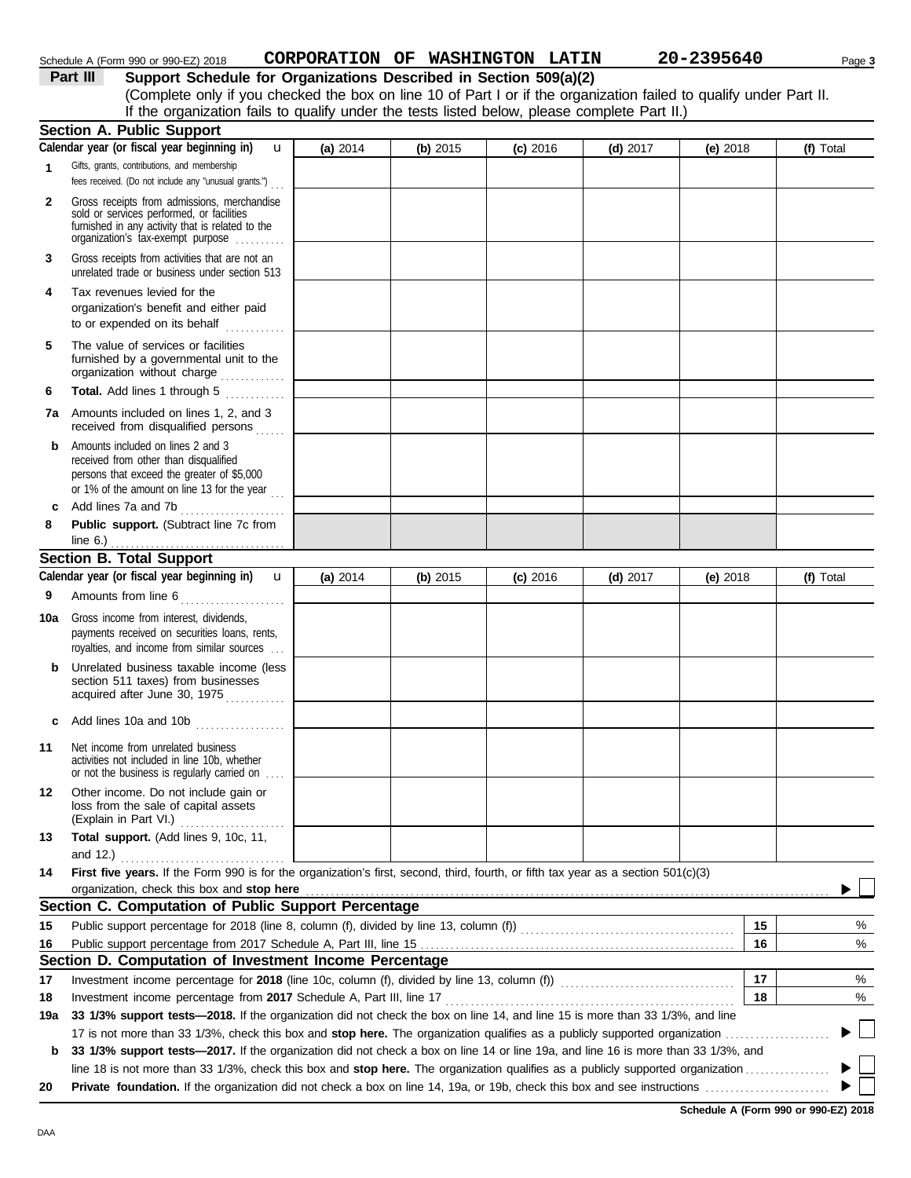|        | Calendar year (or fiscal year beginning in)<br>$\mathbf{u}$                                                                                                                                    | (a) 2014 | (b) 2015 | $(c)$ 2016 | $(d)$ 2017 | $(e)$ 2018 | (f) Total |
|--------|------------------------------------------------------------------------------------------------------------------------------------------------------------------------------------------------|----------|----------|------------|------------|------------|-----------|
| 1      | Gifts, grants, contributions, and membership<br>fees received. (Do not include any "unusual grants.")                                                                                          |          |          |            |            |            |           |
| 2      | Gross receipts from admissions, merchandise<br>sold or services performed, or facilities<br>furnished in any activity that is related to the<br>organization's fax-exempt purpose              |          |          |            |            |            |           |
| 3      | Gross receipts from activities that are not an<br>unrelated trade or business under section 513                                                                                                |          |          |            |            |            |           |
| 4      | Tax revenues levied for the<br>organization's benefit and either paid<br>to or expended on its behalf<br>.                                                                                     |          |          |            |            |            |           |
| 5      | The value of services or facilities<br>furnished by a governmental unit to the<br>organization without charge                                                                                  |          |          |            |            |            |           |
| 6      | Total. Add lines 1 through 5<br>.                                                                                                                                                              |          |          |            |            |            |           |
| 7a     | Amounts included on lines 1, 2, and 3<br>received from disqualified persons                                                                                                                    |          |          |            |            |            |           |
| b<br>c | Amounts included on lines 2 and 3<br>received from other than disqualified<br>persons that exceed the greater of \$5,000<br>or 1% of the amount on line 13 for the year<br>Add lines 7a and 7b |          |          |            |            |            |           |
| 8      | Public support. (Subtract line 7c from                                                                                                                                                         |          |          |            |            |            |           |
|        | line $6.$ )                                                                                                                                                                                    |          |          |            |            |            |           |
|        | <b>Section B. Total Support</b>                                                                                                                                                                |          |          |            |            |            |           |
|        | Calendar year (or fiscal year beginning in)<br>$\mathbf{u}$                                                                                                                                    | (a) 2014 | (b) 2015 | $(c)$ 2016 | (d) $2017$ | $(e)$ 2018 | (f) Total |
| 9      | Amounts from line 6                                                                                                                                                                            |          |          |            |            |            |           |
| 10a    | Gross income from interest, dividends,<br>payments received on securities loans, rents,<br>royalties, and income from similar sources                                                          |          |          |            |            |            |           |
| b      | Unrelated business taxable income (less<br>section 511 taxes) from businesses<br>acquired after June 30, 1975                                                                                  |          |          |            |            |            |           |
| c      | Add lines 10a and 10b                                                                                                                                                                          |          |          |            |            |            |           |
| 11     | Net income from unrelated business<br>activities not included in line 10b, whether<br>or not the business is regularly carried on                                                              |          |          |            |            |            |           |
| 12     | Other income. Do not include gain or<br>loss from the sale of capital assets<br>(Explain in Part VI.)                                                                                          |          |          |            |            |            |           |
| 13     | Total support. (Add lines 9, 10c, 11,                                                                                                                                                          |          |          |            |            |            |           |
|        | and 12.)                                                                                                                                                                                       |          |          |            |            |            |           |
| 14     | First five years. If the Form 990 is for the organization's first, second, third, fourth, or fifth tax year as a section 501(c)(3)                                                             |          |          |            |            |            |           |
|        | organization, check this box and stop here<br>Section C. Computation of Public Support Percentage                                                                                              |          |          |            |            |            |           |
| 15     |                                                                                                                                                                                                |          |          |            |            | 15         | %         |
| 16     |                                                                                                                                                                                                |          |          |            |            | 16         | %         |
|        | Section D. Computation of Investment Income Percentage                                                                                                                                         |          |          |            |            |            |           |
| 17     | Investment income percentage for 2018 (line 10c, column (f), divided by line 13, column (f)) [[[[[[[[[[[[[[[[                                                                                  |          |          |            |            | 17         | %         |
| 18     | Investment income percentage from 2017 Schedule A, Part III, line 17                                                                                                                           |          |          |            |            | 18         | %         |
| 19a    | 33 1/3% support tests—2018. If the organization did not check the box on line 14, and line 15 is more than 33 1/3%, and line                                                                   |          |          |            |            |            |           |
|        |                                                                                                                                                                                                |          |          |            |            |            |           |
| b      | 33 1/3% support tests-2017. If the organization did not check a box on line 14 or line 19a, and line 16 is more than 33 1/3%, and                                                              |          |          |            |            |            |           |
|        |                                                                                                                                                                                                |          |          |            |            |            |           |
| 20     |                                                                                                                                                                                                |          |          |            |            |            |           |

**Schedule A (Form 990 or 990-EZ) 2018**

## **Part III Support Schedule for Organizations Described in Section 509(a)(2)** Schedule A (Form 990 or 990-EZ) 2018 **CORPORATION OF WASHINGTON LATIN** 20-2395640 Page 3

**Section A. Public Support**

(Complete only if you checked the box on line 10 of Part I or if the organization failed to qualify under Part II. If the organization fails to qualify under the tests listed below, please complete Part II.)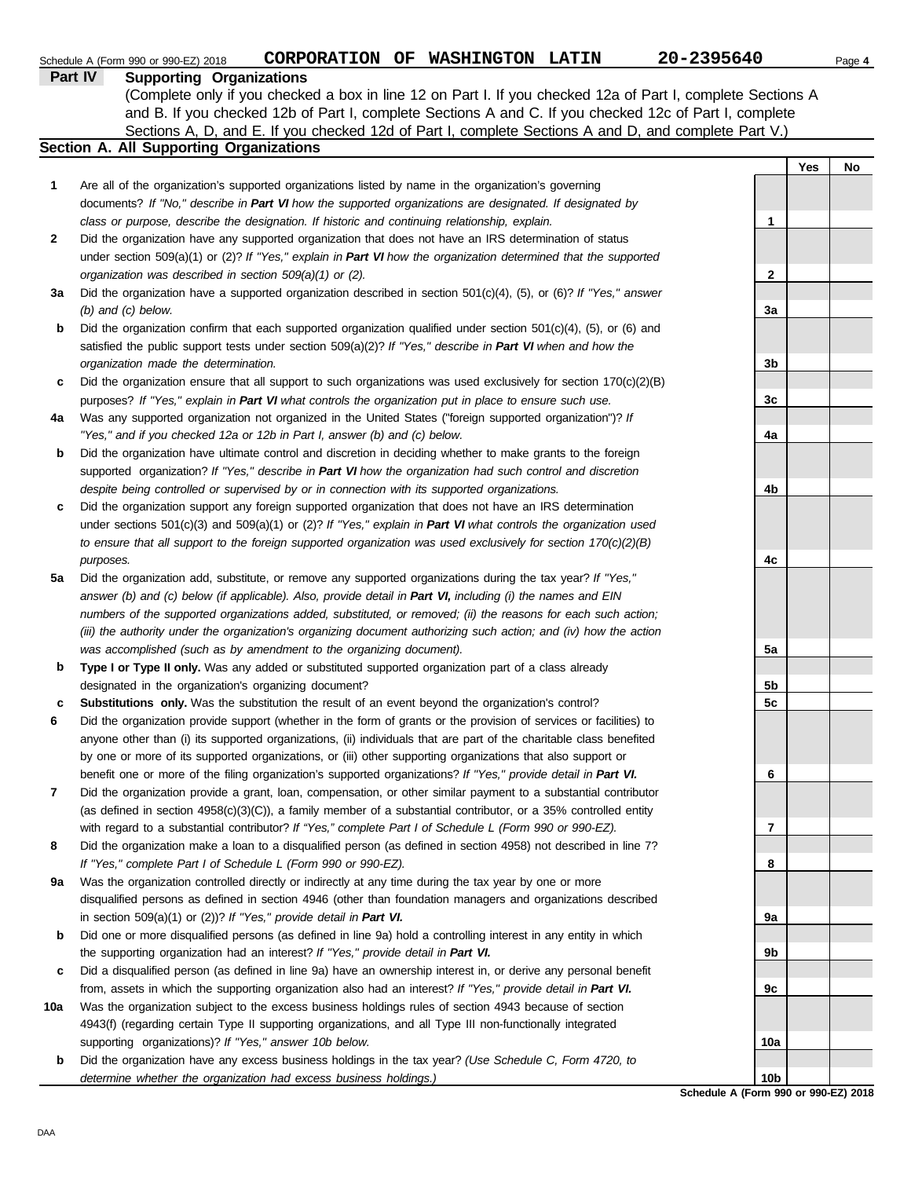|     | CORPORATION OF WASHINGTON LATIN<br>Schedule A (Form 990 or 990-EZ) 2018                                                  | 20-2395640                                      |     | Page 4 |
|-----|--------------------------------------------------------------------------------------------------------------------------|-------------------------------------------------|-----|--------|
|     | Part IV<br><b>Supporting Organizations</b>                                                                               |                                                 |     |        |
|     | (Complete only if you checked a box in line 12 on Part I. If you checked 12a of Part I, complete Sections A              |                                                 |     |        |
|     | and B. If you checked 12b of Part I, complete Sections A and C. If you checked 12c of Part I, complete                   |                                                 |     |        |
|     | Sections A, D, and E. If you checked 12d of Part I, complete Sections A and D, and complete Part V.)                     |                                                 |     |        |
|     | Section A. All Supporting Organizations                                                                                  |                                                 |     |        |
|     |                                                                                                                          |                                                 | Yes | No     |
| 1   | Are all of the organization's supported organizations listed by name in the organization's governing                     |                                                 |     |        |
|     | documents? If "No," describe in Part VI how the supported organizations are designated. If designated by                 |                                                 |     |        |
|     | class or purpose, describe the designation. If historic and continuing relationship, explain.                            | 1                                               |     |        |
| 2   | Did the organization have any supported organization that does not have an IRS determination of status                   |                                                 |     |        |
|     | under section 509(a)(1) or (2)? If "Yes," explain in Part VI how the organization determined that the supported          |                                                 |     |        |
|     | organization was described in section 509(a)(1) or (2).                                                                  | $\mathbf{2}$                                    |     |        |
| За  | Did the organization have a supported organization described in section $501(c)(4)$ , (5), or (6)? If "Yes," answer      |                                                 |     |        |
|     | $(b)$ and $(c)$ below.                                                                                                   | 3a                                              |     |        |
| b   | Did the organization confirm that each supported organization qualified under section $501(c)(4)$ , $(5)$ , or $(6)$ and |                                                 |     |        |
|     | satisfied the public support tests under section 509(a)(2)? If "Yes," describe in Part VI when and how the               |                                                 |     |        |
|     | organization made the determination.                                                                                     | 3 <sub>b</sub>                                  |     |        |
| c   | Did the organization ensure that all support to such organizations was used exclusively for section $170(c)(2)(B)$       |                                                 |     |        |
|     | purposes? If "Yes," explain in Part VI what controls the organization put in place to ensure such use.                   | 3c                                              |     |        |
| 4a  | Was any supported organization not organized in the United States ("foreign supported organization")? If                 |                                                 |     |        |
|     | "Yes," and if you checked 12a or 12b in Part I, answer (b) and (c) below.                                                | 4a                                              |     |        |
| b   | Did the organization have ultimate control and discretion in deciding whether to make grants to the foreign              |                                                 |     |        |
|     | supported organization? If "Yes," describe in Part VI how the organization had such control and discretion               |                                                 |     |        |
|     | despite being controlled or supervised by or in connection with its supported organizations.                             | 4b                                              |     |        |
| c   | Did the organization support any foreign supported organization that does not have an IRS determination                  |                                                 |     |        |
|     | under sections $501(c)(3)$ and $509(a)(1)$ or (2)? If "Yes," explain in Part VI what controls the organization used      |                                                 |     |        |
|     | to ensure that all support to the foreign supported organization was used exclusively for section $170(c)(2)(B)$         |                                                 |     |        |
|     | purposes.                                                                                                                | 4с                                              |     |        |
| 5a  | Did the organization add, substitute, or remove any supported organizations during the tax year? If "Yes,"               |                                                 |     |        |
|     | answer (b) and (c) below (if applicable). Also, provide detail in Part VI, including (i) the names and EIN               |                                                 |     |        |
|     | numbers of the supported organizations added, substituted, or removed; (ii) the reasons for each such action;            |                                                 |     |        |
|     | (iii) the authority under the organization's organizing document authorizing such action; and (iv) how the action        |                                                 |     |        |
|     | was accomplished (such as by amendment to the organizing document).                                                      | 5а                                              |     |        |
| b   | Type I or Type II only. Was any added or substituted supported organization part of a class already                      |                                                 |     |        |
|     | designated in the organization's organizing document?                                                                    | 5b                                              |     |        |
| c   | Substitutions only. Was the substitution the result of an event beyond the organization's control?                       | 5c                                              |     |        |
|     | Did the organization provide support (whether in the form of grants or the provision of services or facilities) to       |                                                 |     |        |
|     | anyone other than (i) its supported organizations, (ii) individuals that are part of the charitable class benefited      |                                                 |     |        |
|     | by one or more of its supported organizations, or (iii) other supporting organizations that also support or              |                                                 |     |        |
|     | benefit one or more of the filing organization's supported organizations? If "Yes," provide detail in Part VI.           | 6                                               |     |        |
| 7   | Did the organization provide a grant, loan, compensation, or other similar payment to a substantial contributor          |                                                 |     |        |
|     | (as defined in section $4958(c)(3)(C)$ ), a family member of a substantial contributor, or a 35% controlled entity       |                                                 |     |        |
|     | with regard to a substantial contributor? If "Yes," complete Part I of Schedule L (Form 990 or 990-EZ).                  | 7                                               |     |        |
| 8   | Did the organization make a loan to a disqualified person (as defined in section 4958) not described in line 7?          |                                                 |     |        |
|     | If "Yes," complete Part I of Schedule L (Form 990 or 990-EZ).                                                            | 8                                               |     |        |
| 9a  | Was the organization controlled directly or indirectly at any time during the tax year by one or more                    |                                                 |     |        |
|     | disqualified persons as defined in section 4946 (other than foundation managers and organizations described              |                                                 |     |        |
|     | in section $509(a)(1)$ or (2))? If "Yes," provide detail in Part VI.                                                     | 9а                                              |     |        |
| b   | Did one or more disqualified persons (as defined in line 9a) hold a controlling interest in any entity in which          |                                                 |     |        |
|     | the supporting organization had an interest? If "Yes," provide detail in Part VI.                                        | 9b                                              |     |        |
| c   | Did a disqualified person (as defined in line 9a) have an ownership interest in, or derive any personal benefit          |                                                 |     |        |
|     | from, assets in which the supporting organization also had an interest? If "Yes," provide detail in Part VI.             | 9с                                              |     |        |
| 10a | Was the organization subject to the excess business holdings rules of section 4943 because of section                    |                                                 |     |        |
|     | 4943(f) (regarding certain Type II supporting organizations, and all Type III non-functionally integrated                |                                                 |     |        |
|     | supporting organizations)? If "Yes," answer 10b below.                                                                   | 10a                                             |     |        |
| b   | Did the organization have any excess business holdings in the tax year? (Use Schedule C, Form 4720, to                   |                                                 |     |        |
|     | determine whether the organization had excess business holdings.)                                                        | 10 <sub>b</sub>                                 |     |        |
|     |                                                                                                                          | $A$ (Faxes 000 as 000 EZ) 20<br><b>Cohodulo</b> |     |        |

**Schedule A (Form 990 or 990-EZ) 2018**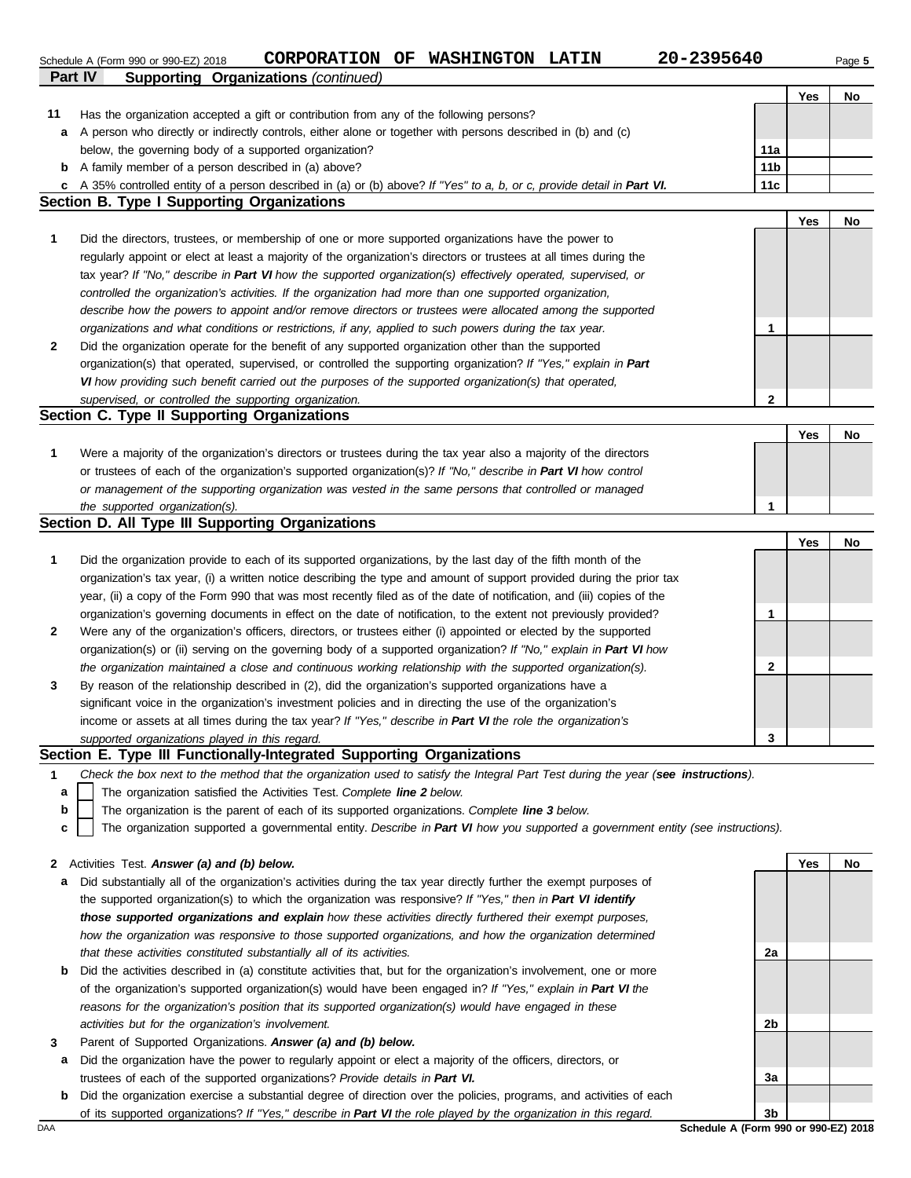|                | 20-2395640<br>CORPORATION OF WASHINGTON LATIN<br>Schedule A (Form 990 or 990-EZ) 2018                                             |     | Page 5 |
|----------------|-----------------------------------------------------------------------------------------------------------------------------------|-----|--------|
| <b>Part IV</b> | <b>Supporting Organizations (continued)</b>                                                                                       |     |        |
|                |                                                                                                                                   | Yes | No     |
| 11             | Has the organization accepted a gift or contribution from any of the following persons?                                           |     |        |
| а              | A person who directly or indirectly controls, either alone or together with persons described in (b) and (c)                      |     |        |
|                | below, the governing body of a supported organization?<br>11a                                                                     |     |        |
| b              | A family member of a person described in (a) above?<br>11 <sub>b</sub>                                                            |     |        |
| c              | A 35% controlled entity of a person described in (a) or (b) above? If "Yes" to a, b, or c, provide detail in Part VI.<br>11c      |     |        |
|                | <b>Section B. Type I Supporting Organizations</b>                                                                                 |     |        |
|                |                                                                                                                                   | Yes | No     |
| 1              | Did the directors, trustees, or membership of one or more supported organizations have the power to                               |     |        |
|                | regularly appoint or elect at least a majority of the organization's directors or trustees at all times during the                |     |        |
|                | tax year? If "No," describe in Part VI how the supported organization(s) effectively operated, supervised, or                     |     |        |
|                | controlled the organization's activities. If the organization had more than one supported organization,                           |     |        |
|                | describe how the powers to appoint and/or remove directors or trustees were allocated among the supported                         |     |        |
|                | organizations and what conditions or restrictions, if any, applied to such powers during the tax year.<br>1                       |     |        |
| 2              | Did the organization operate for the benefit of any supported organization other than the supported                               |     |        |
|                | organization(s) that operated, supervised, or controlled the supporting organization? If "Yes," explain in Part                   |     |        |
|                | VI how providing such benefit carried out the purposes of the supported organization(s) that operated,                            |     |        |
|                | supervised, or controlled the supporting organization.<br>2                                                                       |     |        |
|                | Section C. Type II Supporting Organizations                                                                                       |     |        |
|                |                                                                                                                                   | Yes | No     |
| 1              | Were a majority of the organization's directors or trustees during the tax year also a majority of the directors                  |     |        |
|                | or trustees of each of the organization's supported organization(s)? If "No," describe in Part VI how control                     |     |        |
|                | or management of the supporting organization was vested in the same persons that controlled or managed                            |     |        |
|                | 1<br>the supported organization(s).                                                                                               |     |        |
|                | Section D. All Type III Supporting Organizations                                                                                  |     |        |
|                |                                                                                                                                   | Yes | No     |
| 1              | Did the organization provide to each of its supported organizations, by the last day of the fifth month of the                    |     |        |
|                | organization's tax year, (i) a written notice describing the type and amount of support provided during the prior tax             |     |        |
|                | year, (ii) a copy of the Form 990 that was most recently filed as of the date of notification, and (iii) copies of the            |     |        |
|                | organization's governing documents in effect on the date of notification, to the extent not previously provided?<br>1             |     |        |
| 2              | Were any of the organization's officers, directors, or trustees either (i) appointed or elected by the supported                  |     |        |
|                | organization(s) or (ii) serving on the governing body of a supported organization? If "No," explain in Part VI how                |     |        |
|                | the organization maintained a close and continuous working relationship with the supported organization(s).<br>2                  |     |        |
| 3              | By reason of the relationship described in (2), did the organization's supported organizations have a                             |     |        |
|                | significant voice in the organization's investment policies and in directing the use of the organization's                        |     |        |
|                | income or assets at all times during the tax year? If "Yes," describe in Part VI the role the organization's                      |     |        |
|                | supported organizations played in this regard.<br>3                                                                               |     |        |
|                | Section E. Type III Functionally-Integrated Supporting Organizations                                                              |     |        |
| 1              | Check the box next to the method that the organization used to satisfy the Integral Part Test during the year (see instructions). |     |        |
| a              | The organization satisfied the Activities Test. Complete line 2 below.                                                            |     |        |
| b              | The organization is the parent of each of its supported organizations. Complete line 3 below.                                     |     |        |
| с              | The organization supported a governmental entity. Describe in Part VI how you supported a government entity (see instructions).   |     |        |
|                |                                                                                                                                   |     |        |

**2** Activities Test. *Answer (a) and (b) below.*

- **a** Did substantially all of the organization's activities during the tax year directly further the exempt purposes of the supported organization(s) to which the organization was responsive? *If "Yes," then in Part VI identify those supported organizations and explain how these activities directly furthered their exempt purposes, how the organization was responsive to those supported organizations, and how the organization determined that these activities constituted substantially all of its activities.*
- **b** Did the activities described in (a) constitute activities that, but for the organization's involvement, one or more of the organization's supported organization(s) would have been engaged in? *If "Yes," explain in Part VI the reasons for the organization's position that its supported organization(s) would have engaged in these activities but for the organization's involvement.*
- **3** Parent of Supported Organizations. *Answer (a) and (b) below.*
	- **a** Did the organization have the power to regularly appoint or elect a majority of the officers, directors, or trustees of each of the supported organizations? *Provide details in Part VI.*
	- **b** Did the organization exercise a substantial degree of direction over the policies, programs, and activities of each of its supported organizations? *If "Yes," describe in Part VI the role played by the organization in this regard.*

**2a 2b 3a 3b**

**Yes No**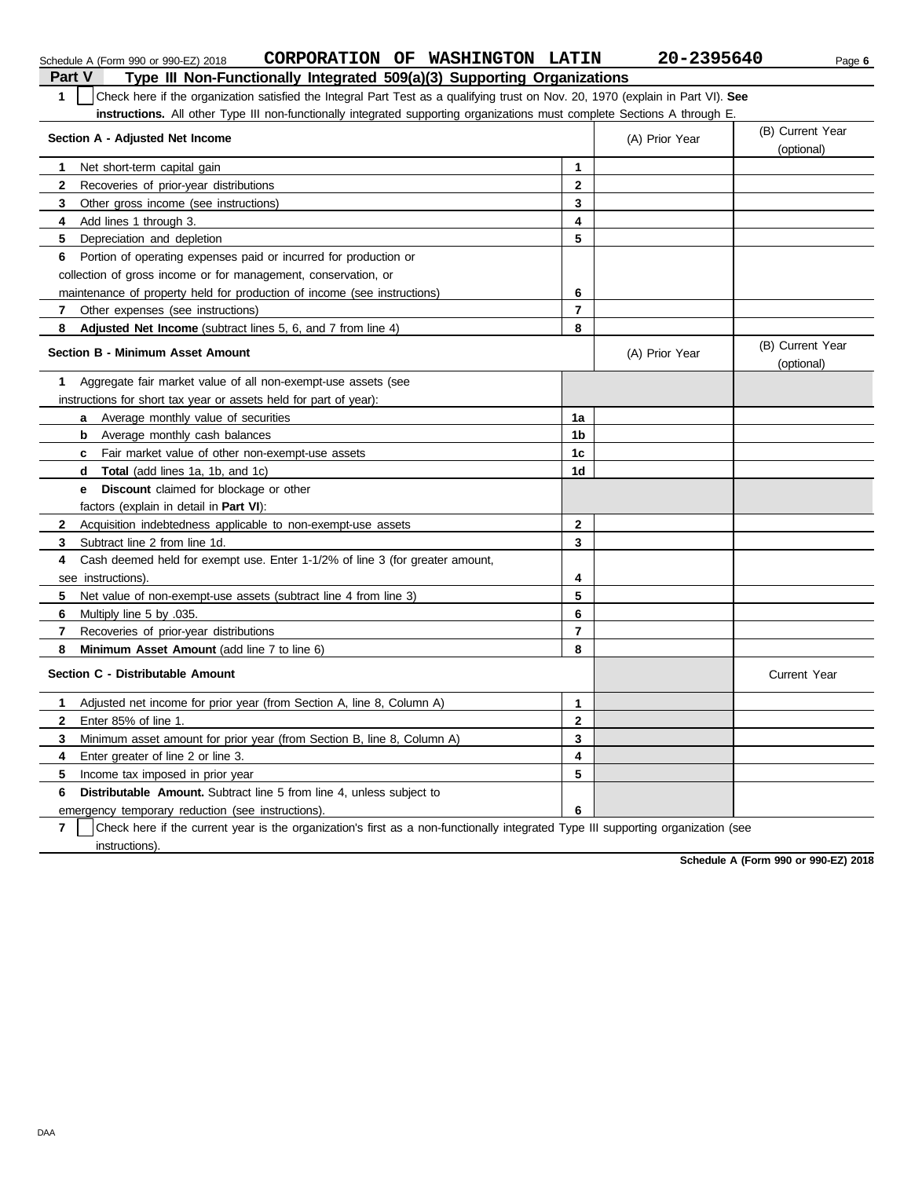| CORPORATION OF WASHINGTON LATIN<br>Schedule A (Form 990 or 990-EZ) 2018                                                               |                | 20-2395640     | Page 6                         |
|---------------------------------------------------------------------------------------------------------------------------------------|----------------|----------------|--------------------------------|
| <b>Part V</b><br>Type III Non-Functionally Integrated 509(a)(3) Supporting Organizations                                              |                |                |                                |
| 1<br>Check here if the organization satisfied the Integral Part Test as a qualifying trust on Nov. 20, 1970 (explain in Part VI). See |                |                |                                |
| instructions. All other Type III non-functionally integrated supporting organizations must complete Sections A through E.             |                |                |                                |
| Section A - Adjusted Net Income                                                                                                       |                | (A) Prior Year | (B) Current Year<br>(optional) |
| Net short-term capital gain<br>1                                                                                                      | $\mathbf{1}$   |                |                                |
| 2<br>Recoveries of prior-year distributions                                                                                           | $\mathbf{2}$   |                |                                |
| 3<br>Other gross income (see instructions)                                                                                            | 3              |                |                                |
| 4<br>Add lines 1 through 3.                                                                                                           | 4              |                |                                |
| 5<br>Depreciation and depletion                                                                                                       | 5              |                |                                |
| 6<br>Portion of operating expenses paid or incurred for production or                                                                 |                |                |                                |
| collection of gross income or for management, conservation, or                                                                        |                |                |                                |
| maintenance of property held for production of income (see instructions)                                                              | 6              |                |                                |
| Other expenses (see instructions)<br>7                                                                                                | $\overline{7}$ |                |                                |
| 8<br><b>Adjusted Net Income</b> (subtract lines 5, 6, and 7 from line 4)                                                              | 8              |                |                                |
| <b>Section B - Minimum Asset Amount</b>                                                                                               |                | (A) Prior Year | (B) Current Year<br>(optional) |
| Aggregate fair market value of all non-exempt-use assets (see<br>1.                                                                   |                |                |                                |
| instructions for short tax year or assets held for part of year):                                                                     |                |                |                                |
| Average monthly value of securities<br>a                                                                                              | 1a             |                |                                |
| Average monthly cash balances<br>b                                                                                                    | 1b             |                |                                |
| Fair market value of other non-exempt-use assets<br>c                                                                                 | 1 <sub>c</sub> |                |                                |
| Total (add lines 1a, 1b, and 1c)<br>d                                                                                                 | 1d             |                |                                |
| <b>Discount</b> claimed for blockage or other<br>е                                                                                    |                |                |                                |
| factors (explain in detail in Part VI):                                                                                               |                |                |                                |
| Acquisition indebtedness applicable to non-exempt-use assets<br>2                                                                     | $\mathbf{2}$   |                |                                |
| Subtract line 2 from line 1d.<br>3                                                                                                    | 3              |                |                                |
| Cash deemed held for exempt use. Enter 1-1/2% of line 3 (for greater amount,<br>4                                                     |                |                |                                |
| see instructions).                                                                                                                    | 4              |                |                                |
| 5<br>Net value of non-exempt-use assets (subtract line 4 from line 3)                                                                 | 5              |                |                                |
| 6<br>Multiply line 5 by .035.                                                                                                         | 6              |                |                                |
| 7<br>Recoveries of prior-year distributions                                                                                           | $\overline{7}$ |                |                                |
| 8<br><b>Minimum Asset Amount</b> (add line 7 to line 6)                                                                               | 8              |                |                                |
| Section C - Distributable Amount                                                                                                      |                |                | <b>Current Year</b>            |
| 1<br>Adjusted net income for prior year (from Section A, line 8, Column A)                                                            | $\mathbf{1}$   |                |                                |
| $\mathbf{2}$<br>Enter 85% of line 1.                                                                                                  | $\mathbf{2}$   |                |                                |
| 3<br>Minimum asset amount for prior year (from Section B, line 8, Column A)                                                           | 3              |                |                                |
| Enter greater of line 2 or line 3.<br>4                                                                                               | 4              |                |                                |
| Income tax imposed in prior year<br>5                                                                                                 | 5              |                |                                |
| <b>Distributable Amount.</b> Subtract line 5 from line 4, unless subject to<br>6                                                      |                |                |                                |
| emergency temporary reduction (see instructions).                                                                                     | 6              |                |                                |
|                                                                                                                                       |                |                |                                |

**7** | Check here if the current year is the organization's first as a non-functionally integrated Type III supporting organization (see instructions).

**Schedule A (Form 990 or 990-EZ) 2018**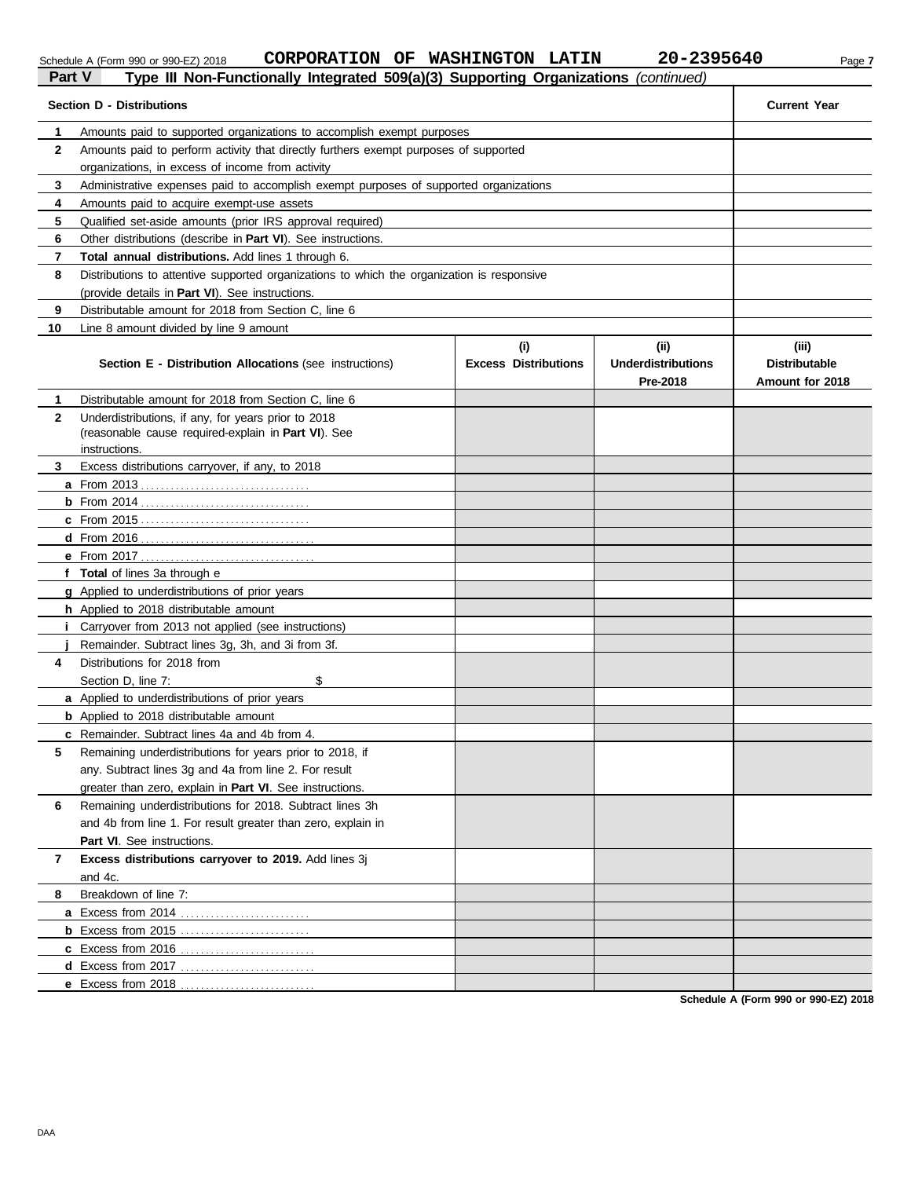|               | CORPORATION OF WASHINGTON LATIN<br>Schedule A (Form 990 or 990-EZ) 2018                                                     |                                    | 20-2395640                                    | Page 7                                           |
|---------------|-----------------------------------------------------------------------------------------------------------------------------|------------------------------------|-----------------------------------------------|--------------------------------------------------|
| <b>Part V</b> | Type III Non-Functionally Integrated 509(a)(3) Supporting Organizations (continued)                                         |                                    |                                               |                                                  |
|               | <b>Section D - Distributions</b>                                                                                            |                                    |                                               | <b>Current Year</b>                              |
| 1             | Amounts paid to supported organizations to accomplish exempt purposes                                                       |                                    |                                               |                                                  |
| $\mathbf{2}$  | Amounts paid to perform activity that directly furthers exempt purposes of supported                                        |                                    |                                               |                                                  |
|               | organizations, in excess of income from activity                                                                            |                                    |                                               |                                                  |
| 3<br>4        | Administrative expenses paid to accomplish exempt purposes of supported organizations                                       |                                    |                                               |                                                  |
| 5             | Amounts paid to acquire exempt-use assets<br>Qualified set-aside amounts (prior IRS approval required)                      |                                    |                                               |                                                  |
| 6             | Other distributions (describe in Part VI). See instructions.                                                                |                                    |                                               |                                                  |
| 7             | Total annual distributions. Add lines 1 through 6.                                                                          |                                    |                                               |                                                  |
| 8             | Distributions to attentive supported organizations to which the organization is responsive                                  |                                    |                                               |                                                  |
|               | (provide details in Part VI). See instructions.                                                                             |                                    |                                               |                                                  |
| 9             | Distributable amount for 2018 from Section C. line 6                                                                        |                                    |                                               |                                                  |
| 10            | Line 8 amount divided by line 9 amount                                                                                      |                                    |                                               |                                                  |
|               | Section E - Distribution Allocations (see instructions)                                                                     | (i)<br><b>Excess Distributions</b> | (ii)<br><b>Underdistributions</b><br>Pre-2018 | (iii)<br><b>Distributable</b><br>Amount for 2018 |
| 1             | Distributable amount for 2018 from Section C, line 6                                                                        |                                    |                                               |                                                  |
| $\mathbf{2}$  | Underdistributions, if any, for years prior to 2018<br>(reasonable cause required-explain in Part VI). See<br>instructions. |                                    |                                               |                                                  |
| 3             | Excess distributions carryover, if any, to 2018                                                                             |                                    |                                               |                                                  |
|               |                                                                                                                             |                                    |                                               |                                                  |
|               |                                                                                                                             |                                    |                                               |                                                  |
|               |                                                                                                                             |                                    |                                               |                                                  |
|               |                                                                                                                             |                                    |                                               |                                                  |
|               |                                                                                                                             |                                    |                                               |                                                  |
|               | f Total of lines 3a through e                                                                                               |                                    |                                               |                                                  |
|               | g Applied to underdistributions of prior years                                                                              |                                    |                                               |                                                  |
|               | h Applied to 2018 distributable amount                                                                                      |                                    |                                               |                                                  |
|               | Carryover from 2013 not applied (see instructions)                                                                          |                                    |                                               |                                                  |
|               | Remainder. Subtract lines 3g, 3h, and 3i from 3f.                                                                           |                                    |                                               |                                                  |
| 4             | Distributions for 2018 from                                                                                                 |                                    |                                               |                                                  |
|               | \$<br>Section D, line 7:                                                                                                    |                                    |                                               |                                                  |
|               | a Applied to underdistributions of prior years                                                                              |                                    |                                               |                                                  |
|               | <b>b</b> Applied to 2018 distributable amount                                                                               |                                    |                                               |                                                  |
|               | c Remainder. Subtract lines 4a and 4b from 4.                                                                               |                                    |                                               |                                                  |
| 5             | Remaining underdistributions for years prior to 2018, if                                                                    |                                    |                                               |                                                  |
|               | any. Subtract lines 3g and 4a from line 2. For result                                                                       |                                    |                                               |                                                  |
|               | greater than zero, explain in Part VI. See instructions.                                                                    |                                    |                                               |                                                  |
| 6             | Remaining underdistributions for 2018. Subtract lines 3h.                                                                   |                                    |                                               |                                                  |

**Schedule A (Form 990 or 990-EZ) 2018**

**8**

and 4c.

**7 Excess distributions carryover to 2019.** Add lines 3j

and 4b from line 1. For result greater than zero, explain in

**a** Excess from 2014 . . . . . . . . . . . . . . . . . . . . . . . . . . **b** Excess from 2015 . . . . . . . . . . . . . . . . . . . . . . . . . . **c** Excess from 2016 . . . . . . . . . . . . . . . . . . . . . . . . . . . **d** Excess from 2017 . . . . . . . . . . . . . . . . . . . . . . . . . . . **e** Excess from 2018 . . . . . . . . . . . . . . . . . . . . . . . . . . .

**Part VI.** See instructions.

Breakdown of line 7: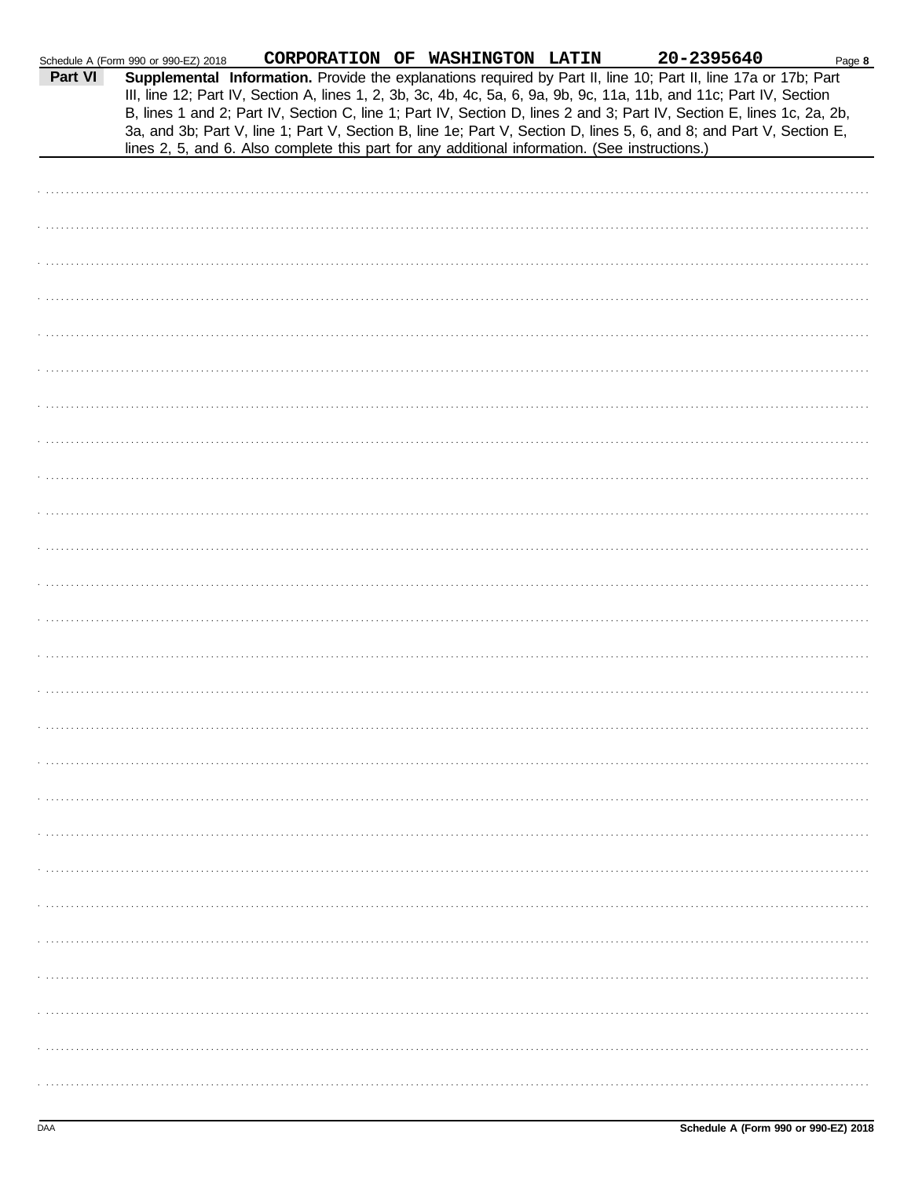|         | Schedule A (Form 990 or 990-EZ) 2018 | CORPORATION OF WASHINGTON LATIN                                                                                                                                                                                                                                                                                                                                                                                                                                                                                                                                                             |  | 20-2395640 | Page 8 |
|---------|--------------------------------------|---------------------------------------------------------------------------------------------------------------------------------------------------------------------------------------------------------------------------------------------------------------------------------------------------------------------------------------------------------------------------------------------------------------------------------------------------------------------------------------------------------------------------------------------------------------------------------------------|--|------------|--------|
| Part VI |                                      | Supplemental Information. Provide the explanations required by Part II, line 10; Part II, line 17a or 17b; Part<br>III, line 12; Part IV, Section A, lines 1, 2, 3b, 3c, 4b, 4c, 5a, 6, 9a, 9b, 9c, 11a, 11b, and 11c; Part IV, Section<br>B, lines 1 and 2; Part IV, Section C, line 1; Part IV, Section D, lines 2 and 3; Part IV, Section E, lines 1c, 2a, 2b,<br>3a, and 3b; Part V, line 1; Part V, Section B, line 1e; Part V, Section D, lines 5, 6, and 8; and Part V, Section E,<br>lines 2, 5, and 6. Also complete this part for any additional information. (See instructions.) |  |            |        |
|         |                                      |                                                                                                                                                                                                                                                                                                                                                                                                                                                                                                                                                                                             |  |            |        |
|         |                                      |                                                                                                                                                                                                                                                                                                                                                                                                                                                                                                                                                                                             |  |            |        |
|         |                                      |                                                                                                                                                                                                                                                                                                                                                                                                                                                                                                                                                                                             |  |            |        |
|         |                                      |                                                                                                                                                                                                                                                                                                                                                                                                                                                                                                                                                                                             |  |            |        |
|         |                                      |                                                                                                                                                                                                                                                                                                                                                                                                                                                                                                                                                                                             |  |            |        |
|         |                                      |                                                                                                                                                                                                                                                                                                                                                                                                                                                                                                                                                                                             |  |            |        |
|         |                                      |                                                                                                                                                                                                                                                                                                                                                                                                                                                                                                                                                                                             |  |            |        |
|         |                                      |                                                                                                                                                                                                                                                                                                                                                                                                                                                                                                                                                                                             |  |            |        |
|         |                                      |                                                                                                                                                                                                                                                                                                                                                                                                                                                                                                                                                                                             |  |            |        |
|         |                                      |                                                                                                                                                                                                                                                                                                                                                                                                                                                                                                                                                                                             |  |            |        |
|         |                                      |                                                                                                                                                                                                                                                                                                                                                                                                                                                                                                                                                                                             |  |            |        |
|         |                                      |                                                                                                                                                                                                                                                                                                                                                                                                                                                                                                                                                                                             |  |            |        |
|         |                                      |                                                                                                                                                                                                                                                                                                                                                                                                                                                                                                                                                                                             |  |            |        |
|         |                                      |                                                                                                                                                                                                                                                                                                                                                                                                                                                                                                                                                                                             |  |            |        |
|         |                                      |                                                                                                                                                                                                                                                                                                                                                                                                                                                                                                                                                                                             |  |            |        |
|         |                                      |                                                                                                                                                                                                                                                                                                                                                                                                                                                                                                                                                                                             |  |            |        |
|         |                                      |                                                                                                                                                                                                                                                                                                                                                                                                                                                                                                                                                                                             |  |            |        |
|         |                                      |                                                                                                                                                                                                                                                                                                                                                                                                                                                                                                                                                                                             |  |            |        |
|         |                                      |                                                                                                                                                                                                                                                                                                                                                                                                                                                                                                                                                                                             |  |            |        |
|         |                                      |                                                                                                                                                                                                                                                                                                                                                                                                                                                                                                                                                                                             |  |            |        |
|         |                                      |                                                                                                                                                                                                                                                                                                                                                                                                                                                                                                                                                                                             |  |            |        |
|         |                                      |                                                                                                                                                                                                                                                                                                                                                                                                                                                                                                                                                                                             |  |            |        |
|         |                                      |                                                                                                                                                                                                                                                                                                                                                                                                                                                                                                                                                                                             |  |            |        |
|         |                                      |                                                                                                                                                                                                                                                                                                                                                                                                                                                                                                                                                                                             |  |            |        |
|         |                                      |                                                                                                                                                                                                                                                                                                                                                                                                                                                                                                                                                                                             |  |            |        |
|         |                                      |                                                                                                                                                                                                                                                                                                                                                                                                                                                                                                                                                                                             |  |            |        |
|         |                                      |                                                                                                                                                                                                                                                                                                                                                                                                                                                                                                                                                                                             |  |            |        |
|         |                                      |                                                                                                                                                                                                                                                                                                                                                                                                                                                                                                                                                                                             |  |            |        |
|         |                                      |                                                                                                                                                                                                                                                                                                                                                                                                                                                                                                                                                                                             |  |            |        |
|         |                                      |                                                                                                                                                                                                                                                                                                                                                                                                                                                                                                                                                                                             |  |            |        |
|         |                                      |                                                                                                                                                                                                                                                                                                                                                                                                                                                                                                                                                                                             |  |            |        |
|         |                                      |                                                                                                                                                                                                                                                                                                                                                                                                                                                                                                                                                                                             |  |            |        |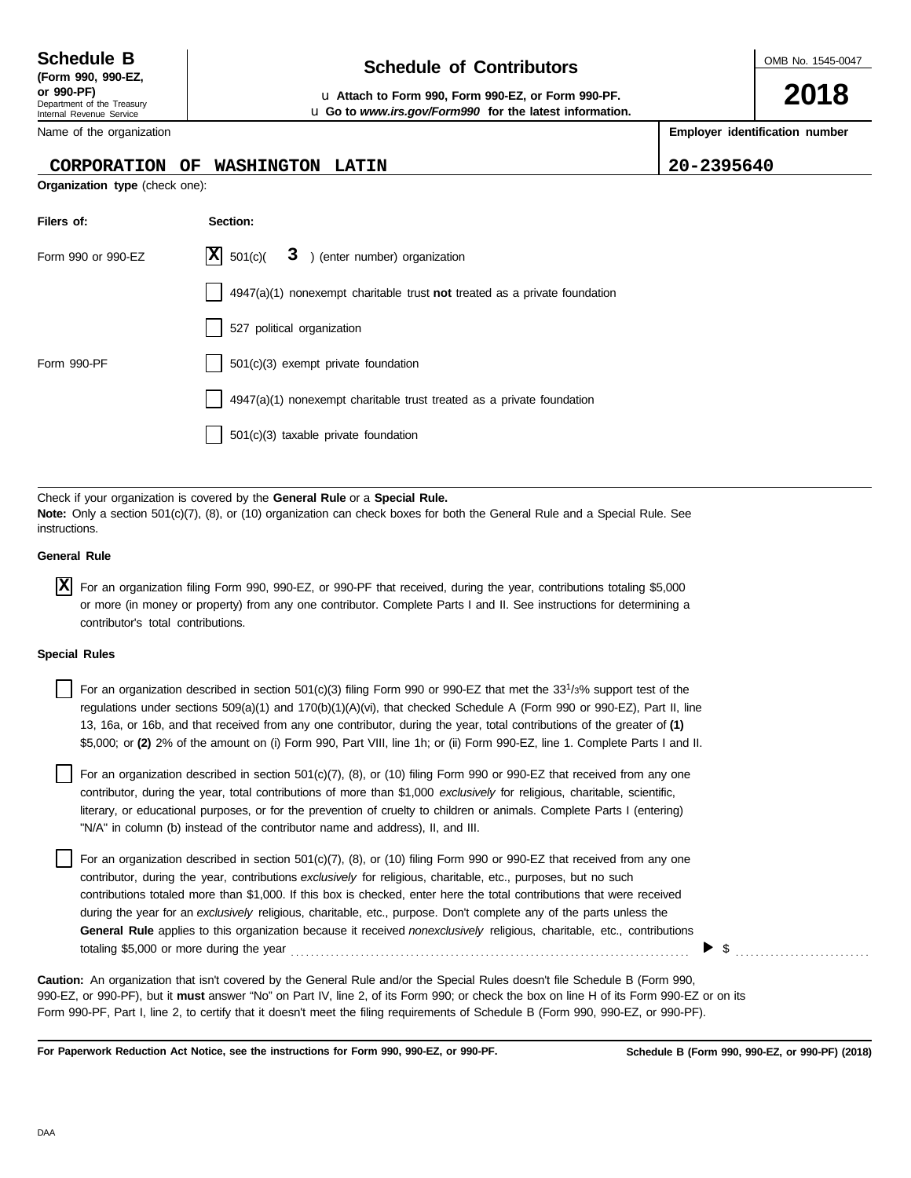# **Schedule of Contributors Schedule B**

**or 990-PF)** u Attach to Form 990, Form 990-EZ, or Form 990-PF. u **Go to** *www.irs.gov/Form990* **for the latest information.** OMB No. 1545-0047

**Employer identification number**

| (Form 990, 990-EZ,         |
|----------------------------|
| or 990-PF)                 |
| Denartment of the Treasury |

Internal Revenue Service Name of the organization

## **CORPORATION OF WASHINGTON LATIN 20-2395640**

**Organization type** (check one):

| Filers of:         | Section:                                                                    |
|--------------------|-----------------------------------------------------------------------------|
| Form 990 or 990-EZ | $ \mathbf{X} $ 501(c)( 3) (enter number) organization                       |
|                    | $4947(a)(1)$ nonexempt charitable trust not treated as a private foundation |
|                    | 527 political organization                                                  |
| Form 990-PF        | 501(c)(3) exempt private foundation                                         |
|                    | 4947(a)(1) nonexempt charitable trust treated as a private foundation       |
|                    | 501(c)(3) taxable private foundation                                        |

Check if your organization is covered by the **General Rule** or a **Special Rule. Note:** Only a section 501(c)(7), (8), or (10) organization can check boxes for both the General Rule and a Special Rule. See instructions.

### **General Rule**

For an organization filing Form 990, 990-EZ, or 990-PF that received, during the year, contributions totaling \$5,000 **X**or more (in money or property) from any one contributor. Complete Parts I and II. See instructions for determining a contributor's total contributions.

### **Special Rules**

For an organization described in section 501(c)(3) filing Form 990 or 990-EZ that met the 33<sup>1</sup>/3% support test of the regulations under sections 509(a)(1) and 170(b)(1)(A)(vi), that checked Schedule A (Form 990 or 990-EZ), Part II, line 13, 16a, or 16b, and that received from any one contributor, during the year, total contributions of the greater of **(1)** \$5,000; or **(2)** 2% of the amount on (i) Form 990, Part VIII, line 1h; or (ii) Form 990-EZ, line 1. Complete Parts I and II.

literary, or educational purposes, or for the prevention of cruelty to children or animals. Complete Parts I (entering) For an organization described in section 501(c)(7), (8), or (10) filing Form 990 or 990-EZ that received from any one contributor, during the year, total contributions of more than \$1,000 *exclusively* for religious, charitable, scientific, "N/A" in column (b) instead of the contributor name and address), II, and III.

For an organization described in section 501(c)(7), (8), or (10) filing Form 990 or 990-EZ that received from any one contributor, during the year, contributions *exclusively* for religious, charitable, etc., purposes, but no such contributions totaled more than \$1,000. If this box is checked, enter here the total contributions that were received during the year for an *exclusively* religious, charitable, etc., purpose. Don't complete any of the parts unless the **General Rule** applies to this organization because it received *nonexclusively* religious, charitable, etc., contributions totaling \$5,000 or more during the year . . . . . . . . . . . . . . . . . . . . . . . . . . . . . . . . . . . . . . . . . . . . . . . . . . . . . . . . . . . . . . . . . . . . . . . . . . . . . . . .

990-EZ, or 990-PF), but it **must** answer "No" on Part IV, line 2, of its Form 990; or check the box on line H of its Form 990-EZ or on its Form 990-PF, Part I, line 2, to certify that it doesn't meet the filing requirements of Schedule B (Form 990, 990-EZ, or 990-PF). **Caution:** An organization that isn't covered by the General Rule and/or the Special Rules doesn't file Schedule B (Form 990,

**For Paperwork Reduction Act Notice, see the instructions for Form 990, 990-EZ, or 990-PF.**

\$ . . . . . . . . . . . . . . . . . . . . . . . . . . .

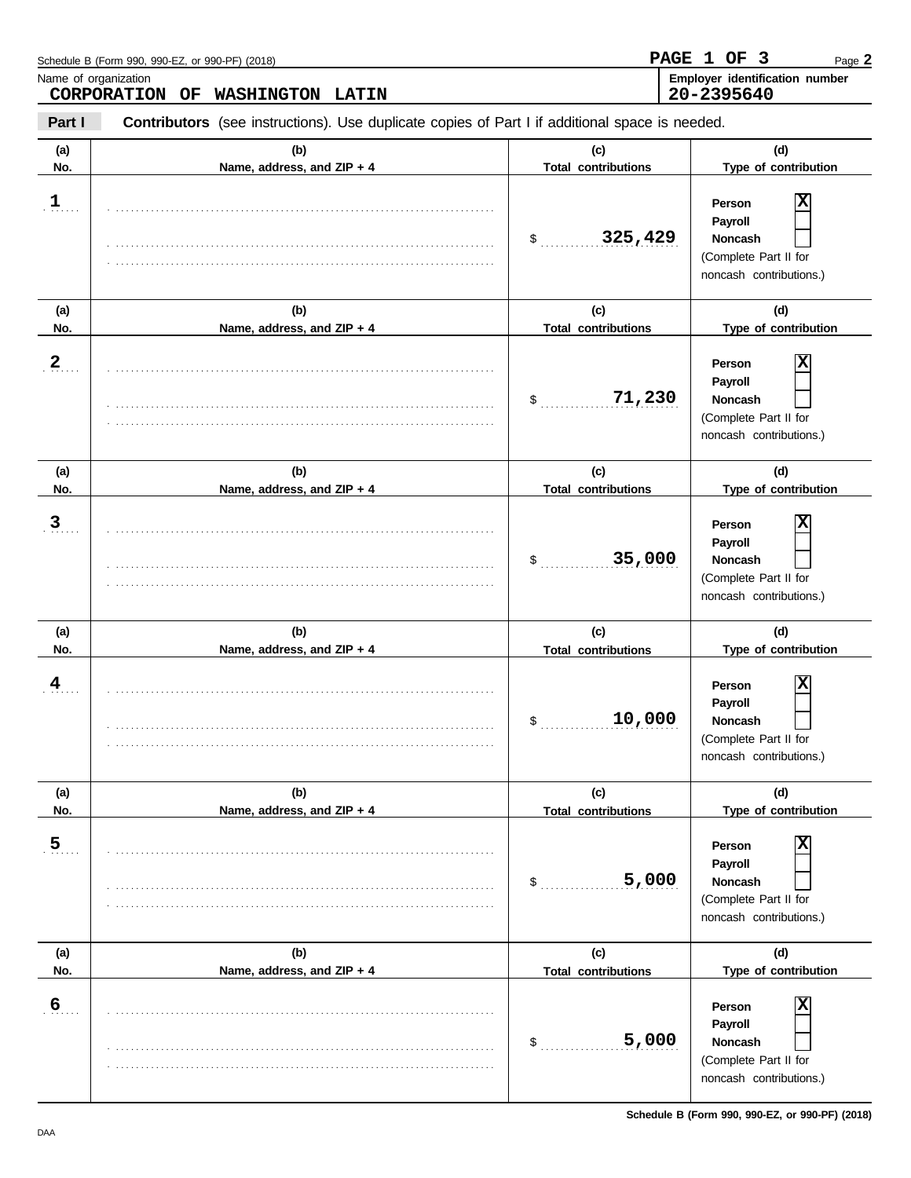|                  | Schedule B (Form 990, 990-EZ, or 990-PF) (2018)                                                |                                   | PAGE 1 OF 3<br>Page 2                                                                        |
|------------------|------------------------------------------------------------------------------------------------|-----------------------------------|----------------------------------------------------------------------------------------------|
|                  | Name of organization<br>CORPORATION<br>OF<br><b>WASHINGTON</b><br><b>LATIN</b>                 |                                   | Employer identification number<br>20-2395640                                                 |
| Part I           | Contributors (see instructions). Use duplicate copies of Part I if additional space is needed. |                                   |                                                                                              |
| (a)<br>No.       | (b)<br>Name, address, and ZIP + 4                                                              | (c)<br><b>Total contributions</b> | (d)<br>Type of contribution                                                                  |
| $\frac{1}{2}$    |                                                                                                | 325,429<br>\$                     | х<br>Person<br>Payroll<br><b>Noncash</b><br>(Complete Part II for<br>noncash contributions.) |
| (a)<br>No.       | (b)<br>Name, address, and ZIP + 4                                                              | (c)<br><b>Total contributions</b> | (d)<br>Type of contribution                                                                  |
| $\overline{2}$   |                                                                                                | 71,230<br>\$                      | х<br>Person<br>Payroll<br><b>Noncash</b><br>(Complete Part II for<br>noncash contributions.) |
| (a)<br>No.       | (b)<br>Name, address, and ZIP + 4                                                              | (c)<br><b>Total contributions</b> | (d)<br>Type of contribution                                                                  |
| 3                |                                                                                                | 35,000<br>\$                      | х<br>Person<br>Payroll<br><b>Noncash</b><br>(Complete Part II for<br>noncash contributions.) |
| (a)<br>No.       | (b)<br>Name, address, and ZIP + 4                                                              | (c)<br><b>Total contributions</b> | (d)<br>Type of contribution                                                                  |
| $\frac{4}{1}$    |                                                                                                | 10,000<br>\$                      | X<br>Person<br>Payroll<br>Noncash<br>(Complete Part II for<br>noncash contributions.)        |
| (a)<br>No.       | (b)<br>Name, address, and ZIP + 4                                                              | (c)<br><b>Total contributions</b> | (d)<br>Type of contribution                                                                  |
| $\overline{5}$   |                                                                                                | 5,000<br>\$                       | X<br>Person<br>Payroll<br><b>Noncash</b><br>(Complete Part II for<br>noncash contributions.) |
| (a)<br>No.       | (b)<br>Name, address, and ZIP + 4                                                              | (c)<br><b>Total contributions</b> | (d)<br>Type of contribution                                                                  |
| $6 \overline{6}$ |                                                                                                | 5,000<br>\$                       | Χ<br>Person<br>Payroll<br><b>Noncash</b><br>(Complete Part II for<br>noncash contributions.) |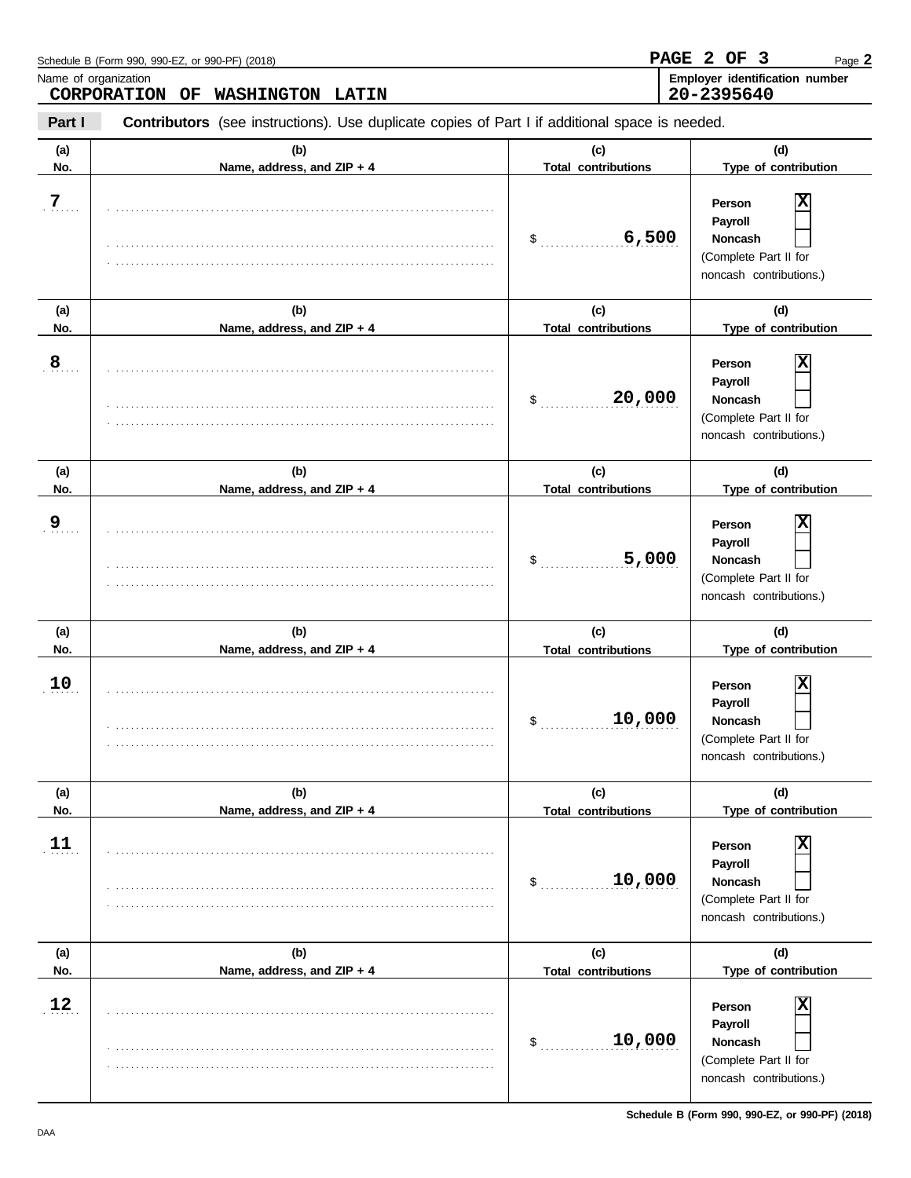|            | Schedule B (Form 990, 990-EZ, or 990-PF) (2018)                                                       |                                   | PAGE 2 OF 3<br>Page 2                                                            |
|------------|-------------------------------------------------------------------------------------------------------|-----------------------------------|----------------------------------------------------------------------------------|
|            | Name of organization<br>CORPORATION<br>OF<br><b>WASHINGTON</b><br><b>LATIN</b>                        |                                   | Employer identification number<br>20-2395640                                     |
| Part I     | <b>Contributors</b> (see instructions). Use duplicate copies of Part I if additional space is needed. |                                   |                                                                                  |
| (a)<br>No. | (b)<br>Name, address, and ZIP + 4                                                                     | (c)<br><b>Total contributions</b> | (d)<br>Type of contribution                                                      |
| 7          |                                                                                                       | 6,500<br>\$                       | Person<br>Payroll<br>Noncash<br>(Complete Part II for<br>noncash contributions.) |
| (a)<br>No. | (b)<br>Name, address, and ZIP + 4                                                                     | (c)<br><b>Total contributions</b> | (d)<br>Type of contribution                                                      |
| 8          |                                                                                                       | 20,000<br>\$                      | Person<br>Payroll<br>Noncash<br>(Complete Part II for<br>noncash contributions.) |
| (a)<br>No. | (b)<br>Name, address, and ZIP + 4                                                                     | (c)<br><b>Total contributions</b> | (d)<br>Type of contribution                                                      |
| 9          |                                                                                                       | 5,000<br>\$                       | Person<br>Payroll<br>Noncash<br>(Complete Part II for<br>noncash contributions.) |
| (a)<br>No. | (b)<br>Name, address, and ZIP + 4                                                                     | (c)<br><b>Total contributions</b> | (d)<br>Type of contribution                                                      |
| 10         |                                                                                                       | 10,000<br>$\mathsf{S}$            | Person<br>Payroll<br>Noncash<br>(Complete Part II for<br>noncash contributions.) |
| (a)<br>No. | (b)<br>Name, address, and ZIP + 4                                                                     | (c)<br><b>Total contributions</b> | (d)<br>Type of contribution                                                      |
| 11         |                                                                                                       | 10,000<br>$\mathsf{\$}$           | Person<br>Payroll<br>Noncash<br>(Complete Part II for<br>noncash contributions.) |
| (a)<br>No. | (b)<br>Name, address, and ZIP + 4                                                                     | (c)<br><b>Total contributions</b> | (d)<br>Type of contribution                                                      |
| 12         |                                                                                                       | 10,000<br>$\mathsf{s}$ .          | Person<br>Payroll<br>Noncash<br>(Complete Part II for<br>noncash contributions.) |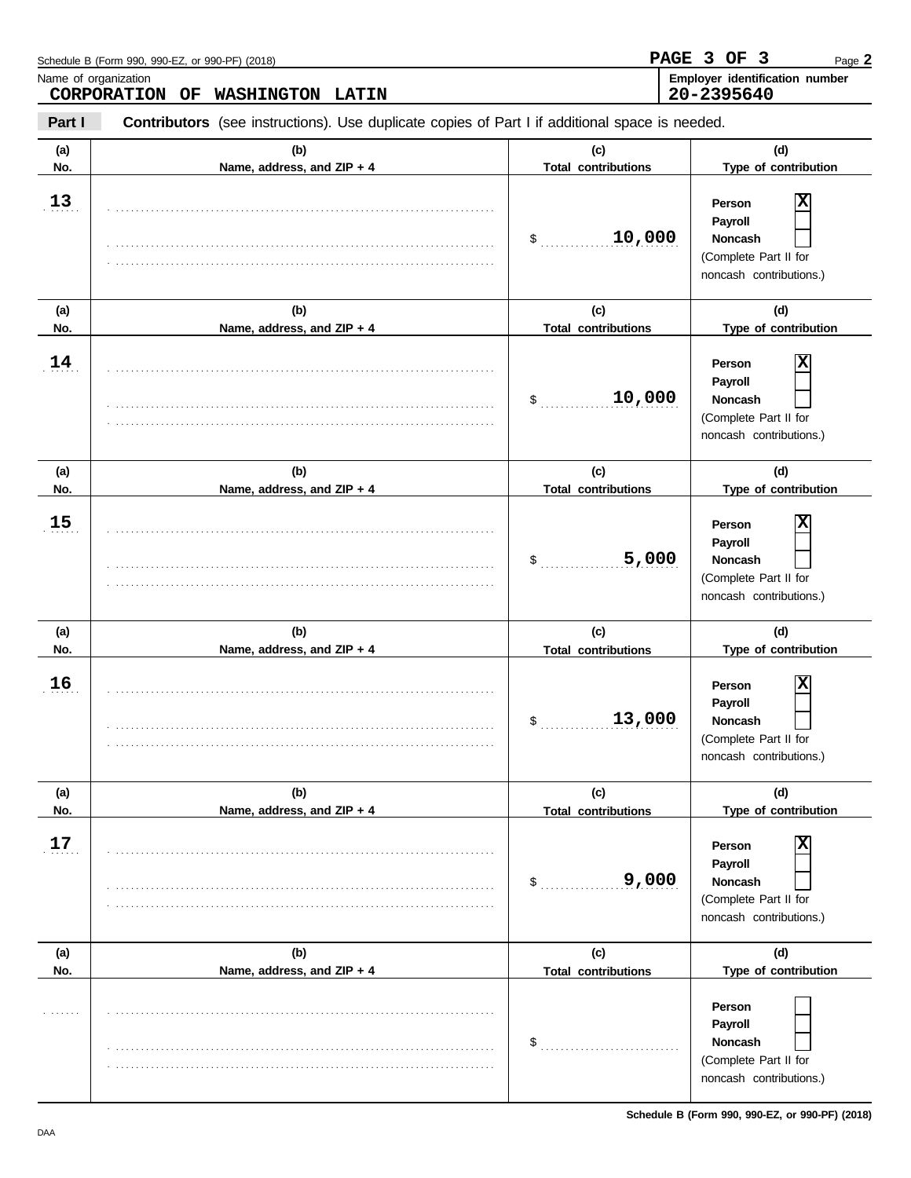|            | Schedule B (Form 990, 990-EZ, or 990-PF) (2018)                                                       |                                   | PAGE 3 OF 3<br>Page 2                                                                        |
|------------|-------------------------------------------------------------------------------------------------------|-----------------------------------|----------------------------------------------------------------------------------------------|
|            | Name of organization<br>CORPORATION<br>OF<br><b>WASHINGTON</b><br><b>LATIN</b>                        |                                   | Employer identification number<br>20-2395640                                                 |
| Part I     | <b>Contributors</b> (see instructions). Use duplicate copies of Part I if additional space is needed. |                                   |                                                                                              |
| (a)<br>No. | (b)<br>Name, address, and ZIP + 4                                                                     | (c)<br><b>Total contributions</b> | (d)<br>Type of contribution                                                                  |
| 13         |                                                                                                       | 10,000<br>\$                      | х<br>Person<br>Payroll<br><b>Noncash</b><br>(Complete Part II for<br>noncash contributions.) |
| (a)<br>No. | (b)<br>Name, address, and ZIP + 4                                                                     | (c)<br><b>Total contributions</b> | (d)<br>Type of contribution                                                                  |
| 14         |                                                                                                       | 10,000<br>\$                      | х<br>Person<br>Payroll<br><b>Noncash</b><br>(Complete Part II for<br>noncash contributions.) |
| (a)<br>No. | (b)<br>Name, address, and ZIP + 4                                                                     | (c)<br><b>Total contributions</b> | (d)<br>Type of contribution                                                                  |
| 15         |                                                                                                       | 5,000<br>\$                       | X<br>Person<br>Payroll<br><b>Noncash</b><br>(Complete Part II for<br>noncash contributions.) |
| (a)<br>No. | (b)<br>Name, address, and ZIP + 4                                                                     | (c)<br><b>Total contributions</b> | (d)<br>Type of contribution                                                                  |
| 16         |                                                                                                       | 13,000<br>$\mathsf{S}_{\ldots}$   | X<br>Person<br>Payroll<br>Noncash<br>(Complete Part II for<br>noncash contributions.)        |
| (a)<br>No. | (b)<br>Name, address, and ZIP + 4                                                                     | (c)<br><b>Total contributions</b> | (d)<br>Type of contribution                                                                  |
| 17         |                                                                                                       | 9,000<br>\$                       | X<br>Person<br>Payroll<br><b>Noncash</b><br>(Complete Part II for<br>noncash contributions.) |
| (a)<br>No. | (b)<br>Name, address, and ZIP + 4                                                                     | (c)<br><b>Total contributions</b> | (d)<br>Type of contribution                                                                  |
| 1.1.1.1.1  |                                                                                                       | \$                                | Person<br>Payroll<br><b>Noncash</b><br>(Complete Part II for<br>noncash contributions.)      |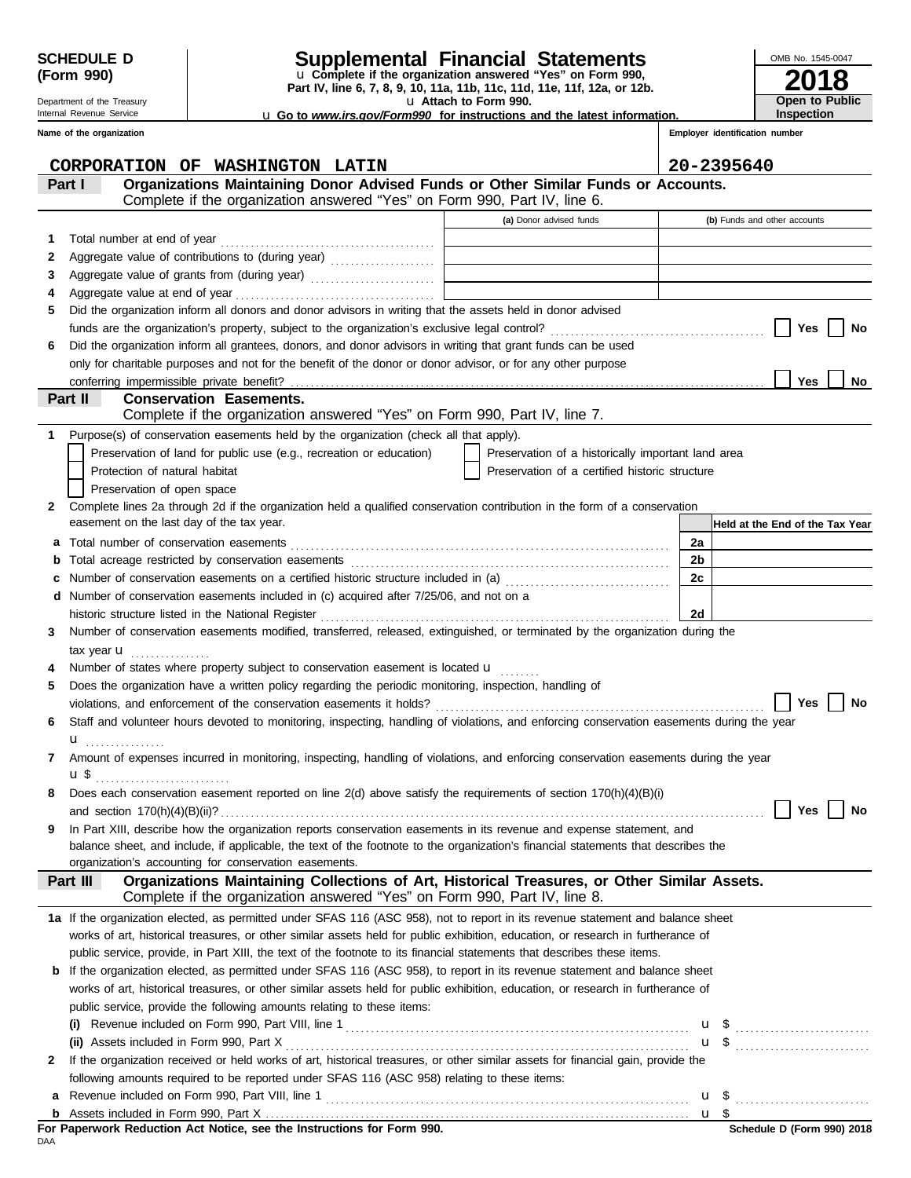| Schedule d |  |
|------------|--|
| (Form 990) |  |

Department of the Treasury Internal Revenue Service **Name of the organization**

**2**

Preservation of open space

# **Supplemental Financial Statements**

**Part IV, line 6, 7, 8, 9, 10, 11a, 11b, 11c, 11d, 11e, 11f, 12a, or 12b.** u **Complete if the organization answered "Yes" on Form 990,**

u **Attach to Form 990.** 

u **Go to** *www.irs.gov/Form990* **for instructions and the latest information.**

**2018 Open to Public Part I Organizations Maintaining Donor Advised Funds or Other Similar Funds or Accounts. Employer identification number (a)** Donor advised funds **(b)** Funds and other accounts Complete if the organization answered "Yes" on Form 990, Part IV, line 6. Did the organization inform all donors and donor advisors in writing that the assets held in donor advised **Yes No Inspection CORPORATION OF WASHINGTON LATIN 20-2395640**

OMB No. 1545-0047

**Yes**

**No**

#### **Conservation Easements. 6** funds are the organization's property, subject to the organization's exclusive legal control? . . . . . . . . . . . . . . . . . . . . . . . . . . . . . . . . . . . . . . . . . . . Did the organization inform all grantees, donors, and donor advisors in writing that grant funds can be used only for charitable purposes and not for the benefit of the donor or donor advisor, or for any other purpose **Part II** conferring impermissible private benefit?

Total number at end of year . . . . . . . . . . . . . . . . . . . . . . . . . . . . . . . . . . . . . . . . . . . Aggregate value of contributions to (during year) ..................... Aggregate value of grants from (during year) .......................... Aggregate value at end of year . . . . . . . . . . . . . . . . . . . . . . . . . . . . . . . . . . . . . . . .

| Complete if the organization answered "Yes" on Form 990, Part IV, line 7.             |                                                    |
|---------------------------------------------------------------------------------------|----------------------------------------------------|
| Purpose(s) of conservation easements held by the organization (check all that apply). |                                                    |
| Preservation of land for public use (e.g., recreation or education)                   | Preservation of a historically important land area |
| Protection of natural habitat                                                         | Preservation of a certified historic structure     |

Complete lines 2a through 2d if the organization held a qualified conservation contribution in the form of a conservation

| Total number of conservation easements<br>2a<br>а<br>2 <sub>b</sub><br>b<br>Number of conservation easements on a certified historic structure included in (a) [[[[[[[[[[[[[[[[[[[[[[[[[]]]]]]]<br>2c<br>Number of conservation easements included in (c) acquired after 7/25/06, and not on a<br>d<br>historic structure listed in the National Register<br>2d<br>Number of conservation easements modified, transferred, released, extinguished, or terminated by the organization during the<br>3<br>tax year <b>u</b><br>.<br>Number of states where property subject to conservation easement is located u<br>Does the organization have a written policy regarding the periodic monitoring, inspection, handling of<br>5<br><b>Yes</b><br><b>No</b><br>Staff and volunteer hours devoted to monitoring, inspecting, handling of violations, and enforcing conservation easements during the year<br>6<br>$\mathbf{u}$<br>Amount of expenses incurred in monitoring, inspecting, handling of violations, and enforcing conservation easements during the year<br>7<br>$\mathbf{u} \, \mathbf{\$}$<br>Does each conservation easement reported on line 2(d) above satisfy the requirements of section 170(h)(4)(B)(i)<br>8<br>Yes<br>No<br>In Part XIII, describe how the organization reports conservation easements in its revenue and expense statement, and<br>9<br>balance sheet, and include, if applicable, the text of the footnote to the organization's financial statements that describes the<br>organization's accounting for conservation easements.<br>Organizations Maintaining Collections of Art, Historical Treasures, or Other Similar Assets.<br>Part III<br>Complete if the organization answered "Yes" on Form 990, Part IV, line 8.<br>1a If the organization elected, as permitted under SFAS 116 (ASC 958), not to report in its revenue statement and balance sheet<br>works of art, historical treasures, or other similar assets held for public exhibition, education, or research in furtherance of<br>public service, provide, in Part XIII, the text of the footnote to its financial statements that describes these items.<br><b>b</b> If the organization elected, as permitted under SFAS 116 (ASC 958), to report in its revenue statement and balance sheet<br>works of art, historical treasures, or other similar assets held for public exhibition, education, or research in furtherance of<br>public service, provide the following amounts relating to these items:<br>u \$<br>If the organization received or held works of art, historical treasures, or other similar assets for financial gain, provide the<br>$\mathbf{2}$<br>following amounts required to be reported under SFAS 116 (ASC 958) relating to these items:<br>u \$<br>u \$<br>For Paperwork Reduction Act Notice, see the Instructions for Form 990.<br>Schedule D (Form 990) 2018 | easement on the last day of the tax year. | Held at the End of the Tax Year |
|---------------------------------------------------------------------------------------------------------------------------------------------------------------------------------------------------------------------------------------------------------------------------------------------------------------------------------------------------------------------------------------------------------------------------------------------------------------------------------------------------------------------------------------------------------------------------------------------------------------------------------------------------------------------------------------------------------------------------------------------------------------------------------------------------------------------------------------------------------------------------------------------------------------------------------------------------------------------------------------------------------------------------------------------------------------------------------------------------------------------------------------------------------------------------------------------------------------------------------------------------------------------------------------------------------------------------------------------------------------------------------------------------------------------------------------------------------------------------------------------------------------------------------------------------------------------------------------------------------------------------------------------------------------------------------------------------------------------------------------------------------------------------------------------------------------------------------------------------------------------------------------------------------------------------------------------------------------------------------------------------------------------------------------------------------------------------------------------------------------------------------------------------------------------------------------------------------------------------------------------------------------------------------------------------------------------------------------------------------------------------------------------------------------------------------------------------------------------------------------------------------------------------------------------------------------------------------------------------------------------------------------------------------------------------------------------------------------------------------------------------------------------------------------------------------------------------------------------------------------------------------------------------------|-------------------------------------------|---------------------------------|
|                                                                                                                                                                                                                                                                                                                                                                                                                                                                                                                                                                                                                                                                                                                                                                                                                                                                                                                                                                                                                                                                                                                                                                                                                                                                                                                                                                                                                                                                                                                                                                                                                                                                                                                                                                                                                                                                                                                                                                                                                                                                                                                                                                                                                                                                                                                                                                                                                                                                                                                                                                                                                                                                                                                                                                                                                                                                                                         |                                           |                                 |
|                                                                                                                                                                                                                                                                                                                                                                                                                                                                                                                                                                                                                                                                                                                                                                                                                                                                                                                                                                                                                                                                                                                                                                                                                                                                                                                                                                                                                                                                                                                                                                                                                                                                                                                                                                                                                                                                                                                                                                                                                                                                                                                                                                                                                                                                                                                                                                                                                                                                                                                                                                                                                                                                                                                                                                                                                                                                                                         |                                           |                                 |
|                                                                                                                                                                                                                                                                                                                                                                                                                                                                                                                                                                                                                                                                                                                                                                                                                                                                                                                                                                                                                                                                                                                                                                                                                                                                                                                                                                                                                                                                                                                                                                                                                                                                                                                                                                                                                                                                                                                                                                                                                                                                                                                                                                                                                                                                                                                                                                                                                                                                                                                                                                                                                                                                                                                                                                                                                                                                                                         |                                           |                                 |
|                                                                                                                                                                                                                                                                                                                                                                                                                                                                                                                                                                                                                                                                                                                                                                                                                                                                                                                                                                                                                                                                                                                                                                                                                                                                                                                                                                                                                                                                                                                                                                                                                                                                                                                                                                                                                                                                                                                                                                                                                                                                                                                                                                                                                                                                                                                                                                                                                                                                                                                                                                                                                                                                                                                                                                                                                                                                                                         |                                           |                                 |
|                                                                                                                                                                                                                                                                                                                                                                                                                                                                                                                                                                                                                                                                                                                                                                                                                                                                                                                                                                                                                                                                                                                                                                                                                                                                                                                                                                                                                                                                                                                                                                                                                                                                                                                                                                                                                                                                                                                                                                                                                                                                                                                                                                                                                                                                                                                                                                                                                                                                                                                                                                                                                                                                                                                                                                                                                                                                                                         |                                           |                                 |
|                                                                                                                                                                                                                                                                                                                                                                                                                                                                                                                                                                                                                                                                                                                                                                                                                                                                                                                                                                                                                                                                                                                                                                                                                                                                                                                                                                                                                                                                                                                                                                                                                                                                                                                                                                                                                                                                                                                                                                                                                                                                                                                                                                                                                                                                                                                                                                                                                                                                                                                                                                                                                                                                                                                                                                                                                                                                                                         |                                           |                                 |
|                                                                                                                                                                                                                                                                                                                                                                                                                                                                                                                                                                                                                                                                                                                                                                                                                                                                                                                                                                                                                                                                                                                                                                                                                                                                                                                                                                                                                                                                                                                                                                                                                                                                                                                                                                                                                                                                                                                                                                                                                                                                                                                                                                                                                                                                                                                                                                                                                                                                                                                                                                                                                                                                                                                                                                                                                                                                                                         |                                           |                                 |
|                                                                                                                                                                                                                                                                                                                                                                                                                                                                                                                                                                                                                                                                                                                                                                                                                                                                                                                                                                                                                                                                                                                                                                                                                                                                                                                                                                                                                                                                                                                                                                                                                                                                                                                                                                                                                                                                                                                                                                                                                                                                                                                                                                                                                                                                                                                                                                                                                                                                                                                                                                                                                                                                                                                                                                                                                                                                                                         |                                           |                                 |
|                                                                                                                                                                                                                                                                                                                                                                                                                                                                                                                                                                                                                                                                                                                                                                                                                                                                                                                                                                                                                                                                                                                                                                                                                                                                                                                                                                                                                                                                                                                                                                                                                                                                                                                                                                                                                                                                                                                                                                                                                                                                                                                                                                                                                                                                                                                                                                                                                                                                                                                                                                                                                                                                                                                                                                                                                                                                                                         |                                           |                                 |
|                                                                                                                                                                                                                                                                                                                                                                                                                                                                                                                                                                                                                                                                                                                                                                                                                                                                                                                                                                                                                                                                                                                                                                                                                                                                                                                                                                                                                                                                                                                                                                                                                                                                                                                                                                                                                                                                                                                                                                                                                                                                                                                                                                                                                                                                                                                                                                                                                                                                                                                                                                                                                                                                                                                                                                                                                                                                                                         |                                           |                                 |
|                                                                                                                                                                                                                                                                                                                                                                                                                                                                                                                                                                                                                                                                                                                                                                                                                                                                                                                                                                                                                                                                                                                                                                                                                                                                                                                                                                                                                                                                                                                                                                                                                                                                                                                                                                                                                                                                                                                                                                                                                                                                                                                                                                                                                                                                                                                                                                                                                                                                                                                                                                                                                                                                                                                                                                                                                                                                                                         |                                           |                                 |
|                                                                                                                                                                                                                                                                                                                                                                                                                                                                                                                                                                                                                                                                                                                                                                                                                                                                                                                                                                                                                                                                                                                                                                                                                                                                                                                                                                                                                                                                                                                                                                                                                                                                                                                                                                                                                                                                                                                                                                                                                                                                                                                                                                                                                                                                                                                                                                                                                                                                                                                                                                                                                                                                                                                                                                                                                                                                                                         |                                           |                                 |
|                                                                                                                                                                                                                                                                                                                                                                                                                                                                                                                                                                                                                                                                                                                                                                                                                                                                                                                                                                                                                                                                                                                                                                                                                                                                                                                                                                                                                                                                                                                                                                                                                                                                                                                                                                                                                                                                                                                                                                                                                                                                                                                                                                                                                                                                                                                                                                                                                                                                                                                                                                                                                                                                                                                                                                                                                                                                                                         |                                           |                                 |
|                                                                                                                                                                                                                                                                                                                                                                                                                                                                                                                                                                                                                                                                                                                                                                                                                                                                                                                                                                                                                                                                                                                                                                                                                                                                                                                                                                                                                                                                                                                                                                                                                                                                                                                                                                                                                                                                                                                                                                                                                                                                                                                                                                                                                                                                                                                                                                                                                                                                                                                                                                                                                                                                                                                                                                                                                                                                                                         |                                           |                                 |
|                                                                                                                                                                                                                                                                                                                                                                                                                                                                                                                                                                                                                                                                                                                                                                                                                                                                                                                                                                                                                                                                                                                                                                                                                                                                                                                                                                                                                                                                                                                                                                                                                                                                                                                                                                                                                                                                                                                                                                                                                                                                                                                                                                                                                                                                                                                                                                                                                                                                                                                                                                                                                                                                                                                                                                                                                                                                                                         |                                           |                                 |
|                                                                                                                                                                                                                                                                                                                                                                                                                                                                                                                                                                                                                                                                                                                                                                                                                                                                                                                                                                                                                                                                                                                                                                                                                                                                                                                                                                                                                                                                                                                                                                                                                                                                                                                                                                                                                                                                                                                                                                                                                                                                                                                                                                                                                                                                                                                                                                                                                                                                                                                                                                                                                                                                                                                                                                                                                                                                                                         |                                           |                                 |
|                                                                                                                                                                                                                                                                                                                                                                                                                                                                                                                                                                                                                                                                                                                                                                                                                                                                                                                                                                                                                                                                                                                                                                                                                                                                                                                                                                                                                                                                                                                                                                                                                                                                                                                                                                                                                                                                                                                                                                                                                                                                                                                                                                                                                                                                                                                                                                                                                                                                                                                                                                                                                                                                                                                                                                                                                                                                                                         |                                           |                                 |
|                                                                                                                                                                                                                                                                                                                                                                                                                                                                                                                                                                                                                                                                                                                                                                                                                                                                                                                                                                                                                                                                                                                                                                                                                                                                                                                                                                                                                                                                                                                                                                                                                                                                                                                                                                                                                                                                                                                                                                                                                                                                                                                                                                                                                                                                                                                                                                                                                                                                                                                                                                                                                                                                                                                                                                                                                                                                                                         |                                           |                                 |
|                                                                                                                                                                                                                                                                                                                                                                                                                                                                                                                                                                                                                                                                                                                                                                                                                                                                                                                                                                                                                                                                                                                                                                                                                                                                                                                                                                                                                                                                                                                                                                                                                                                                                                                                                                                                                                                                                                                                                                                                                                                                                                                                                                                                                                                                                                                                                                                                                                                                                                                                                                                                                                                                                                                                                                                                                                                                                                         |                                           |                                 |
|                                                                                                                                                                                                                                                                                                                                                                                                                                                                                                                                                                                                                                                                                                                                                                                                                                                                                                                                                                                                                                                                                                                                                                                                                                                                                                                                                                                                                                                                                                                                                                                                                                                                                                                                                                                                                                                                                                                                                                                                                                                                                                                                                                                                                                                                                                                                                                                                                                                                                                                                                                                                                                                                                                                                                                                                                                                                                                         |                                           |                                 |
|                                                                                                                                                                                                                                                                                                                                                                                                                                                                                                                                                                                                                                                                                                                                                                                                                                                                                                                                                                                                                                                                                                                                                                                                                                                                                                                                                                                                                                                                                                                                                                                                                                                                                                                                                                                                                                                                                                                                                                                                                                                                                                                                                                                                                                                                                                                                                                                                                                                                                                                                                                                                                                                                                                                                                                                                                                                                                                         |                                           |                                 |
|                                                                                                                                                                                                                                                                                                                                                                                                                                                                                                                                                                                                                                                                                                                                                                                                                                                                                                                                                                                                                                                                                                                                                                                                                                                                                                                                                                                                                                                                                                                                                                                                                                                                                                                                                                                                                                                                                                                                                                                                                                                                                                                                                                                                                                                                                                                                                                                                                                                                                                                                                                                                                                                                                                                                                                                                                                                                                                         |                                           |                                 |
|                                                                                                                                                                                                                                                                                                                                                                                                                                                                                                                                                                                                                                                                                                                                                                                                                                                                                                                                                                                                                                                                                                                                                                                                                                                                                                                                                                                                                                                                                                                                                                                                                                                                                                                                                                                                                                                                                                                                                                                                                                                                                                                                                                                                                                                                                                                                                                                                                                                                                                                                                                                                                                                                                                                                                                                                                                                                                                         |                                           |                                 |
|                                                                                                                                                                                                                                                                                                                                                                                                                                                                                                                                                                                                                                                                                                                                                                                                                                                                                                                                                                                                                                                                                                                                                                                                                                                                                                                                                                                                                                                                                                                                                                                                                                                                                                                                                                                                                                                                                                                                                                                                                                                                                                                                                                                                                                                                                                                                                                                                                                                                                                                                                                                                                                                                                                                                                                                                                                                                                                         |                                           |                                 |
|                                                                                                                                                                                                                                                                                                                                                                                                                                                                                                                                                                                                                                                                                                                                                                                                                                                                                                                                                                                                                                                                                                                                                                                                                                                                                                                                                                                                                                                                                                                                                                                                                                                                                                                                                                                                                                                                                                                                                                                                                                                                                                                                                                                                                                                                                                                                                                                                                                                                                                                                                                                                                                                                                                                                                                                                                                                                                                         |                                           |                                 |
|                                                                                                                                                                                                                                                                                                                                                                                                                                                                                                                                                                                                                                                                                                                                                                                                                                                                                                                                                                                                                                                                                                                                                                                                                                                                                                                                                                                                                                                                                                                                                                                                                                                                                                                                                                                                                                                                                                                                                                                                                                                                                                                                                                                                                                                                                                                                                                                                                                                                                                                                                                                                                                                                                                                                                                                                                                                                                                         |                                           |                                 |
|                                                                                                                                                                                                                                                                                                                                                                                                                                                                                                                                                                                                                                                                                                                                                                                                                                                                                                                                                                                                                                                                                                                                                                                                                                                                                                                                                                                                                                                                                                                                                                                                                                                                                                                                                                                                                                                                                                                                                                                                                                                                                                                                                                                                                                                                                                                                                                                                                                                                                                                                                                                                                                                                                                                                                                                                                                                                                                         |                                           |                                 |
|                                                                                                                                                                                                                                                                                                                                                                                                                                                                                                                                                                                                                                                                                                                                                                                                                                                                                                                                                                                                                                                                                                                                                                                                                                                                                                                                                                                                                                                                                                                                                                                                                                                                                                                                                                                                                                                                                                                                                                                                                                                                                                                                                                                                                                                                                                                                                                                                                                                                                                                                                                                                                                                                                                                                                                                                                                                                                                         |                                           |                                 |
|                                                                                                                                                                                                                                                                                                                                                                                                                                                                                                                                                                                                                                                                                                                                                                                                                                                                                                                                                                                                                                                                                                                                                                                                                                                                                                                                                                                                                                                                                                                                                                                                                                                                                                                                                                                                                                                                                                                                                                                                                                                                                                                                                                                                                                                                                                                                                                                                                                                                                                                                                                                                                                                                                                                                                                                                                                                                                                         |                                           |                                 |
|                                                                                                                                                                                                                                                                                                                                                                                                                                                                                                                                                                                                                                                                                                                                                                                                                                                                                                                                                                                                                                                                                                                                                                                                                                                                                                                                                                                                                                                                                                                                                                                                                                                                                                                                                                                                                                                                                                                                                                                                                                                                                                                                                                                                                                                                                                                                                                                                                                                                                                                                                                                                                                                                                                                                                                                                                                                                                                         |                                           |                                 |
|                                                                                                                                                                                                                                                                                                                                                                                                                                                                                                                                                                                                                                                                                                                                                                                                                                                                                                                                                                                                                                                                                                                                                                                                                                                                                                                                                                                                                                                                                                                                                                                                                                                                                                                                                                                                                                                                                                                                                                                                                                                                                                                                                                                                                                                                                                                                                                                                                                                                                                                                                                                                                                                                                                                                                                                                                                                                                                         |                                           |                                 |
|                                                                                                                                                                                                                                                                                                                                                                                                                                                                                                                                                                                                                                                                                                                                                                                                                                                                                                                                                                                                                                                                                                                                                                                                                                                                                                                                                                                                                                                                                                                                                                                                                                                                                                                                                                                                                                                                                                                                                                                                                                                                                                                                                                                                                                                                                                                                                                                                                                                                                                                                                                                                                                                                                                                                                                                                                                                                                                         |                                           |                                 |
|                                                                                                                                                                                                                                                                                                                                                                                                                                                                                                                                                                                                                                                                                                                                                                                                                                                                                                                                                                                                                                                                                                                                                                                                                                                                                                                                                                                                                                                                                                                                                                                                                                                                                                                                                                                                                                                                                                                                                                                                                                                                                                                                                                                                                                                                                                                                                                                                                                                                                                                                                                                                                                                                                                                                                                                                                                                                                                         |                                           |                                 |

DAA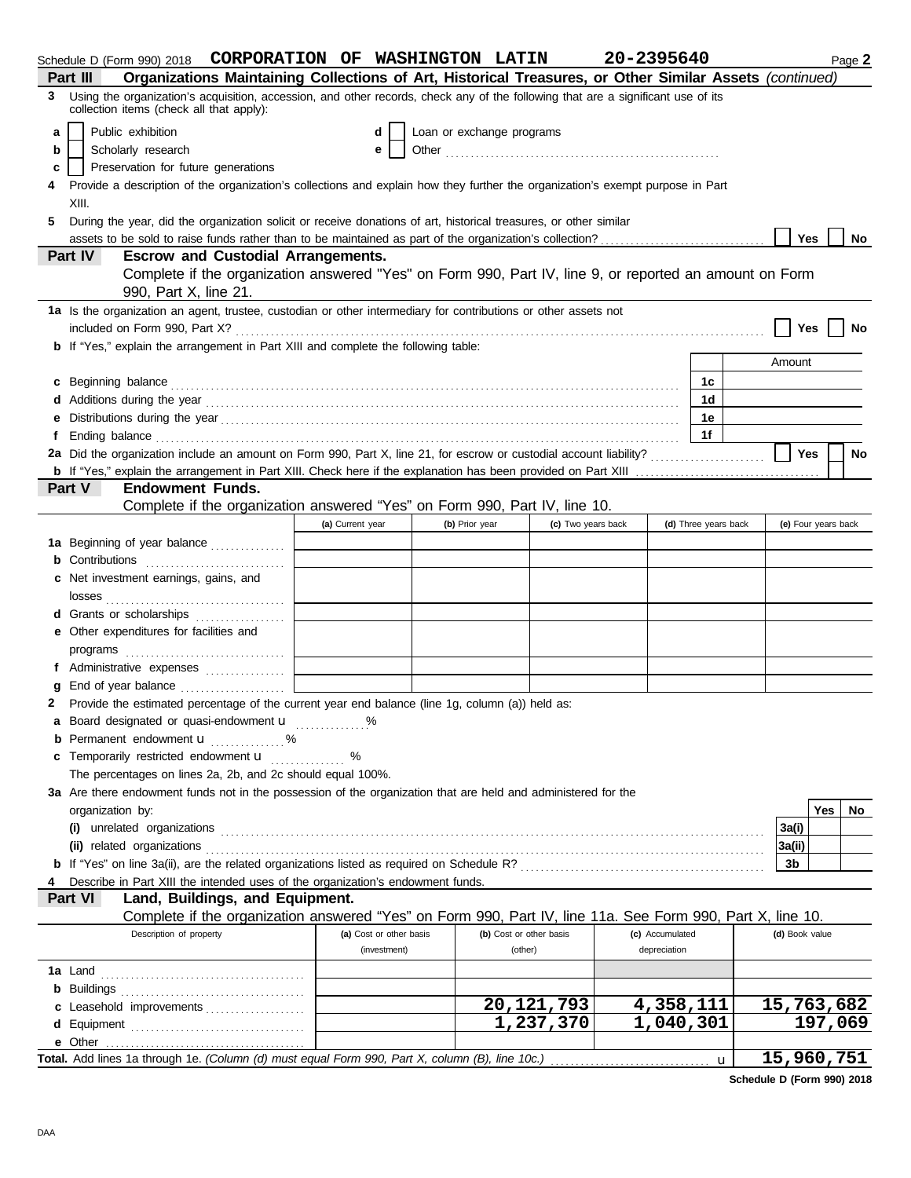|                                                                                                                                                                                                                              | Schedule D (Form 990) 2018  CORPORATION OF WASHINGTON LATIN                                                                                                                                                                    |                  |                         |                           |                         |                    | 20-2395640      |                      |              |                     |     | Page 2  |
|------------------------------------------------------------------------------------------------------------------------------------------------------------------------------------------------------------------------------|--------------------------------------------------------------------------------------------------------------------------------------------------------------------------------------------------------------------------------|------------------|-------------------------|---------------------------|-------------------------|--------------------|-----------------|----------------------|--------------|---------------------|-----|---------|
|                                                                                                                                                                                                                              | Organizations Maintaining Collections of Art, Historical Treasures, or Other Similar Assets (continued)<br>Part III                                                                                                            |                  |                         |                           |                         |                    |                 |                      |              |                     |     |         |
| 3                                                                                                                                                                                                                            | Using the organization's acquisition, accession, and other records, check any of the following that are a significant use of its<br>collection items (check all that apply):                                                   |                  |                         |                           |                         |                    |                 |                      |              |                     |     |         |
| a                                                                                                                                                                                                                            | Public exhibition                                                                                                                                                                                                              |                  | d                       | Loan or exchange programs |                         |                    |                 |                      |              |                     |     |         |
| b                                                                                                                                                                                                                            | Scholarly research                                                                                                                                                                                                             |                  | е                       |                           |                         |                    |                 |                      |              |                     |     |         |
| с                                                                                                                                                                                                                            | Preservation for future generations                                                                                                                                                                                            |                  |                         |                           |                         |                    |                 |                      |              |                     |     |         |
|                                                                                                                                                                                                                              | Provide a description of the organization's collections and explain how they further the organization's exempt purpose in Part                                                                                                 |                  |                         |                           |                         |                    |                 |                      |              |                     |     |         |
|                                                                                                                                                                                                                              | XIII.                                                                                                                                                                                                                          |                  |                         |                           |                         |                    |                 |                      |              |                     |     |         |
| 5.                                                                                                                                                                                                                           |                                                                                                                                                                                                                                |                  |                         |                           |                         |                    |                 |                      |              |                     |     |         |
| During the year, did the organization solicit or receive donations of art, historical treasures, or other similar<br>assets to be sold to raise funds rather than to be maintained as part of the organization's collection? |                                                                                                                                                                                                                                |                  |                         |                           |                         |                    |                 |                      |              | <b>Yes</b>          |     | No      |
|                                                                                                                                                                                                                              | <b>Escrow and Custodial Arrangements.</b><br>Part IV                                                                                                                                                                           |                  |                         |                           |                         |                    |                 |                      |              |                     |     |         |
|                                                                                                                                                                                                                              | Complete if the organization answered "Yes" on Form 990, Part IV, line 9, or reported an amount on Form                                                                                                                        |                  |                         |                           |                         |                    |                 |                      |              |                     |     |         |
|                                                                                                                                                                                                                              | 990, Part X, line 21.                                                                                                                                                                                                          |                  |                         |                           |                         |                    |                 |                      |              |                     |     |         |
|                                                                                                                                                                                                                              |                                                                                                                                                                                                                                |                  |                         |                           |                         |                    |                 |                      |              |                     |     |         |
|                                                                                                                                                                                                                              | 1a Is the organization an agent, trustee, custodian or other intermediary for contributions or other assets not                                                                                                                |                  |                         |                           |                         |                    |                 |                      |              |                     |     |         |
|                                                                                                                                                                                                                              | included on Form 990, Part X?                                                                                                                                                                                                  |                  |                         |                           |                         |                    |                 |                      |              | Yes                 |     | No      |
|                                                                                                                                                                                                                              | <b>b</b> If "Yes," explain the arrangement in Part XIII and complete the following table:                                                                                                                                      |                  |                         |                           |                         |                    |                 |                      |              | Amount              |     |         |
|                                                                                                                                                                                                                              |                                                                                                                                                                                                                                |                  |                         |                           |                         |                    |                 |                      |              |                     |     |         |
|                                                                                                                                                                                                                              | c Beginning balance                                                                                                                                                                                                            |                  |                         |                           |                         |                    |                 | 1с                   |              |                     |     |         |
|                                                                                                                                                                                                                              | Additions during the year contact and the search of the search of the search of the search of the search of the search of the search of the search of the search of the search of the search of the search of the search of th |                  |                         |                           |                         |                    |                 | 1 <sub>d</sub>       |              |                     |     |         |
|                                                                                                                                                                                                                              |                                                                                                                                                                                                                                |                  |                         |                           |                         |                    |                 | 1е                   |              |                     |     |         |
|                                                                                                                                                                                                                              |                                                                                                                                                                                                                                |                  |                         |                           |                         |                    |                 | 1f                   |              |                     |     |         |
|                                                                                                                                                                                                                              |                                                                                                                                                                                                                                |                  |                         |                           |                         |                    |                 |                      |              | <b>Yes</b>          |     | No      |
|                                                                                                                                                                                                                              |                                                                                                                                                                                                                                |                  |                         |                           |                         |                    |                 |                      |              |                     |     |         |
|                                                                                                                                                                                                                              | Part V<br><b>Endowment Funds.</b>                                                                                                                                                                                              |                  |                         |                           |                         |                    |                 |                      |              |                     |     |         |
|                                                                                                                                                                                                                              | Complete if the organization answered "Yes" on Form 990, Part IV, line 10.                                                                                                                                                     |                  |                         |                           |                         |                    |                 |                      |              |                     |     |         |
|                                                                                                                                                                                                                              |                                                                                                                                                                                                                                | (a) Current year |                         | (b) Prior year            |                         | (c) Two years back |                 | (d) Three years back |              | (e) Four years back |     |         |
|                                                                                                                                                                                                                              | <b>1a</b> Beginning of year balance                                                                                                                                                                                            |                  |                         |                           |                         |                    |                 |                      |              |                     |     |         |
|                                                                                                                                                                                                                              | <b>b</b> Contributions                                                                                                                                                                                                         |                  |                         |                           |                         |                    |                 |                      |              |                     |     |         |
|                                                                                                                                                                                                                              | Net investment earnings, gains, and                                                                                                                                                                                            |                  |                         |                           |                         |                    |                 |                      |              |                     |     |         |
|                                                                                                                                                                                                                              |                                                                                                                                                                                                                                |                  |                         |                           |                         |                    |                 |                      |              |                     |     |         |
|                                                                                                                                                                                                                              | <b>d</b> Grants or scholarships<br>.                                                                                                                                                                                           |                  |                         |                           |                         |                    |                 |                      |              |                     |     |         |
|                                                                                                                                                                                                                              | Other expenditures for facilities and                                                                                                                                                                                          |                  |                         |                           |                         |                    |                 |                      |              |                     |     |         |
|                                                                                                                                                                                                                              | programs                                                                                                                                                                                                                       |                  |                         |                           |                         |                    |                 |                      |              |                     |     |         |
|                                                                                                                                                                                                                              | f Administrative expenses                                                                                                                                                                                                      |                  |                         |                           |                         |                    |                 |                      |              |                     |     |         |
|                                                                                                                                                                                                                              | End of year balance                                                                                                                                                                                                            |                  |                         |                           |                         |                    |                 |                      |              |                     |     |         |
| 2                                                                                                                                                                                                                            | Provide the estimated percentage of the current year end balance (line 1g, column (a)) held as:                                                                                                                                |                  |                         |                           |                         |                    |                 |                      |              |                     |     |         |
|                                                                                                                                                                                                                              | a Board designated or quasi-endowment <b>u</b> %                                                                                                                                                                               |                  |                         |                           |                         |                    |                 |                      |              |                     |     |         |
|                                                                                                                                                                                                                              | <b>b</b> Permanent endowment $\mathbf{u}$ %                                                                                                                                                                                    |                  |                         |                           |                         |                    |                 |                      |              |                     |     |         |
|                                                                                                                                                                                                                              | Temporarily restricted endowment <b>u</b>                                                                                                                                                                                      |                  |                         |                           |                         |                    |                 |                      |              |                     |     |         |
|                                                                                                                                                                                                                              | The percentages on lines 2a, 2b, and 2c should equal 100%.                                                                                                                                                                     |                  |                         |                           |                         |                    |                 |                      |              |                     |     |         |
|                                                                                                                                                                                                                              | 3a Are there endowment funds not in the possession of the organization that are held and administered for the                                                                                                                  |                  |                         |                           |                         |                    |                 |                      |              |                     |     |         |
|                                                                                                                                                                                                                              | organization by:                                                                                                                                                                                                               |                  |                         |                           |                         |                    |                 |                      |              |                     | Yes | No.     |
|                                                                                                                                                                                                                              | (i) unrelated organizations                                                                                                                                                                                                    |                  |                         |                           |                         |                    |                 |                      |              | 3a(i)               |     |         |
|                                                                                                                                                                                                                              | (ii) related organizations                                                                                                                                                                                                     |                  |                         |                           |                         |                    |                 |                      |              | 3a(ii)              |     |         |
|                                                                                                                                                                                                                              |                                                                                                                                                                                                                                |                  |                         |                           |                         |                    |                 |                      |              | 3b                  |     |         |
|                                                                                                                                                                                                                              | Describe in Part XIII the intended uses of the organization's endowment funds.                                                                                                                                                 |                  |                         |                           |                         |                    |                 |                      |              |                     |     |         |
|                                                                                                                                                                                                                              | Land, Buildings, and Equipment.<br>Part VI                                                                                                                                                                                     |                  |                         |                           |                         |                    |                 |                      |              |                     |     |         |
|                                                                                                                                                                                                                              | Complete if the organization answered "Yes" on Form 990, Part IV, line 11a. See Form 990, Part X, line 10.                                                                                                                     |                  |                         |                           |                         |                    |                 |                      |              |                     |     |         |
|                                                                                                                                                                                                                              | Description of property                                                                                                                                                                                                        |                  | (a) Cost or other basis |                           | (b) Cost or other basis |                    | (c) Accumulated |                      |              | (d) Book value      |     |         |
|                                                                                                                                                                                                                              |                                                                                                                                                                                                                                |                  | (investment)            |                           | (other)                 |                    | depreciation    |                      |              |                     |     |         |
|                                                                                                                                                                                                                              | 1a Land                                                                                                                                                                                                                        |                  |                         |                           |                         |                    |                 |                      |              |                     |     |         |
|                                                                                                                                                                                                                              | <b>b</b> Buildings                                                                                                                                                                                                             |                  |                         |                           |                         |                    |                 |                      |              |                     |     |         |
|                                                                                                                                                                                                                              | c Leasehold improvements                                                                                                                                                                                                       |                  |                         |                           |                         | 20, 121, 793       | 4,358,111       |                      |              | 15,763,682          |     |         |
|                                                                                                                                                                                                                              |                                                                                                                                                                                                                                |                  |                         |                           |                         | 1,237,370          | 1,040,301       |                      |              |                     |     | 197,069 |
|                                                                                                                                                                                                                              | e Other                                                                                                                                                                                                                        |                  |                         |                           |                         |                    |                 |                      |              |                     |     |         |
|                                                                                                                                                                                                                              | Total. Add lines 1a through 1e. (Column (d) must equal Form 990, Part X, column (B), line 10c.)                                                                                                                                |                  |                         |                           |                         |                    |                 |                      |              | 15,960,751          |     |         |
|                                                                                                                                                                                                                              |                                                                                                                                                                                                                                |                  |                         |                           |                         |                    |                 |                      | $\mathbf{u}$ |                     |     |         |

**Schedule D (Form 990) 2018**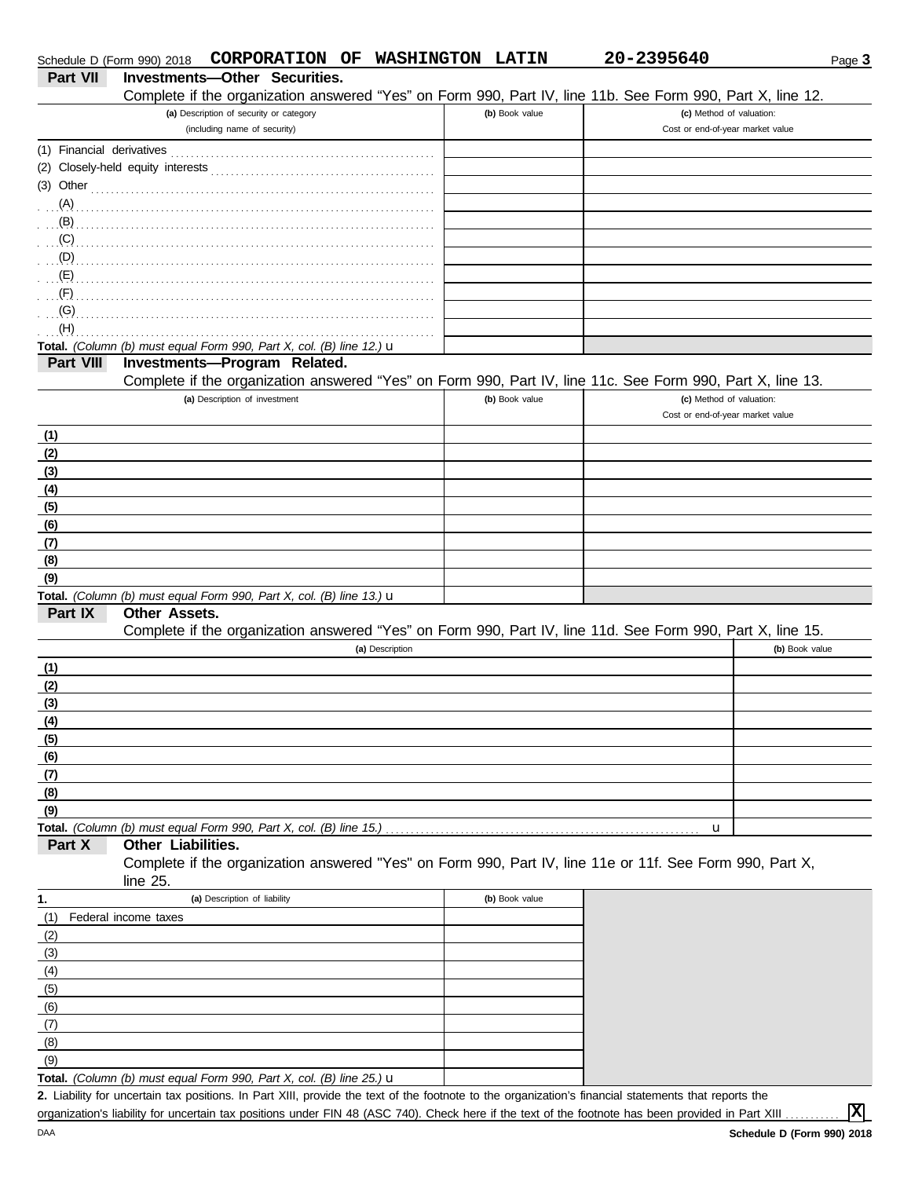| Schedule D (Form 990) 2018 | CORPORATION OF WASHINGTON LATIN                                                                              |                | 20-2395640                       | Page 3         |
|----------------------------|--------------------------------------------------------------------------------------------------------------|----------------|----------------------------------|----------------|
| Part VII                   | <b>Investments-Other Securities.</b>                                                                         |                |                                  |                |
|                            | Complete if the organization answered "Yes" on Form 990, Part IV, line 11b. See Form 990, Part X, line 12.   |                |                                  |                |
|                            | (a) Description of security or category                                                                      | (b) Book value | (c) Method of valuation:         |                |
|                            | (including name of security)                                                                                 |                | Cost or end-of-year market value |                |
| (1) Financial derivatives  |                                                                                                              |                |                                  |                |
|                            |                                                                                                              |                |                                  |                |
|                            | (3) Other $\ldots$ $\ldots$ $\ldots$ $\ldots$ $\ldots$ $\ldots$ $\ldots$ $\ldots$ $\ldots$ $\ldots$ $\ldots$ |                |                                  |                |
|                            | (A)                                                                                                          |                |                                  |                |
| $\mathbf{B}$               |                                                                                                              |                |                                  |                |
| (C)                        |                                                                                                              |                |                                  |                |
| $\overline{D}$             |                                                                                                              |                |                                  |                |
| (E)                        |                                                                                                              |                |                                  |                |
| (F)                        |                                                                                                              |                |                                  |                |
| (G)                        |                                                                                                              |                |                                  |                |
| (H)                        |                                                                                                              |                |                                  |                |
|                            | <b>Total.</b> (Column (b) must equal Form 990, Part X, col. (B) line 12.) $\mathbf{u}$                       |                |                                  |                |
| Part VIII                  | Investments-Program Related.                                                                                 |                |                                  |                |
|                            | Complete if the organization answered "Yes" on Form 990, Part IV, line 11c. See Form 990, Part X, line 13.   |                |                                  |                |
|                            | (a) Description of investment                                                                                | (b) Book value | (c) Method of valuation:         |                |
|                            |                                                                                                              |                | Cost or end-of-year market value |                |
| (1)                        |                                                                                                              |                |                                  |                |
| (2)                        |                                                                                                              |                |                                  |                |
| (3)                        |                                                                                                              |                |                                  |                |
| (4)                        |                                                                                                              |                |                                  |                |
| (5)                        |                                                                                                              |                |                                  |                |
| (6)                        |                                                                                                              |                |                                  |                |
| (7)                        |                                                                                                              |                |                                  |                |
| (8)                        |                                                                                                              |                |                                  |                |
| (9)                        |                                                                                                              |                |                                  |                |
|                            | Total. (Column (b) must equal Form 990, Part X, col. (B) line 13.) $\mathbf u$                               |                |                                  |                |
| Part IX                    | Other Assets.                                                                                                |                |                                  |                |
|                            | Complete if the organization answered "Yes" on Form 990, Part IV, line 11d. See Form 990, Part X, line 15.   |                |                                  |                |
|                            | (a) Description                                                                                              |                |                                  | (b) Book value |
| (1)                        |                                                                                                              |                |                                  |                |
| (2)                        |                                                                                                              |                |                                  |                |
| (3)                        |                                                                                                              |                |                                  |                |
| (4)                        |                                                                                                              |                |                                  |                |
| (5)                        |                                                                                                              |                |                                  |                |
| (6)                        |                                                                                                              |                |                                  |                |
| (7)                        |                                                                                                              |                |                                  |                |
| (8)                        |                                                                                                              |                |                                  |                |
| (9)                        |                                                                                                              |                |                                  |                |
|                            | Total. (Column (b) must equal Form 990, Part X, col. (B) line 15.)                                           |                | u                                |                |
| Part X                     | Other Liabilities.                                                                                           |                |                                  |                |
|                            | Complete if the organization answered "Yes" on Form 990, Part IV, line 11e or 11f. See Form 990, Part X,     |                |                                  |                |
|                            | line 25.                                                                                                     |                |                                  |                |
| 1.                         | (a) Description of liability                                                                                 | (b) Book value |                                  |                |
| (1)                        | Federal income taxes                                                                                         |                |                                  |                |
| (2)                        |                                                                                                              |                |                                  |                |
| (3)                        |                                                                                                              |                |                                  |                |
| (4)                        |                                                                                                              |                |                                  |                |
| (5)                        |                                                                                                              |                |                                  |                |
| (6)                        |                                                                                                              |                |                                  |                |
| (7)                        |                                                                                                              |                |                                  |                |
| (8)                        |                                                                                                              |                |                                  |                |
| (9)                        |                                                                                                              |                |                                  |                |
|                            | Total. (Column (b) must equal Form 990, Part X, col. (B) line 25.) u                                         |                |                                  |                |

Liability for uncertain tax positions. In Part XIII, provide the text of the footnote to the organization's financial statements that reports the **2.** organization's liability for uncertain tax positions under FIN 48 (ASC 740). Check here if the text of the footnote has been provided in Part XIII

**X**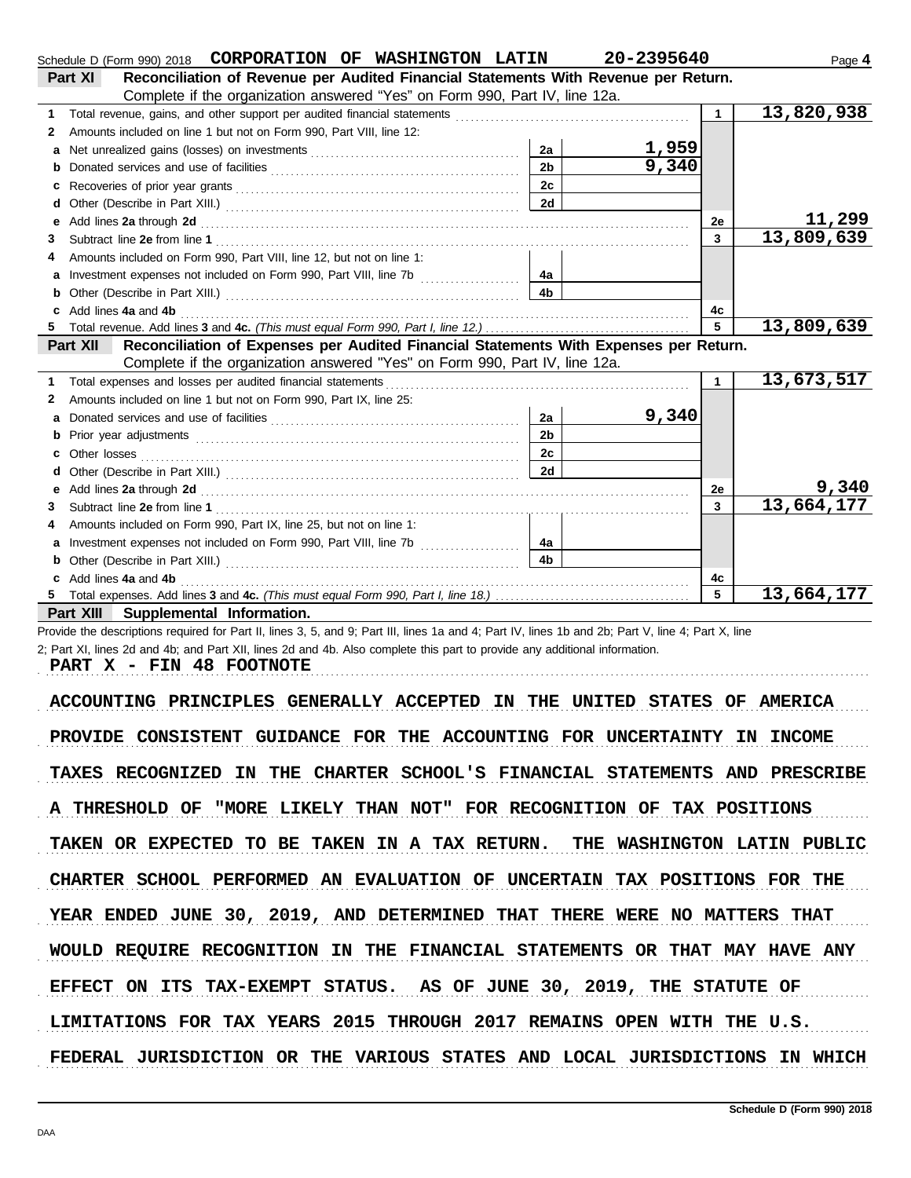|    | Schedule D (Form 990) 2018  CORPORATION OF WASHINGTON LATIN                                                                                                                                                                   |                | 20-2395640            |                | Page 4                  |
|----|-------------------------------------------------------------------------------------------------------------------------------------------------------------------------------------------------------------------------------|----------------|-----------------------|----------------|-------------------------|
|    | Reconciliation of Revenue per Audited Financial Statements With Revenue per Return.<br>Part XI                                                                                                                                |                |                       |                |                         |
|    | Complete if the organization answered "Yes" on Form 990, Part IV, line 12a.                                                                                                                                                   |                |                       |                |                         |
| 1  |                                                                                                                                                                                                                               |                |                       | 1              | $\overline{13,820,938}$ |
| 2  | Amounts included on line 1 but not on Form 990, Part VIII, line 12:                                                                                                                                                           |                |                       |                |                         |
| a  |                                                                                                                                                                                                                               | 2a             |                       |                |                         |
| b  |                                                                                                                                                                                                                               | 2 <sub>b</sub> | $\frac{1,959}{9,340}$ |                |                         |
| c  |                                                                                                                                                                                                                               | 2c             |                       |                |                         |
| d  |                                                                                                                                                                                                                               | 2d             |                       |                |                         |
| е  | Add lines 2a through 2d [11] Add [12] Add [12] Add lines 2a through 2d [12] Add lines 2a through 2d [12] Add [12] Add [12] Add [12] Add [12] Add [12] Add [12] Add [12] Add [12] Add [12] Add [12] Add [12] Add [12] Add [12] |                |                       | <b>2e</b>      | 11,299                  |
| 3. |                                                                                                                                                                                                                               |                |                       | 3 <sup>1</sup> | 13,809,639              |
|    | Amounts included on Form 990, Part VIII, line 12, but not on line 1:                                                                                                                                                          |                |                       |                |                         |
| a  |                                                                                                                                                                                                                               | 4a             |                       |                |                         |
| b  |                                                                                                                                                                                                                               | 4 <sub>b</sub> |                       |                |                         |
|    | Add lines 4a and 4b                                                                                                                                                                                                           |                |                       | 4c             |                         |
|    |                                                                                                                                                                                                                               |                |                       | 5              | 13,809,639              |
|    | Reconciliation of Expenses per Audited Financial Statements With Expenses per Return.<br>Part XII                                                                                                                             |                |                       |                |                         |
|    | Complete if the organization answered "Yes" on Form 990, Part IV, line 12a.                                                                                                                                                   |                |                       |                |                         |
| 1. |                                                                                                                                                                                                                               |                |                       |                | 13,673,517              |
| 2  | Amounts included on line 1 but not on Form 990, Part IX, line 25:                                                                                                                                                             |                |                       |                |                         |
| a  |                                                                                                                                                                                                                               | 2a             | 9,340                 |                |                         |
| b  |                                                                                                                                                                                                                               | 2 <sub>b</sub> |                       |                |                         |
| c  |                                                                                                                                                                                                                               | 2c             |                       |                |                         |
|    |                                                                                                                                                                                                                               | 2d             |                       |                |                         |
| е  | Add lines 2a through 2d [11] Add [12] Add [12] Add lines 2a through 2d [12] Add lines 2a through 2d [12] Add [12] Add [12] Add [12] Add [12] Add [12] Add [12] Add [12] Add [12] Add [12] Add [12] Add [12] Add [12] Add [12] |                |                       | <b>2e</b>      | 9,340                   |
| 3  |                                                                                                                                                                                                                               |                |                       | $\mathbf{3}$   | 13,664,177              |
|    | Amounts included on Form 990, Part IX, line 25, but not on line 1:                                                                                                                                                            |                |                       |                |                         |
| a  | Investment expenses not included on Form 990, Part VIII, line 7b [100] [100] [100] [4a                                                                                                                                        |                |                       |                |                         |
| b  |                                                                                                                                                                                                                               | 4b             |                       |                |                         |
|    | Add lines 4a and 4b                                                                                                                                                                                                           |                |                       | 4c             |                         |
|    |                                                                                                                                                                                                                               |                |                       | 5              | 13,664,177              |
|    | Part XIII Supplemental Information.                                                                                                                                                                                           |                |                       |                |                         |

Provide the descriptions required for Part II, lines 3, 5, and 9; Part III, lines 1a and 4; Part IV, lines 1b and 2b; Part V, line 4; Part X, line 2; Part XI, lines 2d and 4b; and Part XII, lines 2d and 4b. Also complete this part to provide any additional information.

PART X - FIN 48 FOOTNOTE

ACCOUNTING PRINCIPLES GENERALLY ACCEPTED IN THE UNITED STATES OF AMERICA PROVIDE CONSISTENT GUIDANCE FOR THE ACCOUNTING FOR UNCERTAINTY IN INCOME TAXES RECOGNIZED IN THE CHARTER SCHOOL'S FINANCIAL STATEMENTS AND PRESCRIBE A THRESHOLD OF "MORE LIKELY THAN NOT" FOR RECOGNITION OF TAX POSITIONS TAKEN OR EXPECTED TO BE TAKEN IN A TAX RETURN. THE WASHINGTON LATIN PUBLIC CHARTER SCHOOL PERFORMED AN EVALUATION OF UNCERTAIN TAX POSITIONS FOR THE EFFECT ON ITS TAX-EXEMPT STATUS. AS OF JUNE 30, 2019, THE STATUTE OF YEAR ENDED JUNE 30, 2019, AND DETERMINED THAT THERE WERE NO MATTERS THAT WOULD REQUIRE RECOGNITION IN THE FINANCIAL STATEMENTS OR THAT MAY HAVE ANY LIMITATIONS FOR TAX YEARS 2015 THROUGH 2017 REMAINS OPEN WITH THE U.S. FEDERAL JURISDICTION OR THE VARIOUS STATES AND LOCAL JURISDICTIONS IN WHICH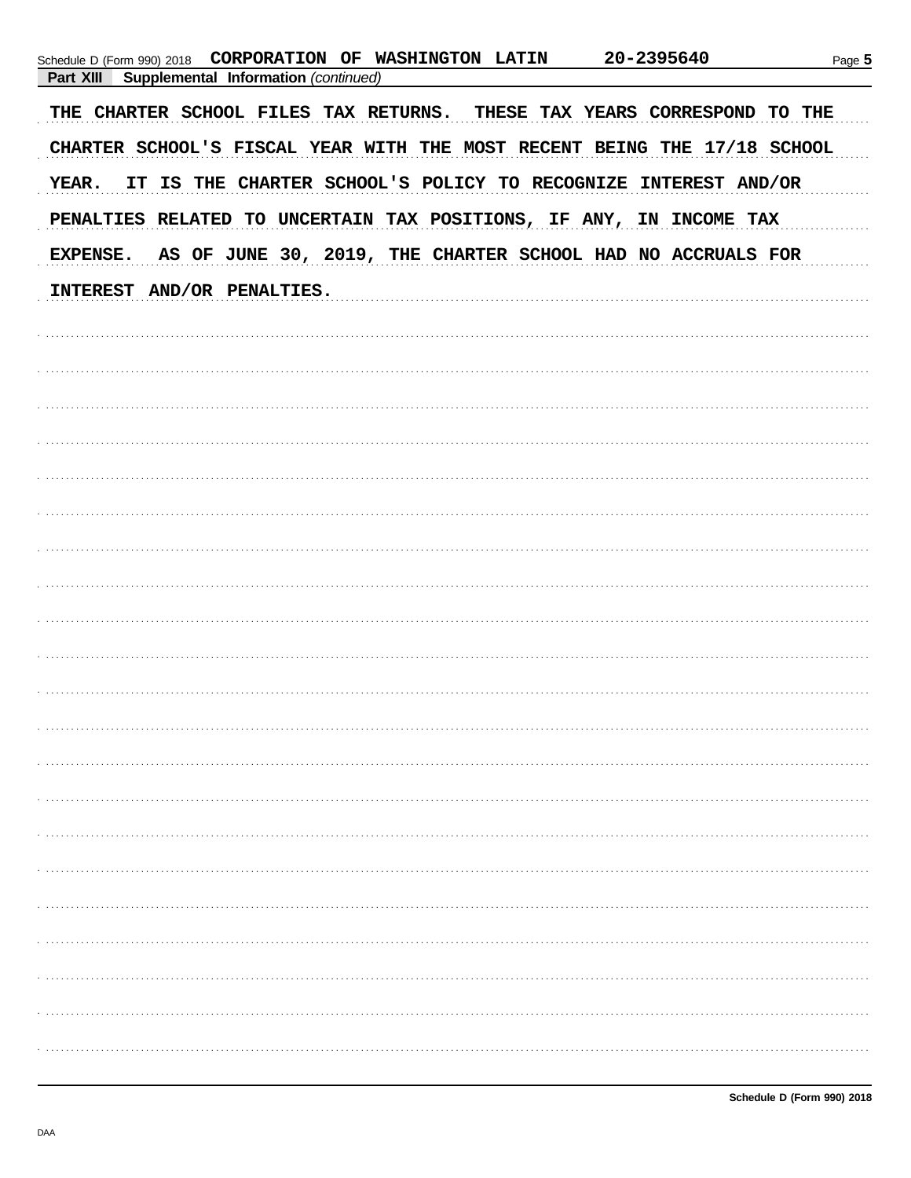| Schedule D (Form 990) 2018 CORPORATION OF WASHINGTON LATIN<br>Supplemental Information (continued)<br>Part XIII | 20-2395640 | Page 5 |
|-----------------------------------------------------------------------------------------------------------------|------------|--------|
| THE CHARTER SCHOOL FILES TAX RETURNS. THESE TAX YEARS CORRESPOND TO THE                                         |            |        |
| CHARTER SCHOOL'S FISCAL YEAR WITH THE MOST RECENT BEING THE 17/18 SCHOOL                                        |            |        |
| YEAR.<br>IT IS THE CHARTER SCHOOL'S POLICY TO RECOGNIZE INTEREST AND/OR                                         |            |        |
|                                                                                                                 |            |        |
| PENALTIES RELATED TO UNCERTAIN TAX POSITIONS, IF ANY, IN INCOME TAX                                             |            |        |
| AS OF JUNE 30, 2019, THE CHARTER SCHOOL HAD NO ACCRUALS FOR<br><b>EXPENSE.</b>                                  |            |        |
| INTEREST AND/OR PENALTIES.                                                                                      |            |        |
|                                                                                                                 |            |        |
|                                                                                                                 |            |        |
|                                                                                                                 |            |        |
|                                                                                                                 |            |        |
|                                                                                                                 |            |        |
|                                                                                                                 |            |        |
|                                                                                                                 |            |        |
|                                                                                                                 |            |        |
|                                                                                                                 |            |        |
|                                                                                                                 |            |        |
|                                                                                                                 |            |        |
|                                                                                                                 |            |        |
|                                                                                                                 |            |        |
|                                                                                                                 |            |        |
|                                                                                                                 |            |        |
|                                                                                                                 |            |        |
|                                                                                                                 |            |        |
|                                                                                                                 |            |        |
|                                                                                                                 |            |        |
|                                                                                                                 |            |        |
|                                                                                                                 |            |        |
|                                                                                                                 |            |        |
|                                                                                                                 |            |        |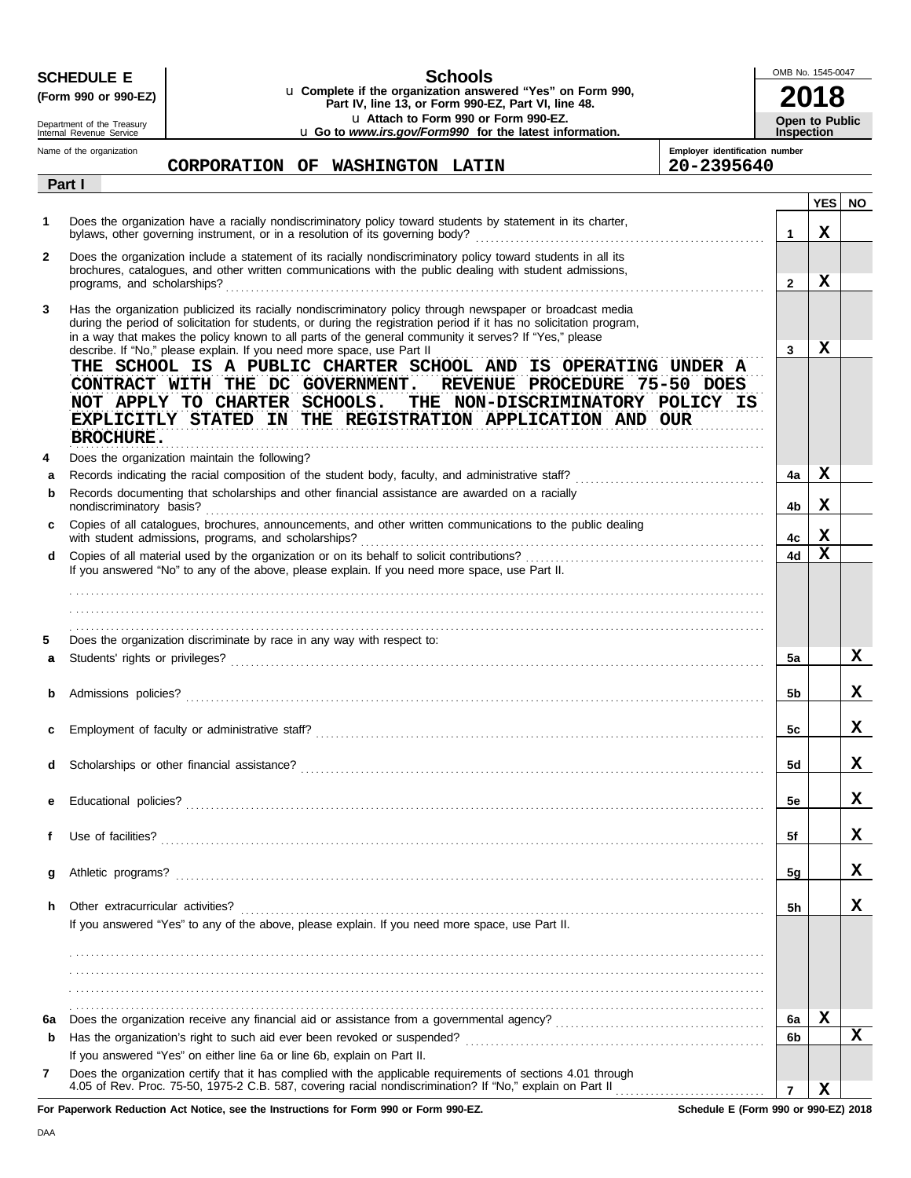| <b>SCHEDULE E</b><br>(Form 990 or 990-EZ)              |                                                            | <b>Schools</b><br>u Complete if the organization answered "Yes" on Form 990,<br>Part IV, line 13, or Form 990-EZ, Part VI, line 48.                                                                                                                                                                                                          | OMB No. 1545-0047                          | 2018        |           |
|--------------------------------------------------------|------------------------------------------------------------|----------------------------------------------------------------------------------------------------------------------------------------------------------------------------------------------------------------------------------------------------------------------------------------------------------------------------------------------|--------------------------------------------|-------------|-----------|
| Department of the Treasury<br>Internal Revenue Service |                                                            | u Attach to Form 990 or Form 990-EZ.<br>u Go to www.irs.gov/Form990 for the latest information.                                                                                                                                                                                                                                              | <b>Open to Public</b><br><b>Inspection</b> |             |           |
|                                                        | Employer identification number<br>Name of the organization |                                                                                                                                                                                                                                                                                                                                              |                                            |             |           |
|                                                        |                                                            | 20-2395640<br>CORPORATION OF WASHINGTON LATIN                                                                                                                                                                                                                                                                                                |                                            |             |           |
|                                                        | Part I                                                     |                                                                                                                                                                                                                                                                                                                                              |                                            |             |           |
| 1                                                      |                                                            | Does the organization have a racially nondiscriminatory policy toward students by statement in its charter,                                                                                                                                                                                                                                  | $\mathbf{1}$                               | YES<br>X    | <b>NO</b> |
| $\mathbf{2}$                                           | programs, and scholarships?                                | Does the organization include a statement of its racially nondiscriminatory policy toward students in all its<br>brochures, catalogues, and other written communications with the public dealing with student admissions,                                                                                                                    | $\mathbf{2}$                               | x           |           |
| 3                                                      |                                                            | Has the organization publicized its racially nondiscriminatory policy through newspaper or broadcast media<br>during the period of solicitation for students, or during the registration period if it has no solicitation program,<br>in a way that makes the policy known to all parts of the general community it serves? If "Yes," please |                                            |             |           |
|                                                        | <b>BROCHURE.</b>                                           | describe. If "No," please explain. If you need more space, use Part II<br>THE SCHOOL IS A PUBLIC CHARTER SCHOOL AND IS OPERATING UNDER A<br>CONTRACT WITH THE DC GOVERNMENT.<br>REVENUE PROCEDURE 75-50 DOES<br>NOT APPLY TO CHARTER SCHOOLS. THE NON-DISCRIMINATORY POLICY IS<br>EXPLICITLY STATED IN THE REGISTRATION APPLICATION AND OUR  | 3                                          | X           |           |
| 4                                                      |                                                            | Does the organization maintain the following?                                                                                                                                                                                                                                                                                                |                                            |             |           |
| а                                                      |                                                            |                                                                                                                                                                                                                                                                                                                                              | 4a                                         | x           |           |
| b<br>C                                                 | nondiscriminatory basis?                                   | Records documenting that scholarships and other financial assistance are awarded on a racially<br>Copies of all catalogues, brochures, announcements, and other written communications to the public dealing                                                                                                                                 | 4b                                         | x           |           |
|                                                        |                                                            |                                                                                                                                                                                                                                                                                                                                              | 4c                                         | $\mathbf x$ |           |
| d                                                      |                                                            | If you answered "No" to any of the above, please explain. If you need more space, use Part II.                                                                                                                                                                                                                                               | 4d                                         | $\mathbf x$ |           |
|                                                        |                                                            |                                                                                                                                                                                                                                                                                                                                              |                                            |             |           |
| 5                                                      |                                                            | Does the organization discriminate by race in any way with respect to:                                                                                                                                                                                                                                                                       |                                            |             |           |
| a                                                      |                                                            |                                                                                                                                                                                                                                                                                                                                              | 5a                                         |             | x         |
| b                                                      |                                                            |                                                                                                                                                                                                                                                                                                                                              | 5b                                         |             | x         |
|                                                        |                                                            | Employment of faculty or administrative staff?                                                                                                                                                                                                                                                                                               | 5 <sub>c</sub>                             |             | X         |
| d                                                      |                                                            |                                                                                                                                                                                                                                                                                                                                              | <b>5d</b>                                  |             | X.        |
| е                                                      |                                                            |                                                                                                                                                                                                                                                                                                                                              | 5е                                         |             | X.        |
| f                                                      |                                                            |                                                                                                                                                                                                                                                                                                                                              | 5f                                         |             | X.        |
| g                                                      |                                                            |                                                                                                                                                                                                                                                                                                                                              | <u>5g</u>                                  |             | x         |
| h.                                                     | Other extracurricular activities?                          | If you answered "Yes" to any of the above, please explain. If you need more space, use Part II.                                                                                                                                                                                                                                              | 5h                                         |             | x         |
|                                                        |                                                            |                                                                                                                                                                                                                                                                                                                                              |                                            | х           |           |
| 6а<br>b                                                |                                                            |                                                                                                                                                                                                                                                                                                                                              | 6а<br>6b                                   |             | X         |
| 7                                                      |                                                            | If you answered "Yes" on either line 6a or line 6b, explain on Part II.<br>Does the organization certify that it has complied with the applicable requirements of sections 4.01 through<br>4.05 of Rev. Proc. 75-50, 1975-2 C.B. 587, covering racial nondiscrimination? If "No," explain on Part II                                         | $\overline{7}$                             | X           |           |
|                                                        |                                                            |                                                                                                                                                                                                                                                                                                                                              |                                            |             |           |

**For Paperwork Reduction Act Notice, see the Instructions for Form 990 or Form 990-EZ.**

**Schedule E (Form 990 or 990-EZ) 2018**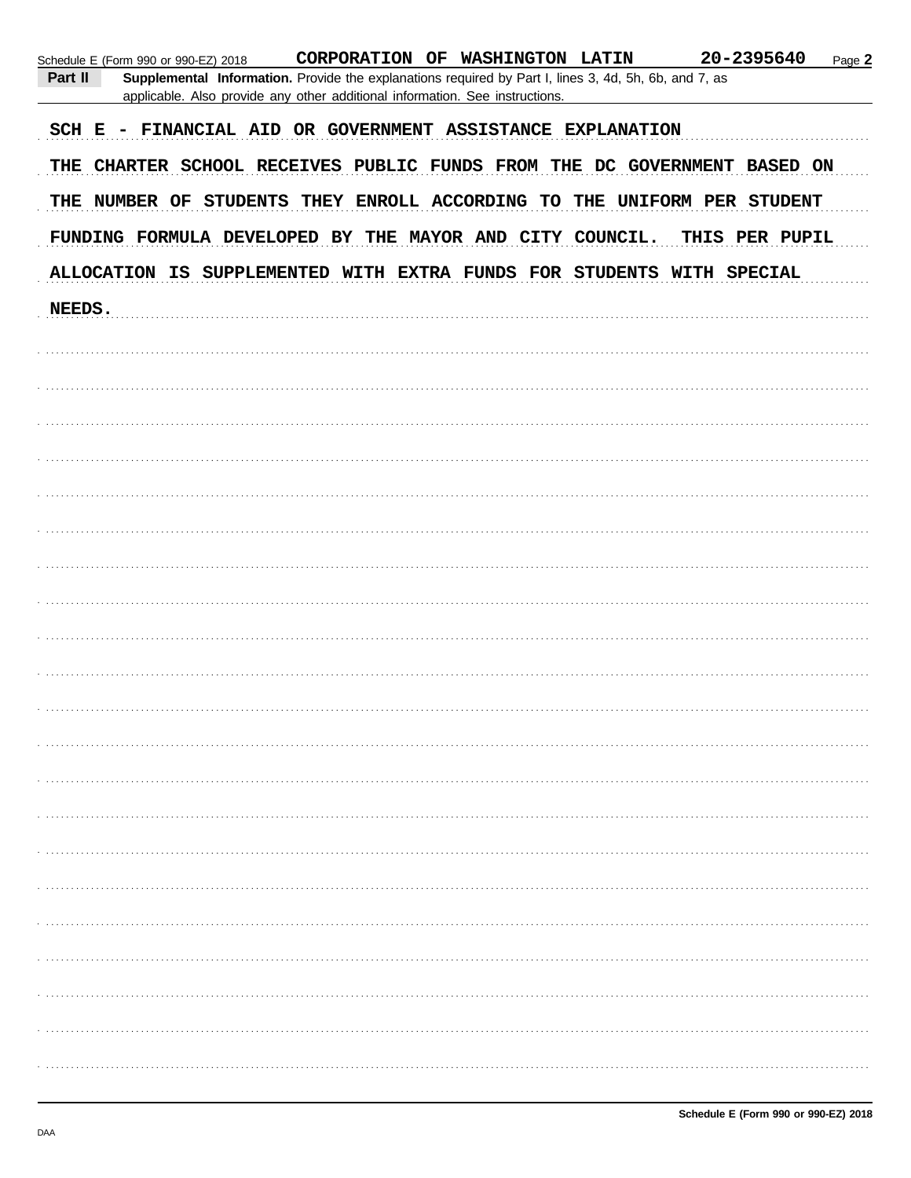| CORPORATION OF WASHINGTON LATIN<br>20-2395640<br>Page 2<br>Schedule E (Form 990 or 990-EZ) 2018                  |
|------------------------------------------------------------------------------------------------------------------|
| Part II<br>Supplemental Information. Provide the explanations required by Part I, lines 3, 4d, 5h, 6b, and 7, as |
| applicable. Also provide any other additional information. See instructions.                                     |
| SCH E - FINANCIAL AID OR GOVERNMENT ASSISTANCE EXPLANATION                                                       |
| THE CHARTER SCHOOL RECEIVES PUBLIC FUNDS FROM THE DC GOVERNMENT BASED ON                                         |
| THE NUMBER OF STUDENTS THEY ENROLL ACCORDING TO THE UNIFORM PER STUDENT                                          |
| FUNDING FORMULA DEVELOPED BY THE MAYOR AND CITY COUNCIL.<br>THIS PER PUPIL                                       |
| ALLOCATION IS SUPPLEMENTED WITH EXTRA FUNDS FOR STUDENTS WITH SPECIAL                                            |
|                                                                                                                  |
| NEEDS.                                                                                                           |
|                                                                                                                  |
|                                                                                                                  |
|                                                                                                                  |
|                                                                                                                  |
|                                                                                                                  |
|                                                                                                                  |
|                                                                                                                  |
|                                                                                                                  |
|                                                                                                                  |
|                                                                                                                  |
|                                                                                                                  |
|                                                                                                                  |
|                                                                                                                  |
|                                                                                                                  |
|                                                                                                                  |
|                                                                                                                  |
|                                                                                                                  |
|                                                                                                                  |
|                                                                                                                  |
|                                                                                                                  |
|                                                                                                                  |
|                                                                                                                  |
|                                                                                                                  |
|                                                                                                                  |
|                                                                                                                  |
|                                                                                                                  |
|                                                                                                                  |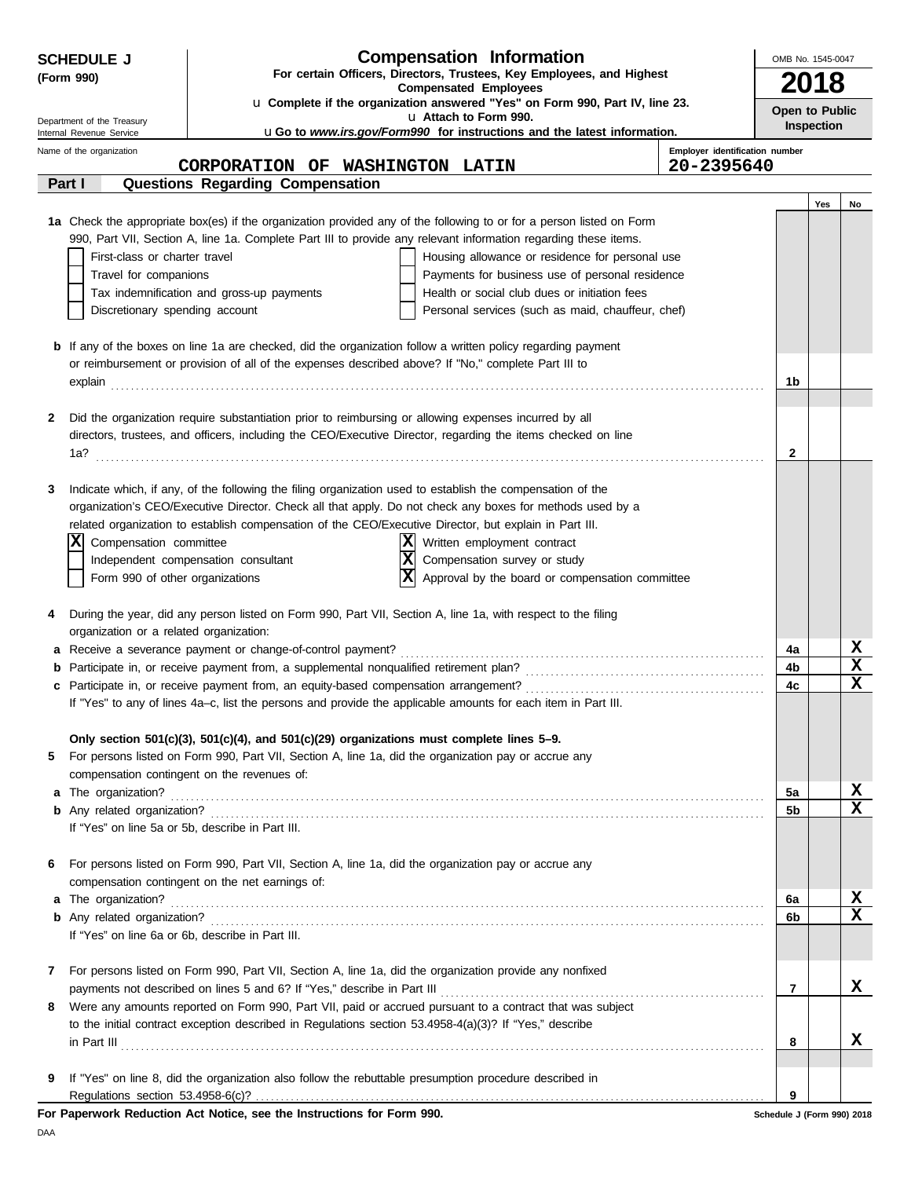|            | <b>Compensation Information</b><br><b>SCHEDULE J</b>                                                                              |                                                                                                                                                                                                                                | OMB No. 1545-0047          |             |                  |  |
|------------|-----------------------------------------------------------------------------------------------------------------------------------|--------------------------------------------------------------------------------------------------------------------------------------------------------------------------------------------------------------------------------|----------------------------|-------------|------------------|--|
| (Form 990) |                                                                                                                                   | For certain Officers, Directors, Trustees, Key Employees, and Highest<br><b>Compensated Employees</b>                                                                                                                          | 2018                       |             |                  |  |
|            | u Complete if the organization answered "Yes" on Form 990, Part IV, line 23.<br>u Attach to Form 990.                             |                                                                                                                                                                                                                                | Open to Public             |             |                  |  |
|            | Department of the Treasury<br>uGo to www.irs.gov/Form990 for instructions and the latest information.<br>Internal Revenue Service |                                                                                                                                                                                                                                |                            | Inspection  |                  |  |
|            | Name of the organization                                                                                                          | Employer identification number                                                                                                                                                                                                 |                            |             |                  |  |
|            | Part I                                                                                                                            | 20-2395640<br>CORPORATION OF WASHINGTON LATIN<br>Questions Regarding Compensation                                                                                                                                              |                            |             |                  |  |
|            |                                                                                                                                   |                                                                                                                                                                                                                                |                            | Yes         | No               |  |
|            |                                                                                                                                   | 1a Check the appropriate box(es) if the organization provided any of the following to or for a person listed on Form                                                                                                           |                            |             |                  |  |
|            |                                                                                                                                   | 990, Part VII, Section A, line 1a. Complete Part III to provide any relevant information regarding these items.                                                                                                                |                            |             |                  |  |
|            | First-class or charter travel                                                                                                     | Housing allowance or residence for personal use                                                                                                                                                                                |                            |             |                  |  |
|            | Travel for companions                                                                                                             | Payments for business use of personal residence                                                                                                                                                                                |                            |             |                  |  |
|            |                                                                                                                                   | Tax indemnification and gross-up payments<br>Health or social club dues or initiation fees                                                                                                                                     |                            |             |                  |  |
|            | Discretionary spending account                                                                                                    | Personal services (such as maid, chauffeur, chef)                                                                                                                                                                              |                            |             |                  |  |
|            |                                                                                                                                   | <b>b</b> If any of the boxes on line 1a are checked, did the organization follow a written policy regarding payment                                                                                                            |                            |             |                  |  |
|            |                                                                                                                                   | or reimbursement or provision of all of the expenses described above? If "No," complete Part III to                                                                                                                            |                            |             |                  |  |
|            |                                                                                                                                   | explain continuous contract to the contract of the contract of the contract of the contract of the contract of the contract of the contract of the contract of the contract of the contract of the contract of the contract of | 1b                         |             |                  |  |
| 2          |                                                                                                                                   | Did the organization require substantiation prior to reimbursing or allowing expenses incurred by all                                                                                                                          |                            |             |                  |  |
|            |                                                                                                                                   | directors, trustees, and officers, including the CEO/Executive Director, regarding the items checked on line                                                                                                                   |                            |             |                  |  |
|            |                                                                                                                                   |                                                                                                                                                                                                                                | 2                          |             |                  |  |
|            |                                                                                                                                   |                                                                                                                                                                                                                                |                            |             |                  |  |
| 3          |                                                                                                                                   | Indicate which, if any, of the following the filing organization used to establish the compensation of the                                                                                                                     |                            |             |                  |  |
|            |                                                                                                                                   | organization's CEO/Executive Director. Check all that apply. Do not check any boxes for methods used by a                                                                                                                      |                            |             |                  |  |
|            |                                                                                                                                   | related organization to establish compensation of the CEO/Executive Director, but explain in Part III.                                                                                                                         |                            |             |                  |  |
|            | Compensation committee                                                                                                            | X<br>Written employment contract<br>x<br>Compensation survey or study<br>Independent compensation consultant                                                                                                                   |                            |             |                  |  |
|            | Form 990 of other organizations                                                                                                   | lxl<br>Approval by the board or compensation committee                                                                                                                                                                         |                            |             |                  |  |
|            |                                                                                                                                   |                                                                                                                                                                                                                                |                            |             |                  |  |
| 4          |                                                                                                                                   | During the year, did any person listed on Form 990, Part VII, Section A, line 1a, with respect to the filing                                                                                                                   |                            |             |                  |  |
|            | organization or a related organization:                                                                                           |                                                                                                                                                                                                                                |                            |             |                  |  |
|            |                                                                                                                                   |                                                                                                                                                                                                                                | 4a                         |             | X<br>$\mathbf x$ |  |
| b          |                                                                                                                                   | 4b<br>4c                                                                                                                                                                                                                       |                            | $\mathbf x$ |                  |  |
|            |                                                                                                                                   | If "Yes" to any of lines 4a-c, list the persons and provide the applicable amounts for each item in Part III.                                                                                                                  |                            |             |                  |  |
|            |                                                                                                                                   |                                                                                                                                                                                                                                |                            |             |                  |  |
| 5          |                                                                                                                                   | Only section $501(c)(3)$ , $501(c)(4)$ , and $501(c)(29)$ organizations must complete lines 5-9.<br>For persons listed on Form 990, Part VII, Section A, line 1a, did the organization pay or accrue any                       |                            |             |                  |  |
|            |                                                                                                                                   | compensation contingent on the revenues of:                                                                                                                                                                                    |                            |             |                  |  |
|            |                                                                                                                                   |                                                                                                                                                                                                                                | 5a                         |             | X                |  |
|            |                                                                                                                                   |                                                                                                                                                                                                                                | <b>5b</b>                  |             | $\mathbf x$      |  |
|            | If "Yes" on line 5a or 5b, describe in Part III.                                                                                  |                                                                                                                                                                                                                                |                            |             |                  |  |
| 6          |                                                                                                                                   | For persons listed on Form 990, Part VII, Section A, line 1a, did the organization pay or accrue any                                                                                                                           |                            |             |                  |  |
|            |                                                                                                                                   | compensation contingent on the net earnings of:                                                                                                                                                                                |                            |             |                  |  |
|            | a The organization?                                                                                                               |                                                                                                                                                                                                                                | 6a                         |             | X                |  |
|            |                                                                                                                                   |                                                                                                                                                                                                                                | 6b                         |             | $\mathbf x$      |  |
|            | If "Yes" on line 6a or 6b, describe in Part III.                                                                                  |                                                                                                                                                                                                                                |                            |             |                  |  |
| 7          |                                                                                                                                   | For persons listed on Form 990, Part VII, Section A, line 1a, did the organization provide any nonfixed                                                                                                                        |                            |             |                  |  |
|            |                                                                                                                                   |                                                                                                                                                                                                                                | 7                          |             | X                |  |
| 8          |                                                                                                                                   | Were any amounts reported on Form 990, Part VII, paid or accrued pursuant to a contract that was subject                                                                                                                       |                            |             |                  |  |
|            |                                                                                                                                   | to the initial contract exception described in Regulations section 53.4958-4(a)(3)? If "Yes," describe                                                                                                                         |                            |             |                  |  |
|            |                                                                                                                                   | $\ $ n Part III $\ $                                                                                                                                                                                                           | 8                          |             | X                |  |
|            |                                                                                                                                   |                                                                                                                                                                                                                                |                            |             |                  |  |
| 9          |                                                                                                                                   | If "Yes" on line 8, did the organization also follow the rebuttable presumption procedure described in                                                                                                                         | 9                          |             |                  |  |
|            |                                                                                                                                   | For Paperwork Reduction Act Notice, see the Instructions for Form 990.                                                                                                                                                         | Schedule J (Form 990) 2018 |             |                  |  |

DAA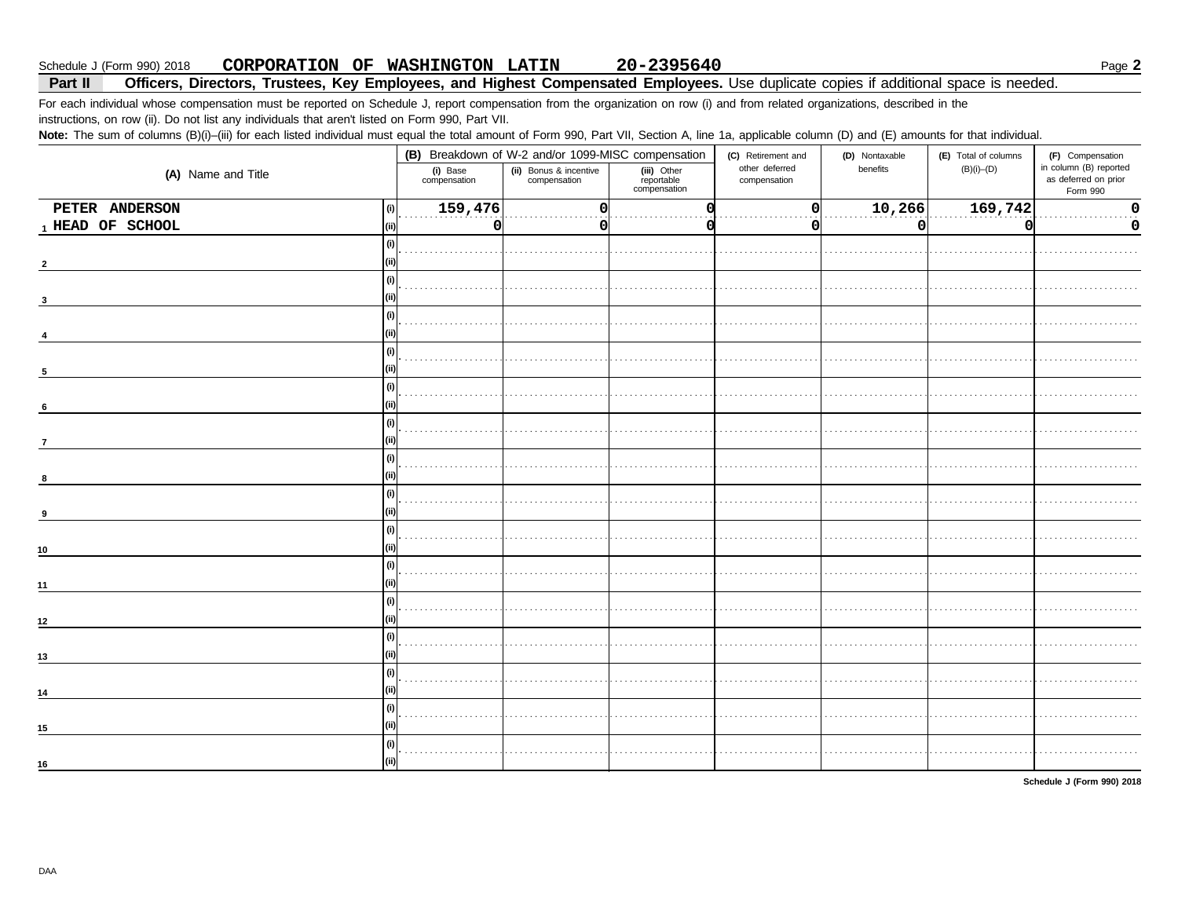#### 20-2395640 CORPORATION OF WASHINGTON LATIN Schedule J (Form 990) 2018

#### Officers, Directors, Trustees, Key Employees, and Highest Compensated Employees. Use duplicate copies if additional space is needed. Part II

For each individual whose compensation must be reported on Schedule J, report compensation from the organization on row (i) and from related organizations, described in the instructions, on row (ii). Do not list any individuals that aren't listed on Form 990, Part VII.

Note: The sum of columns (B)(i)-(iii) for each listed individual must equal the total amount of Form 990, Part VII, Section A, line 1a, applicable column (D) and (E) amounts for that individual.

|                    |                          | (B) Breakdown of W-2 and/or 1099-MISC compensation |                                           |                                | (D) Nontaxable | (E) Total of columns | (F) Compensation                                           |  |
|--------------------|--------------------------|----------------------------------------------------|-------------------------------------------|--------------------------------|----------------|----------------------|------------------------------------------------------------|--|
| (A) Name and Title | (i) Base<br>compensation | (ii) Bonus & incentive<br>compensation             | (iii) Other<br>reportable<br>compensation | other deferred<br>compensation | benefits       | $(B)(i)$ - $(D)$     | in column (B) reported<br>as deferred on prior<br>Form 990 |  |
| PETER ANDERSON     | 159,476<br>$\vert$ (i)   | 0                                                  |                                           |                                | 10, 266        | 169,742              | 0                                                          |  |
| 1 HEAD OF SCHOOL   | (ii)<br>0                |                                                    |                                           |                                | $\Omega$       | $\Omega$             | 0                                                          |  |
|                    | (i)                      |                                                    |                                           |                                |                |                      |                                                            |  |
|                    |                          |                                                    |                                           |                                |                |                      |                                                            |  |
|                    | (i)                      |                                                    |                                           |                                |                |                      |                                                            |  |
|                    |                          |                                                    |                                           |                                |                |                      |                                                            |  |
|                    | (i)                      |                                                    |                                           |                                |                |                      |                                                            |  |
|                    |                          |                                                    |                                           |                                |                |                      |                                                            |  |
|                    | (i)                      |                                                    |                                           |                                |                |                      |                                                            |  |
| 5                  |                          |                                                    |                                           |                                |                |                      |                                                            |  |
|                    | (i)                      |                                                    |                                           |                                |                |                      |                                                            |  |
| 6                  |                          |                                                    |                                           |                                |                |                      |                                                            |  |
|                    | (i)                      |                                                    |                                           |                                |                |                      |                                                            |  |
| $\overline{7}$     |                          |                                                    |                                           |                                |                |                      |                                                            |  |
|                    | (i)                      |                                                    |                                           |                                |                |                      |                                                            |  |
|                    |                          |                                                    |                                           |                                |                |                      |                                                            |  |
|                    | (i)                      |                                                    |                                           |                                |                |                      |                                                            |  |
|                    |                          |                                                    |                                           |                                |                |                      |                                                            |  |
|                    | (i)                      |                                                    |                                           |                                |                |                      |                                                            |  |
| 10                 | (ii)                     |                                                    |                                           |                                |                |                      |                                                            |  |
|                    | (i)                      |                                                    |                                           |                                |                |                      |                                                            |  |
| 11                 |                          |                                                    |                                           |                                |                |                      |                                                            |  |
|                    | (i)                      |                                                    |                                           |                                |                |                      |                                                            |  |
| 12                 |                          |                                                    |                                           |                                |                |                      |                                                            |  |
|                    | (i)                      |                                                    |                                           |                                |                |                      |                                                            |  |
| 13                 |                          |                                                    |                                           |                                |                |                      |                                                            |  |
|                    | (i)                      |                                                    |                                           |                                |                |                      |                                                            |  |
| 14                 |                          |                                                    |                                           |                                |                |                      |                                                            |  |
|                    | (i)                      |                                                    |                                           |                                |                |                      |                                                            |  |
| 15                 |                          |                                                    |                                           |                                |                |                      |                                                            |  |
|                    | (i)                      |                                                    |                                           |                                |                |                      |                                                            |  |
| 16                 | (ii)                     |                                                    |                                           |                                |                |                      |                                                            |  |

Schedule J (Form 990) 2018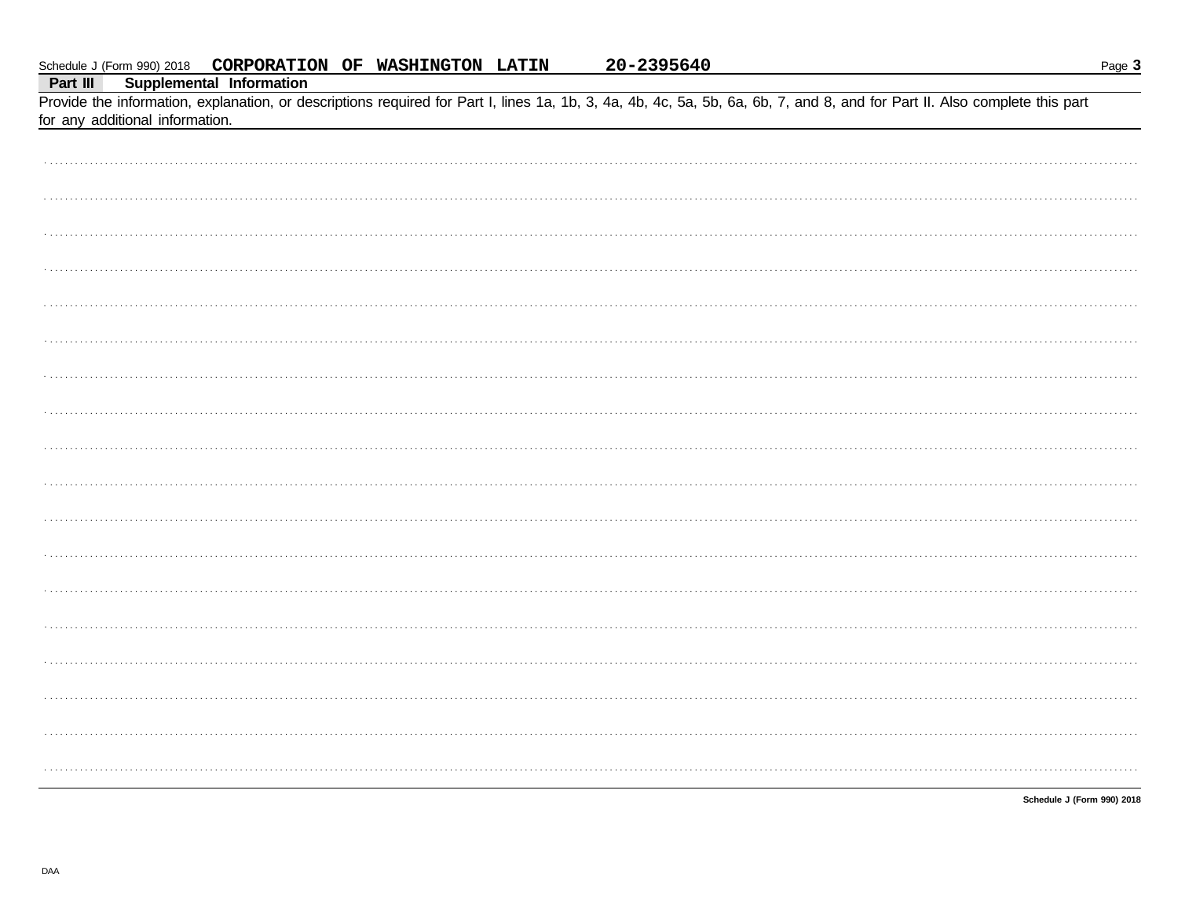Part III **Supplemental Information** 

Provide the information, explanation, or descriptions required for Part I, lines 1a, 1b, 3, 4a, 4b, 4c, 5a, 5b, 6a, 6b, 7, and 8, and for Part II. Also complete this part for any additional information.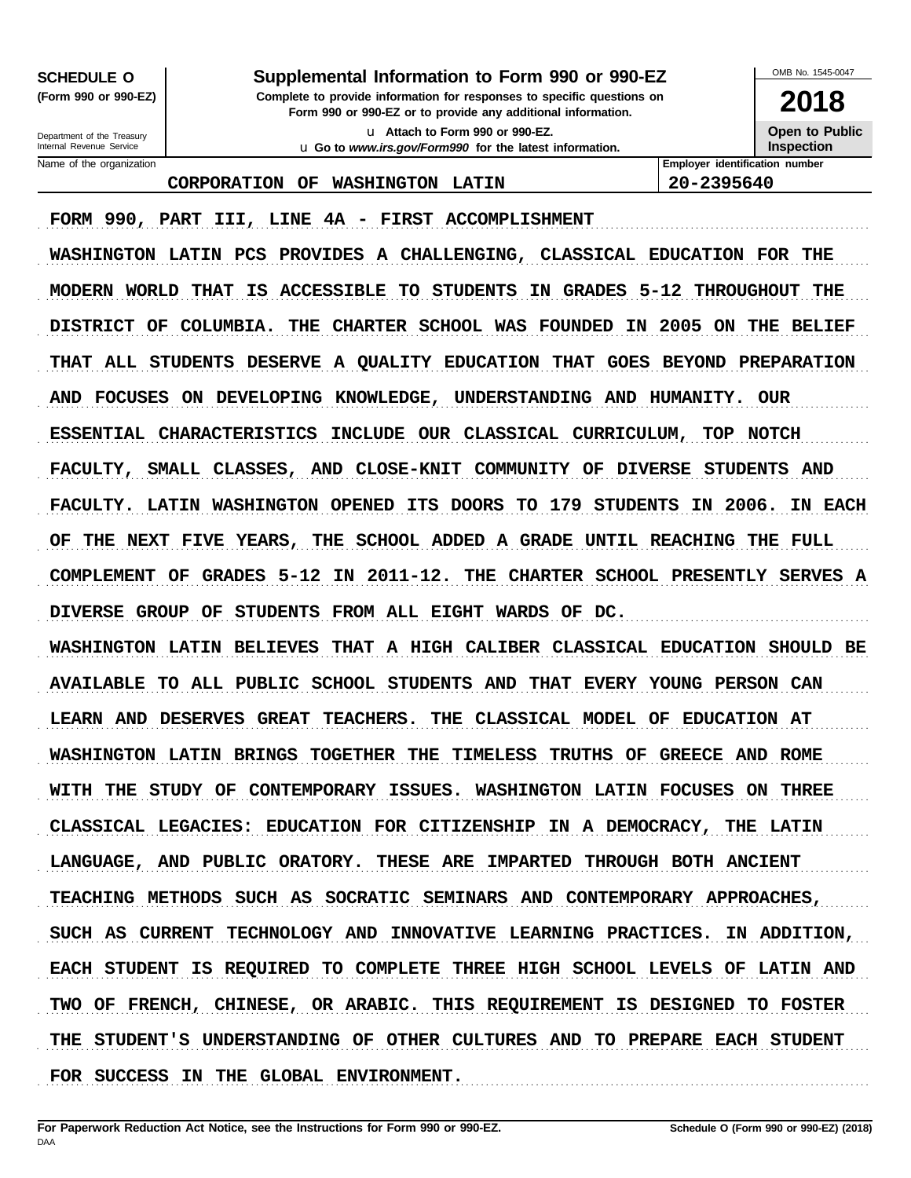# **SCHEDULE O Supplemental Information to Form 990 or 990-EZ**

**Form 990 or 990-EZ or to provide any additional information. (Form 990 or 990-EZ) Complete to provide information for responses to specific questions on**

FORM 990, PART III, LINE 4A - FIRST ACCOMPLISHMENT

u **Attach to Form 990 or 990-EZ.** u **Go to** *www.irs.gov/Form990* **for the latest information.** OMB No. 1545-0047

**2018 Open to Public**

**Inspection**

Name of the organization **Employer identification number Employer identification number** Internal Revenue Service Department of the Treasury

**CORPORATION OF WASHINGTON LATIN 20-2395640**

WASHINGTON LATIN PCS PROVIDES A CHALLENGING, CLASSICAL EDUCATION FOR THE MODERN WORLD THAT IS ACCESSIBLE TO STUDENTS IN GRADES 5-12 THROUGHOUT THE DISTRICT OF COLUMBIA. THE CHARTER SCHOOL WAS FOUNDED IN 2005 ON THE BELIEF THAT ALL STUDENTS DESERVE A QUALITY EDUCATION THAT GOES BEYOND PREPARATION AND FOCUSES ON DEVELOPING KNOWLEDGE, UNDERSTANDING AND HUMANITY. OUR ESSENTIAL CHARACTERISTICS INCLUDE OUR CLASSICAL CURRICULUM, TOP NOTCH FACULTY, SMALL CLASSES, AND CLOSE-KNIT COMMUNITY OF DIVERSE STUDENTS AND FACULTY. LATIN WASHINGTON OPENED ITS DOORS TO 179 STUDENTS IN 2006. IN EACH OF THE NEXT FIVE YEARS, THE SCHOOL ADDED A GRADE UNTIL REACHING THE FULL COMPLEMENT OF GRADES 5-12 IN 2011-12. THE CHARTER SCHOOL PRESENTLY SERVES A DIVERSE GROUP OF STUDENTS FROM ALL EIGHT WARDS OF DC. WASHINGTON LATIN BELIEVES THAT A HIGH CALIBER CLASSICAL EDUCATION SHOULD BE AVAILABLE TO ALL PUBLIC SCHOOL STUDENTS AND THAT EVERY YOUNG PERSON CAN LEARN AND DESERVES GREAT TEACHERS. THE CLASSICAL MODEL OF EDUCATION AT WASHINGTON LATIN BRINGS TOGETHER THE TIMELESS TRUTHS OF GREECE AND ROME WITH THE STUDY OF CONTEMPORARY ISSUES. WASHINGTON LATIN FOCUSES ON THREE CLASSICAL LEGACIES: EDUCATION FOR CITIZENSHIP IN A DEMOCRACY, THE LATIN LANGUAGE, AND PUBLIC ORATORY. THESE ARE IMPARTED THROUGH BOTH ANCIENT TEACHING METHODS SUCH AS SOCRATIC SEMINARS AND CONTEMPORARY APPROACHES, SUCH AS CURRENT TECHNOLOGY AND INNOVATIVE LEARNING PRACTICES. IN ADDITION, EACH STUDENT IS REQUIRED TO COMPLETE THREE HIGH SCHOOL LEVELS OF LATIN AND TWO OF FRENCH, CHINESE, OR ARABIC. THIS REQUIREMENT IS DESIGNED TO FOSTER THE STUDENT'S UNDERSTANDING OF OTHER CULTURES AND TO PREPARE EACH STUDENT FOR SUCCESS IN THE GLOBAL ENVIRONMENT.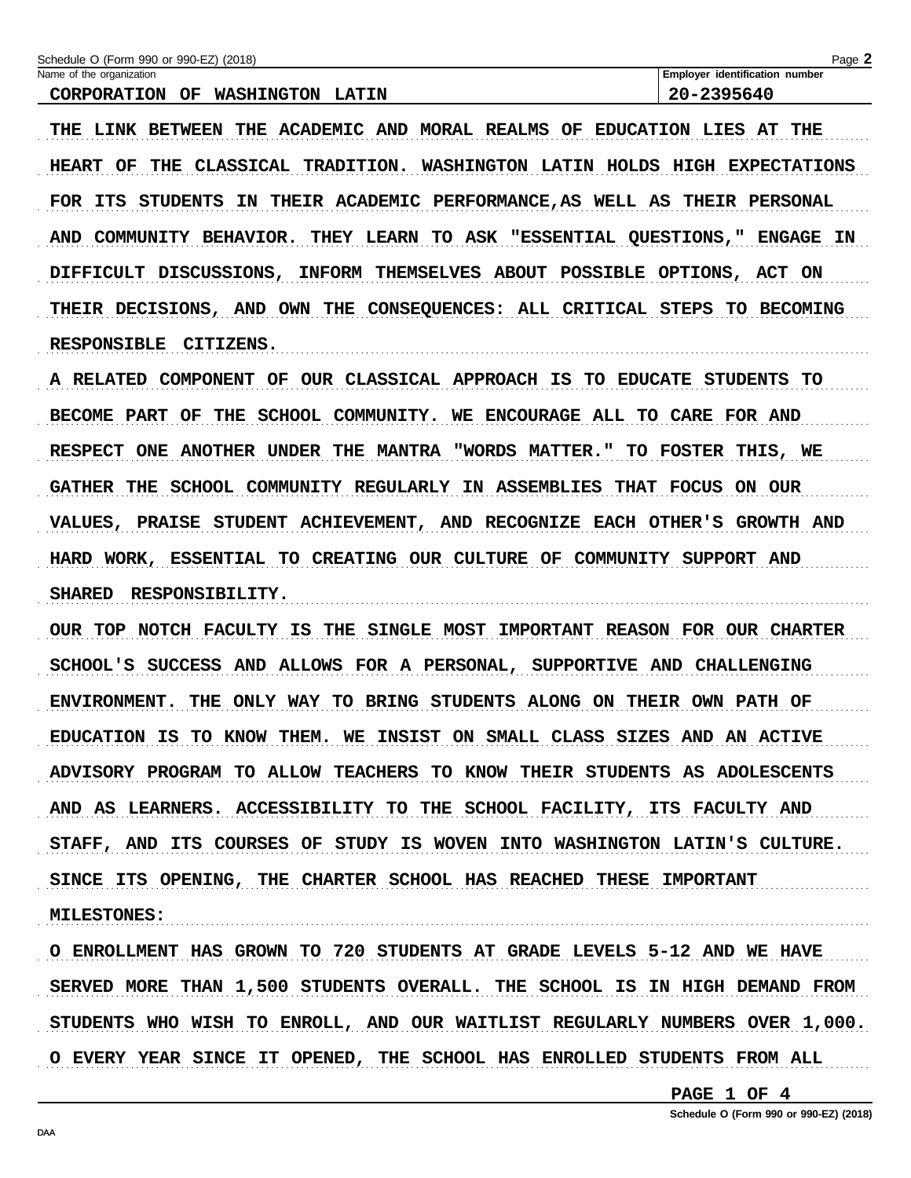| Schedule O (Form 990 or 990-EZ) (2018)<br>Name of the organization                   | Page 2<br>Employer identification number |
|--------------------------------------------------------------------------------------|------------------------------------------|
| <b>WASHINGTON LATIN</b><br><b>CORPORATION</b><br>OF.                                 | 20-2395640                               |
| THE LINK BETWEEN<br>THE ACADEMIC AND MORAL REALMS OF EDUCATION LIES AT               | THE                                      |
| THE CLASSICAL TRADITION. WASHINGTON LATIN HOLDS HIGH EXPECTATIONS<br><b>HEART OF</b> |                                          |
| IN THEIR ACADEMIC PERFORMANCE, AS WELL AS THEIR PERSONAL<br>FOR ITS STUDENTS         |                                          |
| THEY LEARN TO ASK "ESSENTIAL QUESTIONS,"<br>AND<br>COMMUNITY BEHAVIOR.               | <b>ENGAGE IN</b>                         |
| DIFFICULT DISCUSSIONS, INFORM THEMSELVES ABOUT POSSIBLE OPTIONS, ACT ON              |                                          |
| THEIR DECISIONS, AND OWN THE CONSEQUENCES: ALL CRITICAL STEPS TO BECOMING            |                                          |
| <b>CITIZENS.</b><br><b>RESPONSIBLE</b>                                               |                                          |
| A RELATED COMPONENT OF OUR CLASSICAL APPROACH IS TO EDUCATE STUDENTS TO              |                                          |
| BECOME PART OF THE SCHOOL COMMUNITY. WE ENCOURAGE ALL TO CARE FOR AND                |                                          |
| RESPECT ONE ANOTHER UNDER THE MANTRA<br>"WORDS MATTER." TO FOSTER THIS, WE           |                                          |
| SCHOOL COMMUNITY REGULARLY IN ASSEMBLIES THAT FOCUS<br><b>GATHER THE</b>             | ON OUR                                   |
| VALUES, PRAISE STUDENT ACHIEVEMENT, AND RECOGNIZE EACH OTHER'S GROWTH AND            |                                          |
| HARD WORK, ESSENTIAL TO CREATING OUR CULTURE OF COMMUNITY SUPPORT AND                |                                          |
| RESPONSIBILITY.<br><b>SHARED</b>                                                     |                                          |
| OUR TOP NOTCH FACULTY IS THE SINGLE MOST IMPORTANT REASON FOR OUR CHARTER            |                                          |
| SCHOOL'S SUCCESS<br>AND ALLOWS FOR A PERSONAL, SUPPORTIVE AND CHALLENGING            |                                          |
| THE ONLY WAY TO BRING STUDENTS ALONG ON THEIR OWN PATH OF<br><b>ENVIRONMENT.</b>     |                                          |
| EDUCATION IS TO KNOW THEM. WE INSIST ON SMALL CLASS SIZES AND AN ACTIVE              |                                          |
| ADVISORY PROGRAM TO ALLOW TEACHERS TO KNOW THEIR STUDENTS AS ADOLESCENTS             |                                          |
| AND AS LEARNERS. ACCESSIBILITY TO THE SCHOOL FACILITY, ITS FACULTY AND               |                                          |
| STAFF, AND ITS COURSES OF STUDY IS WOVEN INTO WASHINGTON LATIN'S CULTURE.            |                                          |
| SINCE ITS OPENING, THE CHARTER SCHOOL HAS REACHED THESE IMPORTANT                    |                                          |
| <b>MILESTONES:</b>                                                                   |                                          |
| O ENROLLMENT HAS GROWN TO 720 STUDENTS AT GRADE LEVELS 5-12 AND WE HAVE              |                                          |
| SERVED MORE THAN 1,500 STUDENTS OVERALL. THE SCHOOL IS IN HIGH DEMAND FROM           |                                          |
| STUDENTS WHO WISH TO ENROLL, AND OUR WAITLIST REGULARLY NUMBERS OVER 1,000.          |                                          |
| O EVERY YEAR SINCE IT OPENED, THE SCHOOL HAS ENROLLED STUDENTS FROM ALL              |                                          |
|                                                                                      | PAGE 1 OF 4                              |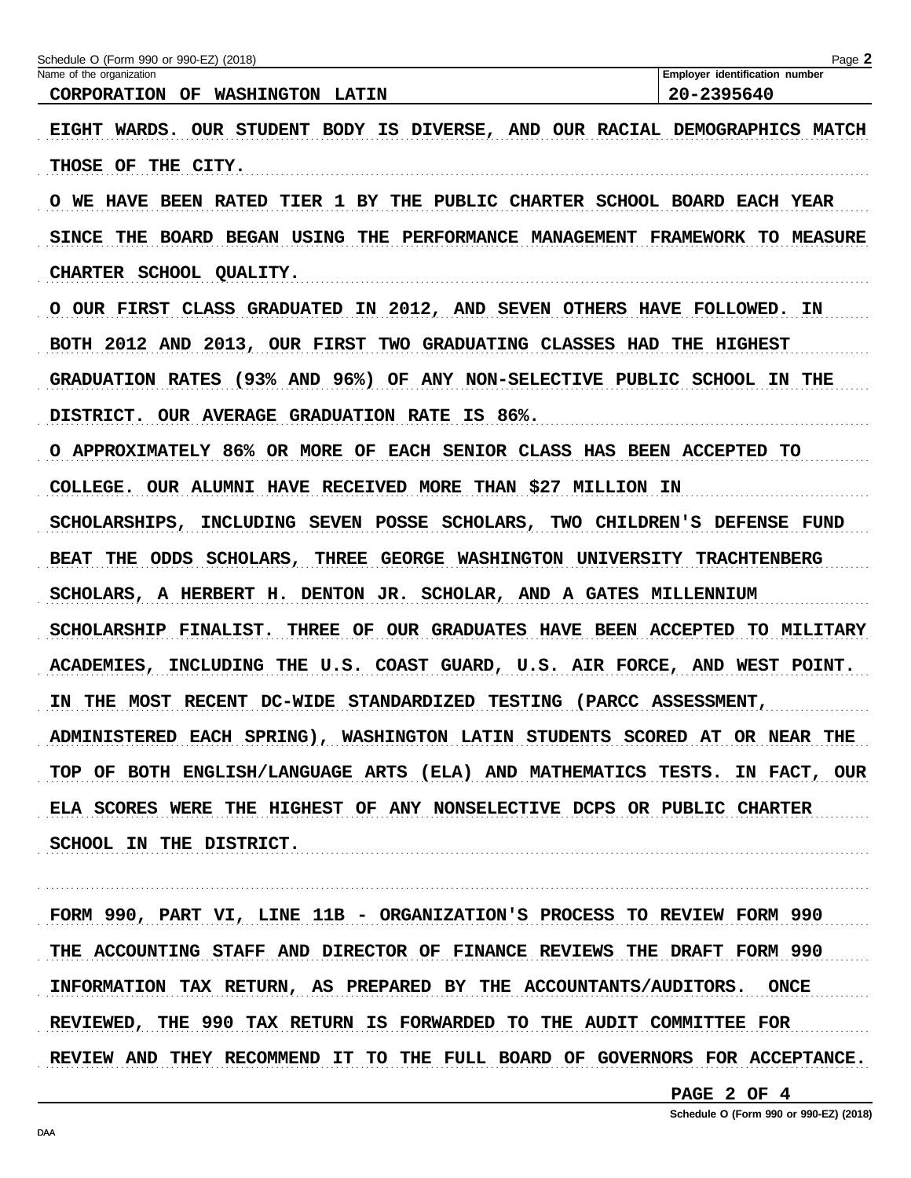| Schedule O (Form 990 or 990-EZ) (2018)                                               | Page 2                                       |
|--------------------------------------------------------------------------------------|----------------------------------------------|
| Name of the organization<br>CORPORATION OF WASHINGTON LATIN                          | Employer identification number<br>20-2395640 |
| EIGHT WARDS. OUR STUDENT BODY IS DIVERSE, AND OUR RACIAL DEMOGRAPHICS MATCH          |                                              |
| THOSE OF THE CITY.                                                                   |                                              |
| O WE HAVE BEEN RATED TIER 1 BY THE PUBLIC CHARTER SCHOOL BOARD EACH YEAR             |                                              |
| SINCE THE BOARD BEGAN USING THE PERFORMANCE MANAGEMENT FRAMEWORK TO MEASURE          |                                              |
| CHARTER SCHOOL QUALITY.                                                              |                                              |
| O OUR FIRST CLASS GRADUATED IN 2012, AND SEVEN OTHERS HAVE FOLLOWED. IN              |                                              |
| BOTH 2012 AND 2013, OUR FIRST TWO GRADUATING CLASSES HAD THE HIGHEST                 |                                              |
| GRADUATION RATES (93% AND 96%) OF ANY NON-SELECTIVE PUBLIC SCHOOL IN THE             |                                              |
| DISTRICT. OUR AVERAGE GRADUATION RATE IS 86%.                                        |                                              |
| O APPROXIMATELY 86% OR MORE OF EACH SENIOR CLASS HAS BEEN ACCEPTED TO                |                                              |
| COLLEGE. OUR ALUMNI HAVE RECEIVED MORE THAN \$27 MILLION IN                          |                                              |
| SCHOLARSHIPS, INCLUDING SEVEN POSSE SCHOLARS, TWO CHILDREN'S DEFENSE FUND            |                                              |
| THE ODDS SCHOLARS, THREE GEORGE WASHINGTON UNIVERSITY TRACHTENBERG<br><b>BEAT</b>    |                                              |
| SCHOLARS, A HERBERT H. DENTON JR. SCHOLAR, AND A GATES MILLENNIUM                    |                                              |
| THREE OF OUR GRADUATES HAVE BEEN ACCEPTED TO MILITARY<br>SCHOLARSHIP FINALIST.       |                                              |
| INCLUDING THE U.S. COAST GUARD, U.S. AIR FORCE, AND WEST POINT.<br><b>ACADEMIES,</b> |                                              |
| IN THE MOST RECENT DC-WIDE STANDARDIZED TESTING (PARCC ASSESSMENT,                   |                                              |
| ADMINISTERED EACH SPRING), WASHINGTON LATIN STUDENTS SCORED AT OR NEAR THE           |                                              |
| TOP OF BOTH ENGLISH/LANGUAGE ARTS (ELA) AND MATHEMATICS TESTS. IN FACT, OUR          |                                              |
| ELA SCORES WERE THE HIGHEST OF ANY NONSELECTIVE DCPS OR PUBLIC CHARTER               |                                              |
| SCHOOL IN THE DISTRICT.                                                              |                                              |
| FORM 990, PART VI, LINE 11B - ORGANIZATION'S PROCESS TO REVIEW FORM 990              |                                              |
| THE ACCOUNTING STAFF AND DIRECTOR OF FINANCE REVIEWS THE DRAFT FORM 990              |                                              |
| INFORMATION TAX RETURN, AS PREPARED BY THE ACCOUNTANTS/AUDITORS.                     | <b>ONCE</b>                                  |

REVIEW AND THEY RECOMMEND IT TO THE FULL BOARD OF GOVERNORS FOR ACCEPTANCE.

REVIEWED, THE 990 TAX RETURN IS FORWARDED TO THE AUDIT COMMITTEE FOR

PAGE 2 OF 4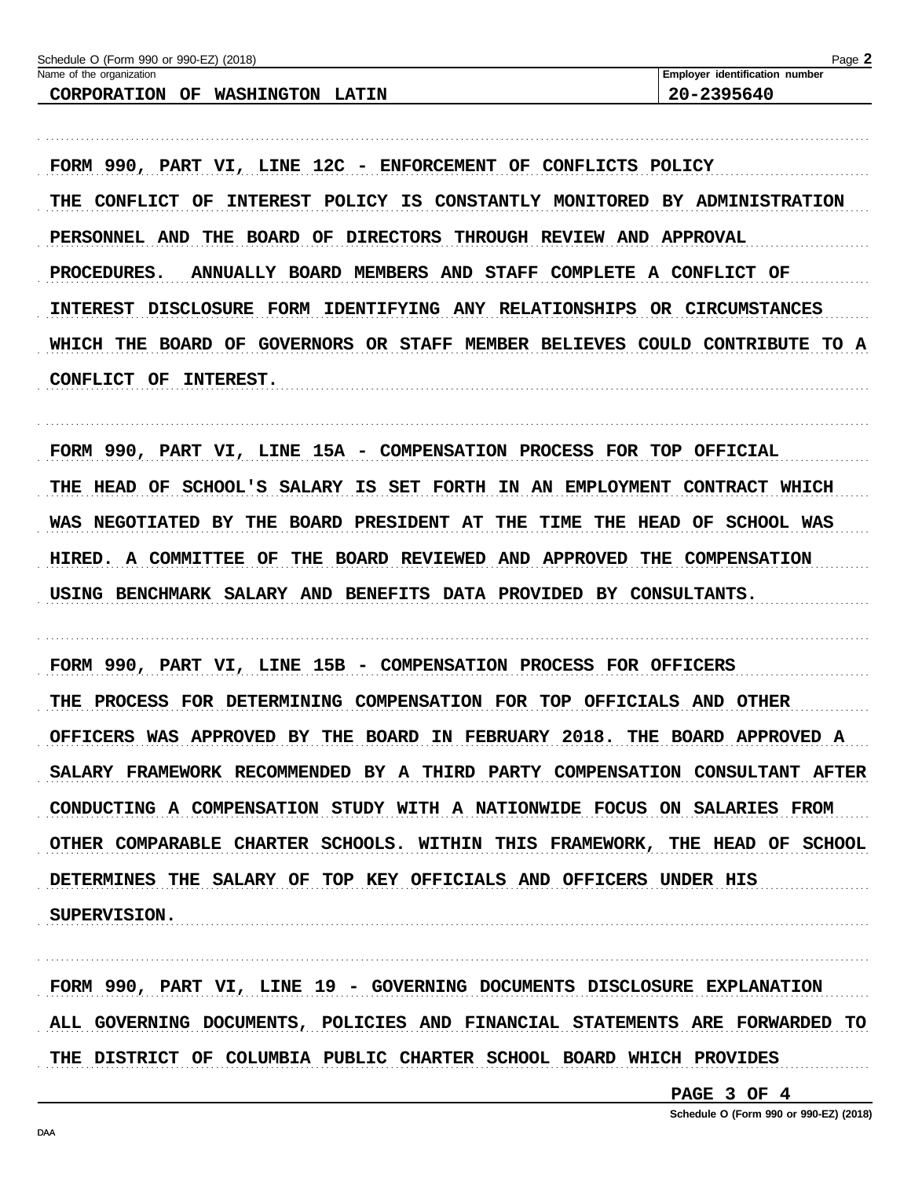| Schedule O (Form 990 or 990-EZ) (2018)       | Page 2                                |
|----------------------------------------------|---------------------------------------|
| Name of the organization                     | <b>Employer identification number</b> |
| CORPORATION<br>OF<br><b>WASHINGTON LATIN</b> | 20-2395640                            |
|                                              |                                       |

FORM 990, PART VI, LINE 12C - ENFORCEMENT OF CONFLICTS POLICY THE CONFLICT OF INTEREST POLICY IS CONSTANTLY MONITORED BY ADMINISTRATION PERSONNEL AND THE BOARD OF DIRECTORS THROUGH REVIEW AND APPROVAL PROCEDURES. ANNUALLY BOARD MEMBERS AND STAFF COMPLETE A CONFLICT OF INTEREST DISCLOSURE FORM IDENTIFYING ANY RELATIONSHIPS OR CIRCUMSTANCES WHICH THE BOARD OF GOVERNORS OR STAFF MEMBER BELIEVES COULD CONTRIBUTE TO A CONFLICT OF INTEREST.

FORM 990, PART VI, LINE 15A - COMPENSATION PROCESS FOR TOP OFFICIAL THE HEAD OF SCHOOL'S SALARY IS SET FORTH IN AN EMPLOYMENT CONTRACT WHICH WAS NEGOTIATED BY THE BOARD PRESIDENT AT THE TIME THE HEAD OF SCHOOL WAS HIRED. A COMMITTEE OF THE BOARD REVIEWED AND APPROVED THE COMPENSATION USING BENCHMARK SALARY AND BENEFITS DATA PROVIDED BY CONSULTANTS.

FORM 990, PART VI, LINE 15B - COMPENSATION PROCESS FOR OFFICERS THE PROCESS FOR DETERMINING COMPENSATION FOR TOP OFFICIALS AND OTHER OFFICERS WAS APPROVED BY THE BOARD IN FEBRUARY 2018. THE BOARD APPROVED A SALARY FRAMEWORK RECOMMENDED BY A THIRD PARTY COMPENSATION CONSULTANT AFTER CONDUCTING A COMPENSATION STUDY WITH A NATIONWIDE FOCUS ON SALARIES FROM OTHER COMPARABLE CHARTER SCHOOLS. WITHIN THIS FRAMEWORK, THE HEAD OF SCHOOL DETERMINES THE SALARY OF TOP KEY OFFICIALS AND OFFICERS UNDER HIS **SUPERVISION.** 

FORM 990, PART VI, LINE 19 - GOVERNING DOCUMENTS DISCLOSURE EXPLANATION ALL GOVERNING DOCUMENTS, POLICIES AND FINANCIAL STATEMENTS ARE FORWARDED TO THE DISTRICT OF COLUMBIA PUBLIC CHARTER SCHOOL BOARD WHICH PROVIDES

PAGE 3 OF 4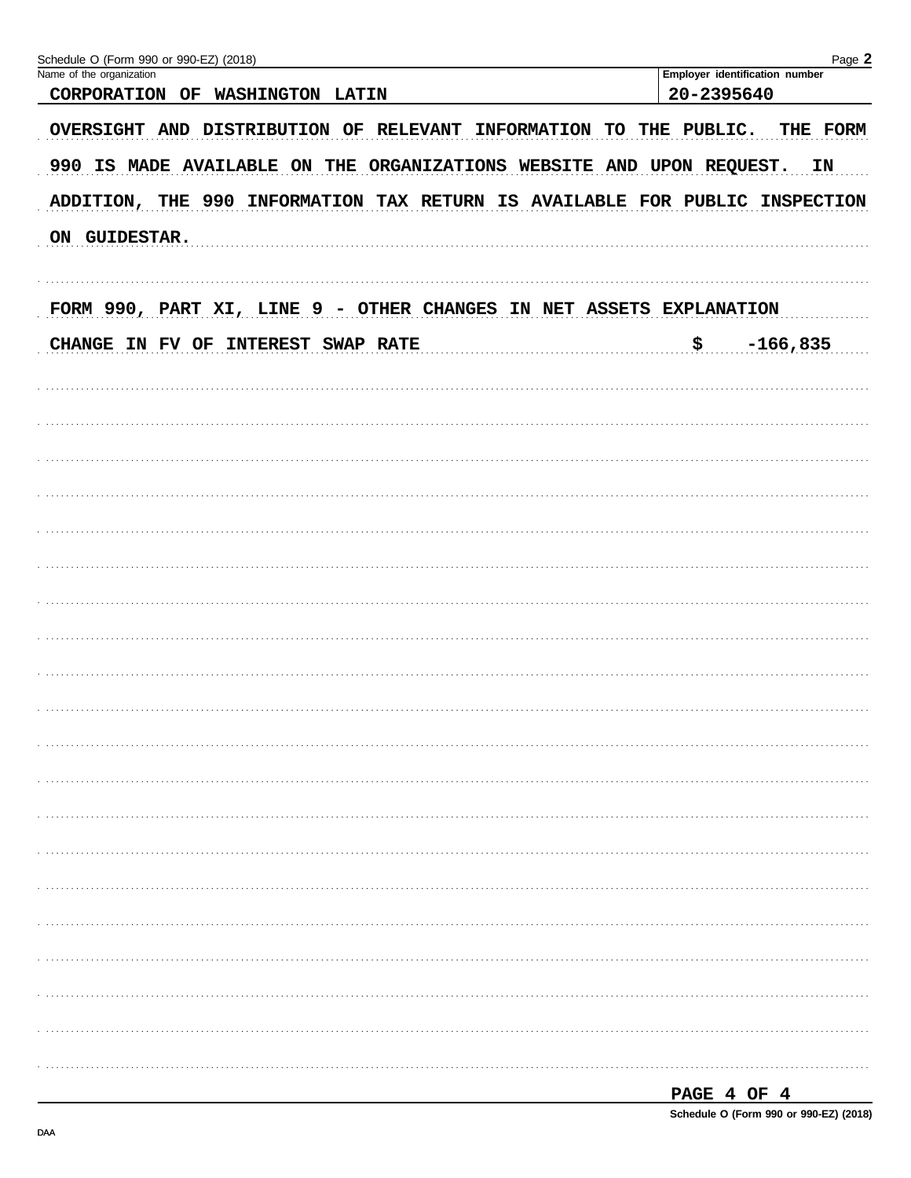| Schedule O (Form 990 or 990-EZ) (2018)<br>Name of the organization                                                | Page 2                                       |  |  |  |
|-------------------------------------------------------------------------------------------------------------------|----------------------------------------------|--|--|--|
| CORPORATION OF WASHINGTON LATIN                                                                                   | Employer identification number<br>20-2395640 |  |  |  |
| OVERSIGHT AND DISTRIBUTION OF<br><b>RELEVANT</b><br><b>THE</b><br>THE FORM<br><b>INFORMATION</b><br>TO<br>PUBLIC. |                                              |  |  |  |
| 990 IS MADE AVAILABLE ON THE ORGANIZATIONS WEBSITE AND UPON REQUEST.                                              | IN                                           |  |  |  |
| ADDITION, THE 990 INFORMATION TAX RETURN IS AVAILABLE FOR PUBLIC INSPECTION                                       |                                              |  |  |  |
| ON GUIDESTAR.                                                                                                     |                                              |  |  |  |
|                                                                                                                   |                                              |  |  |  |
| FORM 990, PART XI, LINE 9 - OTHER CHANGES IN NET ASSETS EXPLANATION                                               |                                              |  |  |  |
| <b>INTEREST SWAP RATE</b><br>CHANGE IN FV OF                                                                      | $-166,835$<br>\$                             |  |  |  |
|                                                                                                                   |                                              |  |  |  |
|                                                                                                                   |                                              |  |  |  |
|                                                                                                                   |                                              |  |  |  |
|                                                                                                                   |                                              |  |  |  |
|                                                                                                                   |                                              |  |  |  |
|                                                                                                                   |                                              |  |  |  |
|                                                                                                                   |                                              |  |  |  |
|                                                                                                                   |                                              |  |  |  |
|                                                                                                                   |                                              |  |  |  |
|                                                                                                                   |                                              |  |  |  |
|                                                                                                                   |                                              |  |  |  |
|                                                                                                                   |                                              |  |  |  |
|                                                                                                                   |                                              |  |  |  |
|                                                                                                                   |                                              |  |  |  |
|                                                                                                                   |                                              |  |  |  |
|                                                                                                                   |                                              |  |  |  |
|                                                                                                                   |                                              |  |  |  |
|                                                                                                                   |                                              |  |  |  |
|                                                                                                                   |                                              |  |  |  |
|                                                                                                                   |                                              |  |  |  |
|                                                                                                                   |                                              |  |  |  |
|                                                                                                                   |                                              |  |  |  |
|                                                                                                                   |                                              |  |  |  |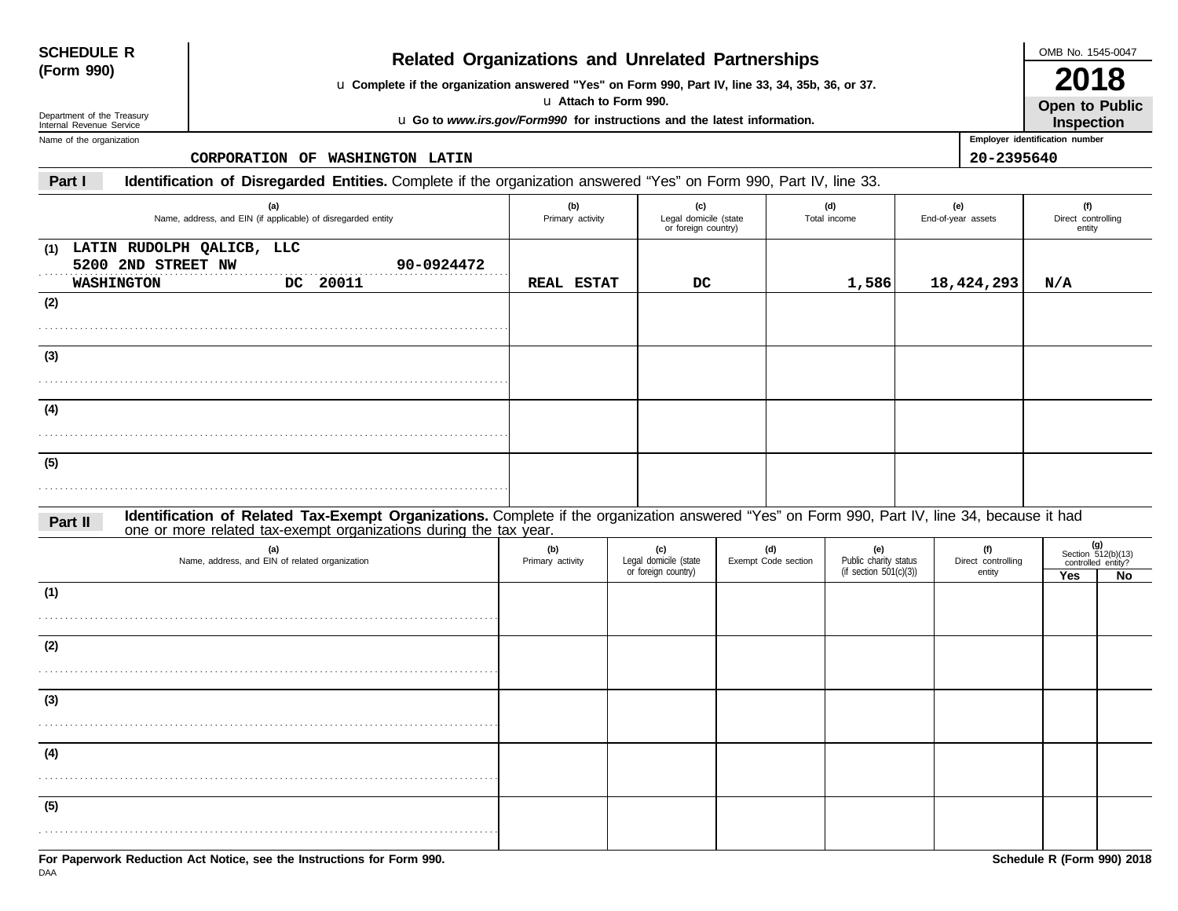| <b>SCHEDULE R</b> |  |
|-------------------|--|
| (Form 990)        |  |

# **(Form 990) Related Organizations and Unrelated Partnerships**

u **Complete if the organization answered "Yes" on Form 990, Part IV, line 33, 34, 35b, 36, or 37.**

u **Attach to Form 990.**

u **Go to** *www.irs.gov/Form990* **for instructions and the latest information.**

Department of the Treasury Internal Revenue Service Name of the organization

**CORPORATION OF WASHINGTON LATIN 20-2395640**

**Part I Identification of Disregarded Entities.** Complete if the organization answered "Yes" on Form 990, Part IV, line 33.

| (a)<br>Name, address, and EIN (if applicable) of disregarded entity                                                                                                                                                        | (b)<br>Primary activity | (c)<br>Legal domicile (state<br>or foreign country) |                            | (d)<br>Total income                                       | (e)<br>End-of-year assets           | (f)<br>Direct controlling<br>entity                                             |
|----------------------------------------------------------------------------------------------------------------------------------------------------------------------------------------------------------------------------|-------------------------|-----------------------------------------------------|----------------------------|-----------------------------------------------------------|-------------------------------------|---------------------------------------------------------------------------------|
| LATIN RUDOLPH QALICB, LLC<br>(1)<br>5200 2ND STREET NW<br>90-0924472                                                                                                                                                       |                         |                                                     |                            |                                                           |                                     |                                                                                 |
| <b>WASHINGTON</b><br>DC 20011<br>(2)                                                                                                                                                                                       | <b>REAL ESTAT</b>       | DC                                                  |                            | 1,586                                                     | 18,424,293                          | N/A                                                                             |
| (3)                                                                                                                                                                                                                        |                         |                                                     |                            |                                                           |                                     |                                                                                 |
| (4)                                                                                                                                                                                                                        |                         |                                                     |                            |                                                           |                                     |                                                                                 |
| (5)                                                                                                                                                                                                                        |                         |                                                     |                            |                                                           |                                     |                                                                                 |
| Identification of Related Tax-Exempt Organizations. Complete if the organization answered "Yes" on Form 990, Part IV, line 34, because it had one or more related tax-exempt organizations during the tax year.<br>Part II |                         |                                                     |                            |                                                           |                                     |                                                                                 |
| (a)<br>Name, address, and EIN of related organization                                                                                                                                                                      | (b)<br>Primary activity | (c)<br>Legal domicile (state<br>or foreign country) | (d)<br>Exempt Code section | (e)<br>Public charity status<br>(if section $501(c)(3)$ ) | (f)<br>Direct controlling<br>entity | (g)<br>Section $\frac{512(b)(13)}{2}$<br>controlled entity?<br><b>Yes</b><br>No |
| (1)                                                                                                                                                                                                                        |                         |                                                     |                            |                                                           |                                     |                                                                                 |
| (2)                                                                                                                                                                                                                        |                         |                                                     |                            |                                                           |                                     |                                                                                 |
| (3)                                                                                                                                                                                                                        |                         |                                                     |                            |                                                           |                                     |                                                                                 |
| (4)                                                                                                                                                                                                                        |                         |                                                     |                            |                                                           |                                     |                                                                                 |
| (5)                                                                                                                                                                                                                        |                         |                                                     |                            |                                                           |                                     |                                                                                 |

. . . . . . . . . . . . . . . . . . . . . . . . . . . . . . . . . . . . . . . . . . . . . . . . . . . . . . . . . . . . . . . . . . . . . . . . . . . . . . . . . . . . . . . . . . . .

OMB No. 1545-0047

**Open to Public 2018**

**Employer identification number Inspection**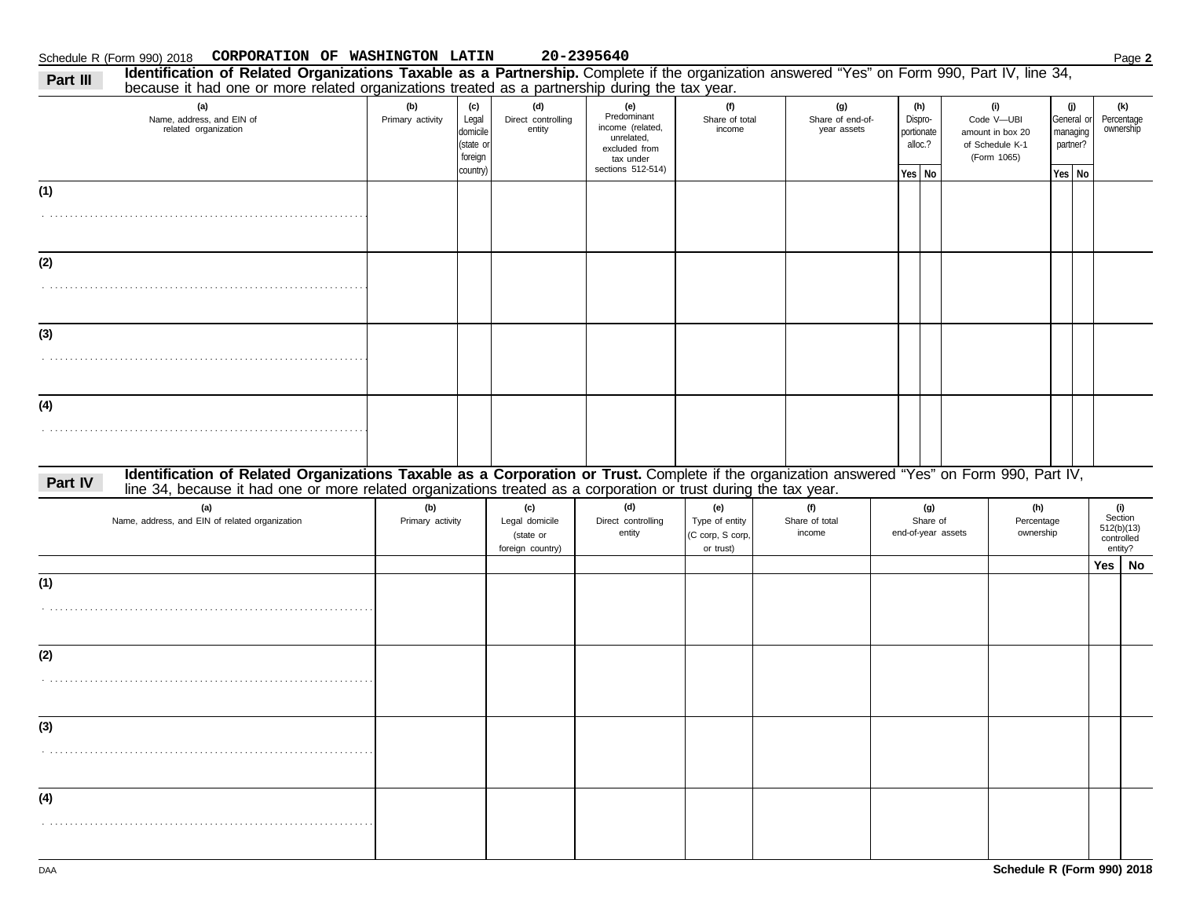### Schedule R (Form 990) 2018 Page **2 CORPORATION OF WASHINGTON LATIN 20-2395640**

| Part III | Identification of Related Organizations Taxable as a Partnership. Complete if the organization answered "Yes" on Form 990, Part IV, line 34,                                                                                                                     |                         |                                                              |                                                        |                                                                                                         |                                                        |                                        |                                                   |                                                                         |                                                       |                                                       |
|----------|------------------------------------------------------------------------------------------------------------------------------------------------------------------------------------------------------------------------------------------------------------------|-------------------------|--------------------------------------------------------------|--------------------------------------------------------|---------------------------------------------------------------------------------------------------------|--------------------------------------------------------|----------------------------------------|---------------------------------------------------|-------------------------------------------------------------------------|-------------------------------------------------------|-------------------------------------------------------|
|          | because it had one or more related organizations treated as a partnership during the tax year.<br>(a)<br>Name, address, and EIN of<br>related organization                                                                                                       | (b)<br>Primary activity | (c)<br>Legal<br>domicile<br>(state or<br>foreign<br>country) | (d)<br>Direct controlling<br>entity                    | (e)<br>Predominant<br>income (related,<br>unrelated,<br>excluded from<br>tax under<br>sections 512-514) | (f)<br>Share of total<br>income                        | (g)<br>Share of end-of-<br>year assets | (h)<br>Dispro-<br>portionate<br>alloc.?<br>Yes No | (i)<br>Code V-UBI<br>amount in box 20<br>of Schedule K-1<br>(Form 1065) | (j)<br>General or<br>managing<br>partner?<br>$Yes$ No | (k)<br>Percentage<br>ownership                        |
| (1)      |                                                                                                                                                                                                                                                                  |                         |                                                              |                                                        |                                                                                                         |                                                        |                                        |                                                   |                                                                         |                                                       |                                                       |
| (2)      |                                                                                                                                                                                                                                                                  |                         |                                                              |                                                        |                                                                                                         |                                                        |                                        |                                                   |                                                                         |                                                       |                                                       |
| (3)      |                                                                                                                                                                                                                                                                  |                         |                                                              |                                                        |                                                                                                         |                                                        |                                        |                                                   |                                                                         |                                                       |                                                       |
| (4)      |                                                                                                                                                                                                                                                                  |                         |                                                              |                                                        |                                                                                                         |                                                        |                                        |                                                   |                                                                         |                                                       |                                                       |
| Part IV  | Identification of Related Organizations Taxable as a Corporation or Trust. Complete if the organization answered "Yes" on Form 990, Part IV,<br>line 34, because it had one or more related organizations treated as a corporation or trust during the tax year. |                         |                                                              |                                                        |                                                                                                         |                                                        |                                        |                                                   |                                                                         |                                                       |                                                       |
|          | (a)<br>Name, address, and EIN of related organization                                                                                                                                                                                                            | (b)<br>Primary activity |                                                              | (c)<br>Legal domicile<br>(state or<br>foreign country) | (d)<br>Direct controlling<br>entity                                                                     | (e)<br>Type of entity<br>(C corp, S corp,<br>or trust) | (f)<br>Share of total<br>income        | (g)<br>Share of<br>end-of-year assets             | (h)<br>Percentage<br>ownership                                          |                                                       | (i)<br>Section<br>512(b)(13)<br>controlled<br>entity? |
| (1)      |                                                                                                                                                                                                                                                                  |                         |                                                              |                                                        |                                                                                                         |                                                        |                                        |                                                   |                                                                         |                                                       | $Yes \mid No$                                         |
|          |                                                                                                                                                                                                                                                                  |                         |                                                              |                                                        |                                                                                                         |                                                        |                                        |                                                   |                                                                         |                                                       |                                                       |
| (2)      |                                                                                                                                                                                                                                                                  |                         |                                                              |                                                        |                                                                                                         |                                                        |                                        |                                                   |                                                                         |                                                       |                                                       |
| (3)      |                                                                                                                                                                                                                                                                  |                         |                                                              |                                                        |                                                                                                         |                                                        |                                        |                                                   |                                                                         |                                                       |                                                       |
| (4)      |                                                                                                                                                                                                                                                                  |                         |                                                              |                                                        |                                                                                                         |                                                        |                                        |                                                   |                                                                         |                                                       |                                                       |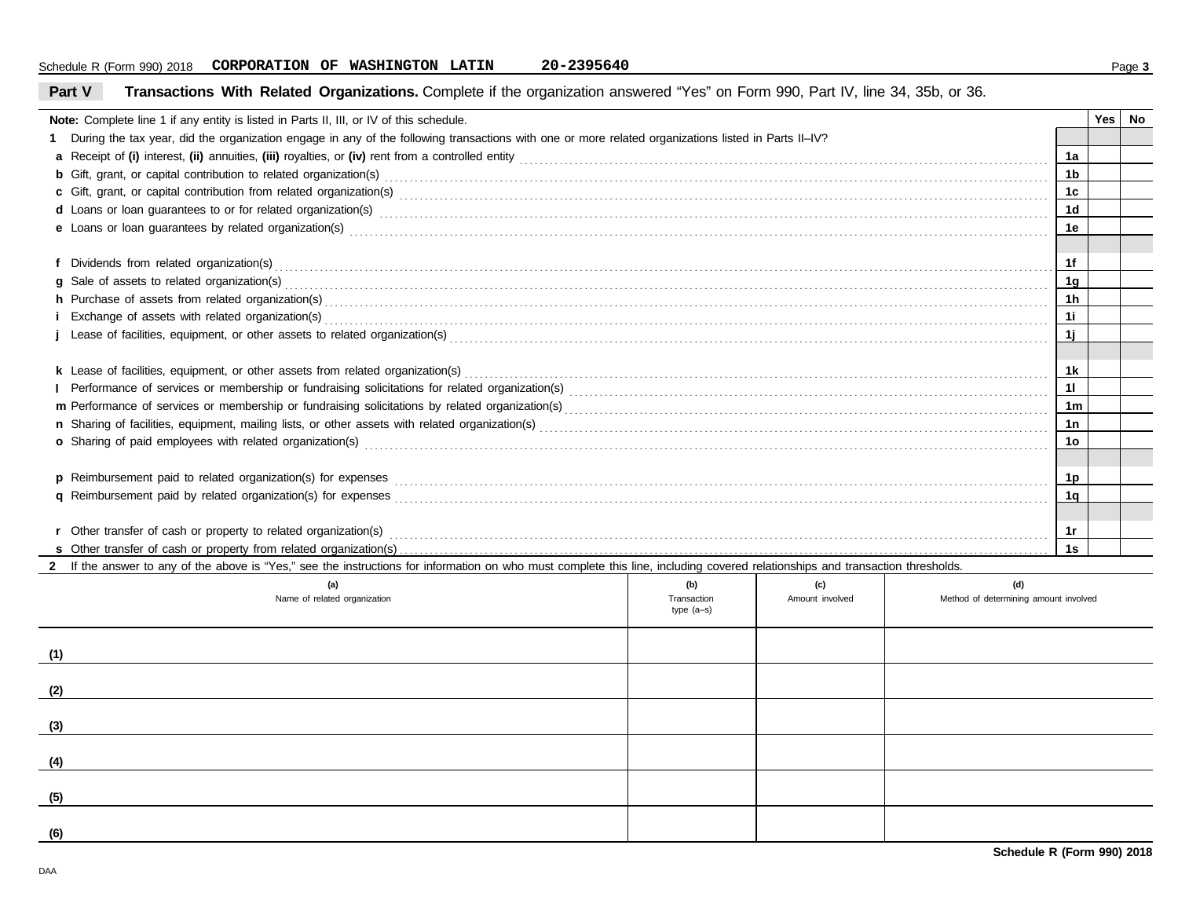# **Part V Transactions With Related Organizations.** Complete if the organization answered "Yes" on Form 990, Part IV, line 34, 35b, or 36.

|     | Note: Complete line 1 if any entity is listed in Parts II, III, or IV of this schedule.                                                                                                                                        |                            |                 |                                       |                | Yes | No |  |
|-----|--------------------------------------------------------------------------------------------------------------------------------------------------------------------------------------------------------------------------------|----------------------------|-----------------|---------------------------------------|----------------|-----|----|--|
|     | During the tax year, did the organization engage in any of the following transactions with one or more related organizations listed in Parts II-IV?                                                                            |                            |                 |                                       |                |     |    |  |
|     |                                                                                                                                                                                                                                |                            |                 |                                       | 1a             |     |    |  |
|     |                                                                                                                                                                                                                                |                            |                 |                                       |                |     |    |  |
|     |                                                                                                                                                                                                                                |                            |                 |                                       | 1c             |     |    |  |
|     | d Loans or loan guarantees to or for related organization(s) encourance contained and contained and contained and contained and contained and contained and contained and contained and contained and contained and contained  |                            |                 |                                       | 1d             |     |    |  |
|     |                                                                                                                                                                                                                                |                            |                 |                                       | 1е             |     |    |  |
|     |                                                                                                                                                                                                                                |                            |                 |                                       |                |     |    |  |
|     |                                                                                                                                                                                                                                |                            |                 |                                       | 1f             |     |    |  |
|     |                                                                                                                                                                                                                                |                            |                 |                                       | 1q             |     |    |  |
|     | h Purchase of assets from related organization(s) encourance contains and contains a container and container and container and container and container and container and container and container and container and container a |                            |                 |                                       | 1 <sub>h</sub> |     |    |  |
|     |                                                                                                                                                                                                                                |                            |                 |                                       | 11             |     |    |  |
|     |                                                                                                                                                                                                                                |                            |                 |                                       | 1i             |     |    |  |
|     |                                                                                                                                                                                                                                |                            |                 |                                       |                |     |    |  |
|     |                                                                                                                                                                                                                                |                            |                 |                                       | 1k             |     |    |  |
|     |                                                                                                                                                                                                                                |                            |                 |                                       | 11             |     |    |  |
|     |                                                                                                                                                                                                                                |                            |                 |                                       | 1 <sub>m</sub> |     |    |  |
|     |                                                                                                                                                                                                                                |                            |                 |                                       | 1n             |     |    |  |
|     | o Sharing of paid employees with related organization(s) encourance contains and an account of the starting of paid employees with related organization(s) encourance contains and account of the starting of paid employees w |                            |                 |                                       | 10             |     |    |  |
|     |                                                                                                                                                                                                                                |                            |                 |                                       |                |     |    |  |
|     |                                                                                                                                                                                                                                |                            |                 |                                       | 1p             |     |    |  |
|     |                                                                                                                                                                                                                                |                            |                 |                                       | 1q             |     |    |  |
|     |                                                                                                                                                                                                                                |                            |                 |                                       |                |     |    |  |
|     |                                                                                                                                                                                                                                |                            |                 |                                       | 1r             |     |    |  |
|     |                                                                                                                                                                                                                                |                            |                 |                                       | 1s             |     |    |  |
|     | 2 If the answer to any of the above is "Yes," see the instructions for information on who must complete this line, including covered relationships and transaction thresholds.                                                 |                            |                 |                                       |                |     |    |  |
|     | (a)                                                                                                                                                                                                                            | (b)                        | (c)             | (d)                                   |                |     |    |  |
|     | Name of related organization                                                                                                                                                                                                   | Transaction<br>$type(a-s)$ | Amount involved | Method of determining amount involved |                |     |    |  |
|     |                                                                                                                                                                                                                                |                            |                 |                                       |                |     |    |  |
|     |                                                                                                                                                                                                                                |                            |                 |                                       |                |     |    |  |
| (1) |                                                                                                                                                                                                                                |                            |                 |                                       |                |     |    |  |
|     |                                                                                                                                                                                                                                |                            |                 |                                       |                |     |    |  |
| (2) |                                                                                                                                                                                                                                |                            |                 |                                       |                |     |    |  |
|     |                                                                                                                                                                                                                                |                            |                 |                                       |                |     |    |  |
| (3) |                                                                                                                                                                                                                                |                            |                 |                                       |                |     |    |  |
| (4) |                                                                                                                                                                                                                                |                            |                 |                                       |                |     |    |  |
|     |                                                                                                                                                                                                                                |                            |                 |                                       |                |     |    |  |
| (5) |                                                                                                                                                                                                                                |                            |                 |                                       |                |     |    |  |
|     |                                                                                                                                                                                                                                |                            |                 |                                       |                |     |    |  |

**(6)**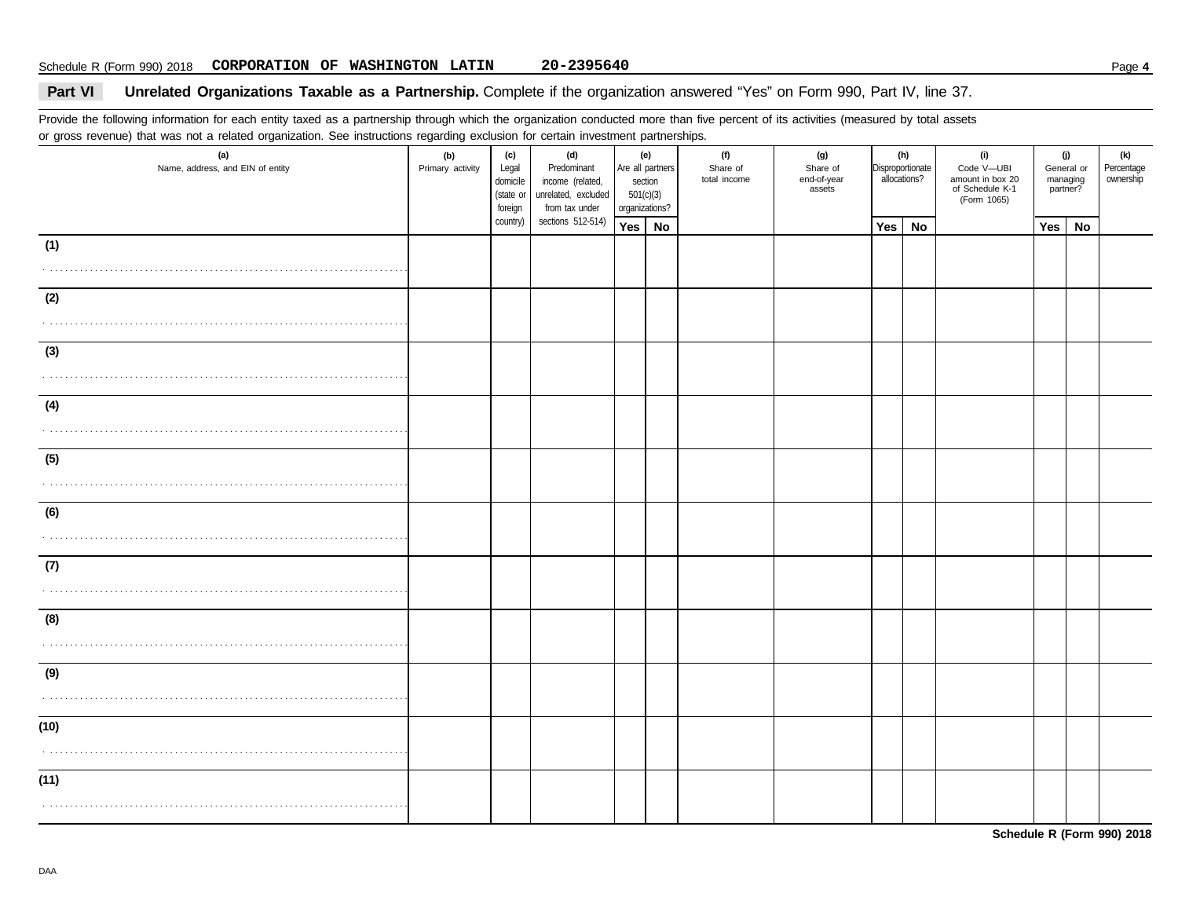# Part VI Unrelated Organizations Taxable as a Partnership. Complete if the organization answered "Yes" on Form 990, Part IV, line 37.

Provide the following information for each entity taxed as a partnership through which the organization conducted more than five percent of its activities (measured by total assets or gross revenue) that was not a related organization. See instructions regarding exclusion for certain investment partnerships.

| $\checkmark$<br>ັ<br>(a)<br>Name, address, and EIN of entity | ັ<br>ັ<br>(c)<br>(b)<br>Primary activity<br>Legal<br>domicile<br>(state or<br>foreign |          | (d)<br>Predominant<br>income (related,<br>unrelated, excluded<br>from tax under | (e)<br>Are all partners<br>section<br>501(c)(3)<br>organizations? |  | (f)<br>Share of<br>total income | (g)<br>Share of<br>end-of-year<br>assets | (h)<br>Disproportionate<br>allocations? |    | (i)<br>Code V-UBI<br>amount in box 20<br>of Schedule K-1<br>(Form 1065) | (j)<br>General or<br>managing<br>partner? |    | (k)<br>Percentage<br>ownership |
|--------------------------------------------------------------|---------------------------------------------------------------------------------------|----------|---------------------------------------------------------------------------------|-------------------------------------------------------------------|--|---------------------------------|------------------------------------------|-----------------------------------------|----|-------------------------------------------------------------------------|-------------------------------------------|----|--------------------------------|
|                                                              |                                                                                       | country) | sections 512-514)                                                               | Yes   No                                                          |  |                                 |                                          | Yes                                     | No |                                                                         | Yes                                       | No |                                |
| (1)                                                          |                                                                                       |          |                                                                                 |                                                                   |  |                                 |                                          |                                         |    |                                                                         |                                           |    |                                |
|                                                              |                                                                                       |          |                                                                                 |                                                                   |  |                                 |                                          |                                         |    |                                                                         |                                           |    |                                |
| (2)                                                          |                                                                                       |          |                                                                                 |                                                                   |  |                                 |                                          |                                         |    |                                                                         |                                           |    |                                |
|                                                              |                                                                                       |          |                                                                                 |                                                                   |  |                                 |                                          |                                         |    |                                                                         |                                           |    |                                |
|                                                              |                                                                                       |          |                                                                                 |                                                                   |  |                                 |                                          |                                         |    |                                                                         |                                           |    |                                |
| (3)                                                          |                                                                                       |          |                                                                                 |                                                                   |  |                                 |                                          |                                         |    |                                                                         |                                           |    |                                |
|                                                              |                                                                                       |          |                                                                                 |                                                                   |  |                                 |                                          |                                         |    |                                                                         |                                           |    |                                |
| (4)                                                          |                                                                                       |          |                                                                                 |                                                                   |  |                                 |                                          |                                         |    |                                                                         |                                           |    |                                |
|                                                              |                                                                                       |          |                                                                                 |                                                                   |  |                                 |                                          |                                         |    |                                                                         |                                           |    |                                |
|                                                              |                                                                                       |          |                                                                                 |                                                                   |  |                                 |                                          |                                         |    |                                                                         |                                           |    |                                |
| (5)                                                          |                                                                                       |          |                                                                                 |                                                                   |  |                                 |                                          |                                         |    |                                                                         |                                           |    |                                |
|                                                              |                                                                                       |          |                                                                                 |                                                                   |  |                                 |                                          |                                         |    |                                                                         |                                           |    |                                |
| (6)                                                          |                                                                                       |          |                                                                                 |                                                                   |  |                                 |                                          |                                         |    |                                                                         |                                           |    |                                |
|                                                              |                                                                                       |          |                                                                                 |                                                                   |  |                                 |                                          |                                         |    |                                                                         |                                           |    |                                |
|                                                              |                                                                                       |          |                                                                                 |                                                                   |  |                                 |                                          |                                         |    |                                                                         |                                           |    |                                |
| (7)                                                          |                                                                                       |          |                                                                                 |                                                                   |  |                                 |                                          |                                         |    |                                                                         |                                           |    |                                |
|                                                              |                                                                                       |          |                                                                                 |                                                                   |  |                                 |                                          |                                         |    |                                                                         |                                           |    |                                |
| (8)                                                          |                                                                                       |          |                                                                                 |                                                                   |  |                                 |                                          |                                         |    |                                                                         |                                           |    |                                |
|                                                              |                                                                                       |          |                                                                                 |                                                                   |  |                                 |                                          |                                         |    |                                                                         |                                           |    |                                |
|                                                              |                                                                                       |          |                                                                                 |                                                                   |  |                                 |                                          |                                         |    |                                                                         |                                           |    |                                |
| (9)                                                          |                                                                                       |          |                                                                                 |                                                                   |  |                                 |                                          |                                         |    |                                                                         |                                           |    |                                |
|                                                              |                                                                                       |          |                                                                                 |                                                                   |  |                                 |                                          |                                         |    |                                                                         |                                           |    |                                |
|                                                              |                                                                                       |          |                                                                                 |                                                                   |  |                                 |                                          |                                         |    |                                                                         |                                           |    |                                |
| (10)                                                         |                                                                                       |          |                                                                                 |                                                                   |  |                                 |                                          |                                         |    |                                                                         |                                           |    |                                |
|                                                              |                                                                                       |          |                                                                                 |                                                                   |  |                                 |                                          |                                         |    |                                                                         |                                           |    |                                |
| (11)                                                         |                                                                                       |          |                                                                                 |                                                                   |  |                                 |                                          |                                         |    |                                                                         |                                           |    |                                |
|                                                              |                                                                                       |          |                                                                                 |                                                                   |  |                                 |                                          |                                         |    |                                                                         |                                           |    |                                |
|                                                              |                                                                                       |          |                                                                                 |                                                                   |  |                                 |                                          |                                         |    |                                                                         |                                           |    |                                |

**Schedule R (Form 990) 2018**